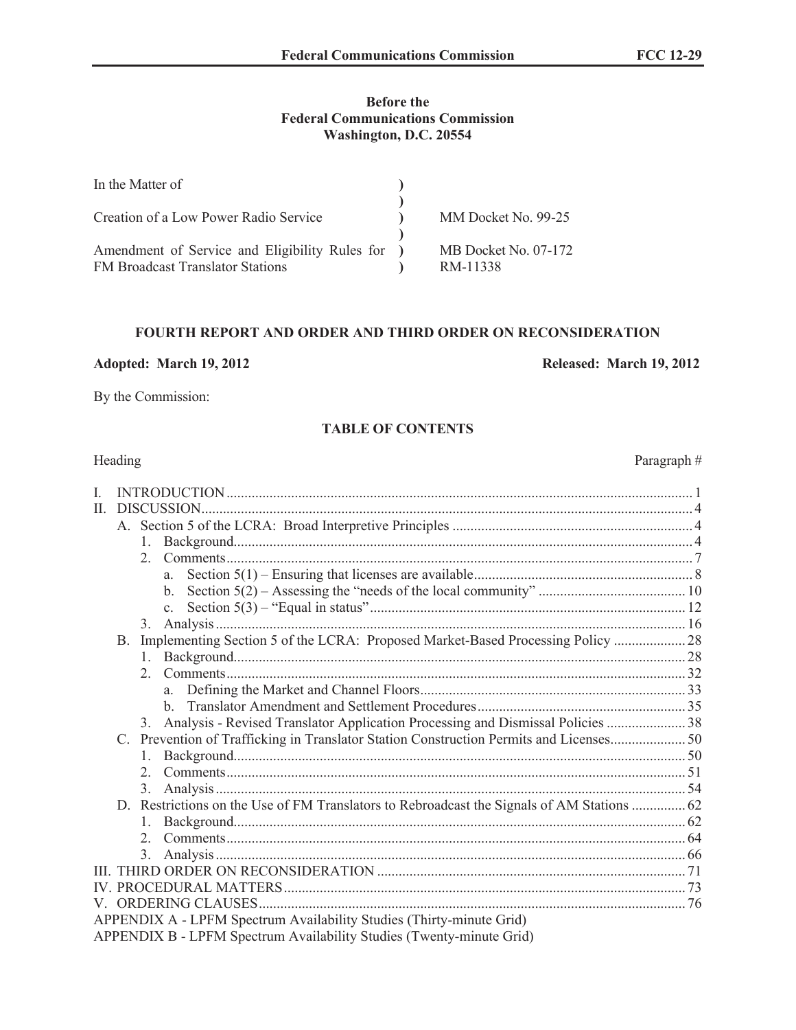# **Before the Federal Communications Commission Washington, D.C. 20554**

| In the Matter of                                                                          |        |                                  |
|-------------------------------------------------------------------------------------------|--------|----------------------------------|
| Creation of a Low Power Radio Service                                                     |        | MM Docket No. 99-25              |
| Amendment of Service and Eligibility Rules for<br><b>FM Broadcast Translator Stations</b> | $\Box$ | MB Docket No. 07-172<br>RM-11338 |

## **FOURTH REPORT AND ORDER AND THIRD ORDER ON RECONSIDERATION**

**Adopted: March 19, 2012 Released: March 19, 2012**

By the Commission:

## **TABLE OF CONTENTS**

| L  |    |               |                                                                                            |  |
|----|----|---------------|--------------------------------------------------------------------------------------------|--|
| П. |    |               |                                                                                            |  |
|    |    |               |                                                                                            |  |
|    |    | 1.            |                                                                                            |  |
|    |    |               |                                                                                            |  |
|    |    |               | a                                                                                          |  |
|    |    |               | $b_{-}$                                                                                    |  |
|    |    |               | $\mathbf{c}$ .                                                                             |  |
|    |    | 3.            |                                                                                            |  |
|    | B. |               | Implementing Section 5 of the LCRA: Proposed Market-Based Processing Policy  28            |  |
|    |    |               |                                                                                            |  |
|    |    |               |                                                                                            |  |
|    |    |               |                                                                                            |  |
|    |    |               |                                                                                            |  |
|    |    | 3.            | Analysis - Revised Translator Application Processing and Dismissal Policies  38            |  |
|    |    |               | C. Prevention of Trafficking in Translator Station Construction Permits and Licenses 50    |  |
|    |    | $\mathbf{1}$  |                                                                                            |  |
|    |    | 2             |                                                                                            |  |
|    |    | 3.            |                                                                                            |  |
|    |    |               | D. Restrictions on the Use of FM Translators to Rebroadcast the Signals of AM Stations  62 |  |
|    |    |               |                                                                                            |  |
|    |    |               |                                                                                            |  |
|    |    | $\mathcal{E}$ |                                                                                            |  |
|    |    |               |                                                                                            |  |
|    |    |               |                                                                                            |  |
|    |    |               |                                                                                            |  |
|    |    |               | APPENDIX A - LPFM Spectrum Availability Studies (Thirty-minute Grid)                       |  |
|    |    |               | APPENDIX B - LPFM Spectrum Availability Studies (Twenty-minute Grid)                       |  |

Paragraph #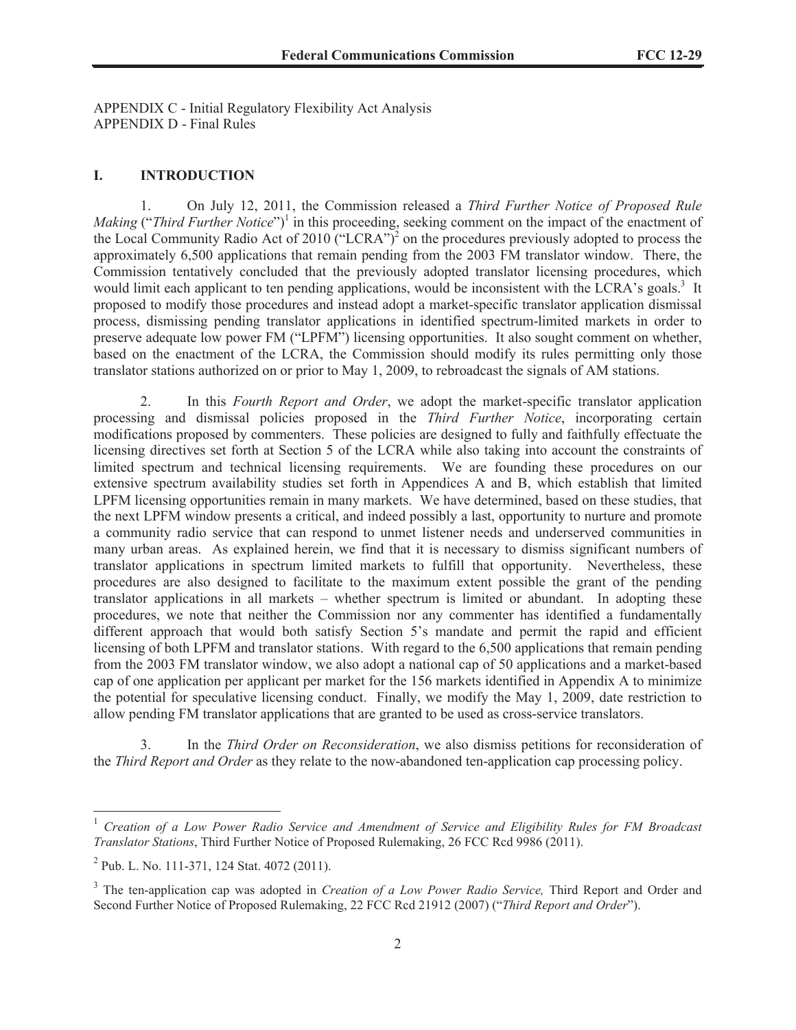APPENDIX C - Initial Regulatory Flexibility Act Analysis APPENDIX D - Final Rules

#### **I. INTRODUCTION**

1. On July 12, 2011, the Commission released a *Third Further Notice of Proposed Rule Making* ("Third Further Notice")<sup>1</sup> in this proceeding, seeking comment on the impact of the enactment of the Local Community Radio Act of 2010 ("LCRA")<sup>2</sup> on the procedures previously adopted to process the approximately 6,500 applications that remain pending from the 2003 FM translator window. There, the Commission tentatively concluded that the previously adopted translator licensing procedures, which would limit each applicant to ten pending applications, would be inconsistent with the LCRA's goals.<sup>3</sup> It proposed to modify those procedures and instead adopt a market-specific translator application dismissal process, dismissing pending translator applications in identified spectrum-limited markets in order to preserve adequate low power FM ("LPFM") licensing opportunities. It also sought comment on whether, based on the enactment of the LCRA, the Commission should modify its rules permitting only those translator stations authorized on or prior to May 1, 2009, to rebroadcast the signals of AM stations.

2. In this *Fourth Report and Order*, we adopt the market-specific translator application processing and dismissal policies proposed in the *Third Further Notice*, incorporating certain modifications proposed by commenters. These policies are designed to fully and faithfully effectuate the licensing directives set forth at Section 5 of the LCRA while also taking into account the constraints of limited spectrum and technical licensing requirements. We are founding these procedures on our extensive spectrum availability studies set forth in Appendices A and B, which establish that limited LPFM licensing opportunities remain in many markets. We have determined, based on these studies, that the next LPFM window presents a critical, and indeed possibly a last, opportunity to nurture and promote a community radio service that can respond to unmet listener needs and underserved communities in many urban areas. As explained herein, we find that it is necessary to dismiss significant numbers of translator applications in spectrum limited markets to fulfill that opportunity. Nevertheless, these procedures are also designed to facilitate to the maximum extent possible the grant of the pending translator applications in all markets – whether spectrum is limited or abundant. In adopting these procedures, we note that neither the Commission nor any commenter has identified a fundamentally different approach that would both satisfy Section 5's mandate and permit the rapid and efficient licensing of both LPFM and translator stations. With regard to the 6,500 applications that remain pending from the 2003 FM translator window, we also adopt a national cap of 50 applications and a market-based cap of one application per applicant per market for the 156 markets identified in Appendix A to minimize the potential for speculative licensing conduct. Finally, we modify the May 1, 2009, date restriction to allow pending FM translator applications that are granted to be used as cross-service translators.

3. In the *Third Order on Reconsideration*, we also dismiss petitions for reconsideration of the *Third Report and Order* as they relate to the now-abandoned ten-application cap processing policy.

<sup>&</sup>lt;sup>1</sup> Creation of a Low Power Radio Service and Amendment of Service and Eligibility Rules for FM Broadcast *Translator Stations*, Third Further Notice of Proposed Rulemaking, 26 FCC Rcd 9986 (2011).

<sup>&</sup>lt;sup>2</sup> Pub. L. No. 111-371, 124 Stat. 4072 (2011).

<sup>&</sup>lt;sup>3</sup> The ten-application cap was adopted in *Creation of a Low Power Radio Service*, Third Report and Order and Second Further Notice of Proposed Rulemaking, 22 FCC Rcd 21912 (2007) ("*Third Report and Order*").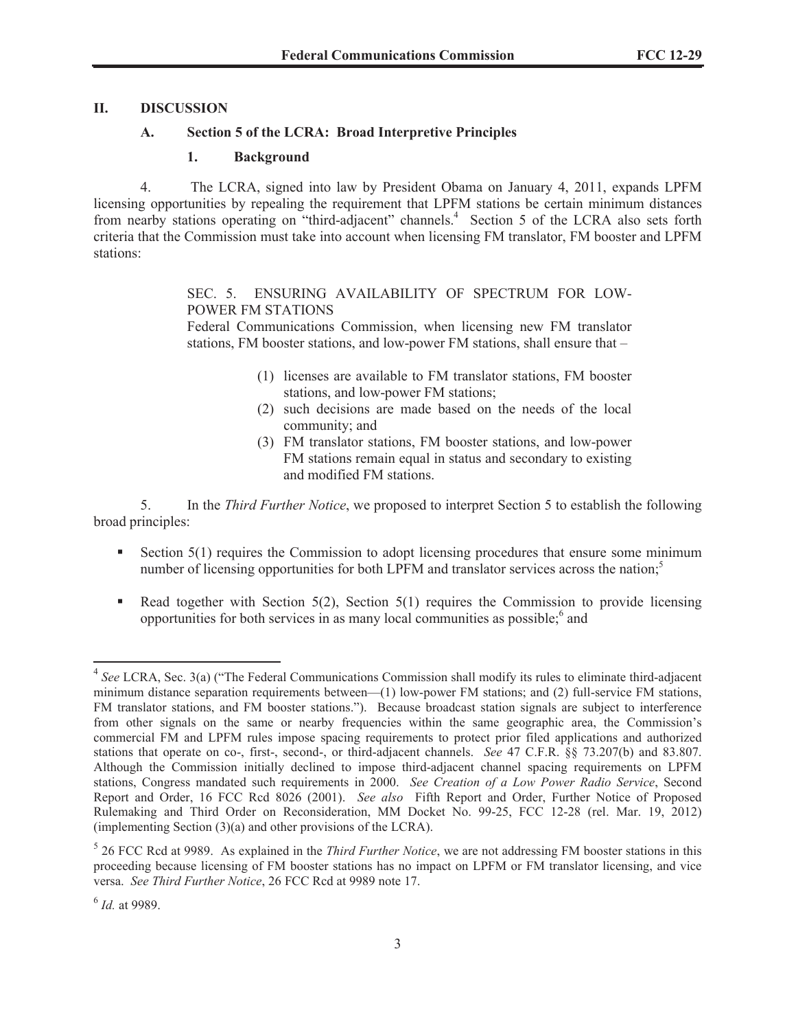# **II. DISCUSSION**

# **A. Section 5 of the LCRA: Broad Interpretive Principles**

# **1. Background**

4. The LCRA, signed into law by President Obama on January 4, 2011, expands LPFM licensing opportunities by repealing the requirement that LPFM stations be certain minimum distances from nearby stations operating on "third-adjacent" channels.<sup>4</sup> Section 5 of the LCRA also sets forth criteria that the Commission must take into account when licensing FM translator, FM booster and LPFM stations:

# SEC. 5. ENSURING AVAILABILITY OF SPECTRUM FOR LOW-POWER FM STATIONS

Federal Communications Commission, when licensing new FM translator stations, FM booster stations, and low-power FM stations, shall ensure that –

- (1) licenses are available to FM translator stations, FM booster stations, and low-power FM stations;
- (2) such decisions are made based on the needs of the local community; and
- (3) FM translator stations, FM booster stations, and low-power FM stations remain equal in status and secondary to existing and modified FM stations.

5. In the *Third Further Notice*, we proposed to interpret Section 5 to establish the following broad principles:

- Section 5(1) requires the Commission to adopt licensing procedures that ensure some minimum number of licensing opportunities for both LPFM and translator services across the nation; $<sup>5</sup>$ </sup>
- Read together with Section 5(2), Section 5(1) requires the Commission to provide licensing opportunities for both services in as many local communities as possible;<sup>6</sup> and

<sup>4</sup> *See* LCRA, Sec. 3(a) ("The Federal Communications Commission shall modify its rules to eliminate third-adjacent minimum distance separation requirements between—(1) low-power FM stations; and (2) full-service FM stations, FM translator stations, and FM booster stations."). Because broadcast station signals are subject to interference from other signals on the same or nearby frequencies within the same geographic area, the Commission's commercial FM and LPFM rules impose spacing requirements to protect prior filed applications and authorized stations that operate on co-, first-, second-, or third-adjacent channels. *See* 47 C.F.R. §§ 73.207(b) and 83.807. Although the Commission initially declined to impose third-adjacent channel spacing requirements on LPFM stations, Congress mandated such requirements in 2000. *See Creation of a Low Power Radio Service*, Second Report and Order, 16 FCC Rcd 8026 (2001). *See also* Fifth Report and Order, Further Notice of Proposed Rulemaking and Third Order on Reconsideration, MM Docket No. 99-25, FCC 12-28 (rel. Mar. 19, 2012) (implementing Section (3)(a) and other provisions of the LCRA).

<sup>5</sup> 26 FCC Rcd at 9989. As explained in the *Third Further Notice*, we are not addressing FM booster stations in this proceeding because licensing of FM booster stations has no impact on LPFM or FM translator licensing, and vice versa. *See Third Further Notice*, 26 FCC Rcd at 9989 note 17.

<sup>6</sup> *Id.* at 9989.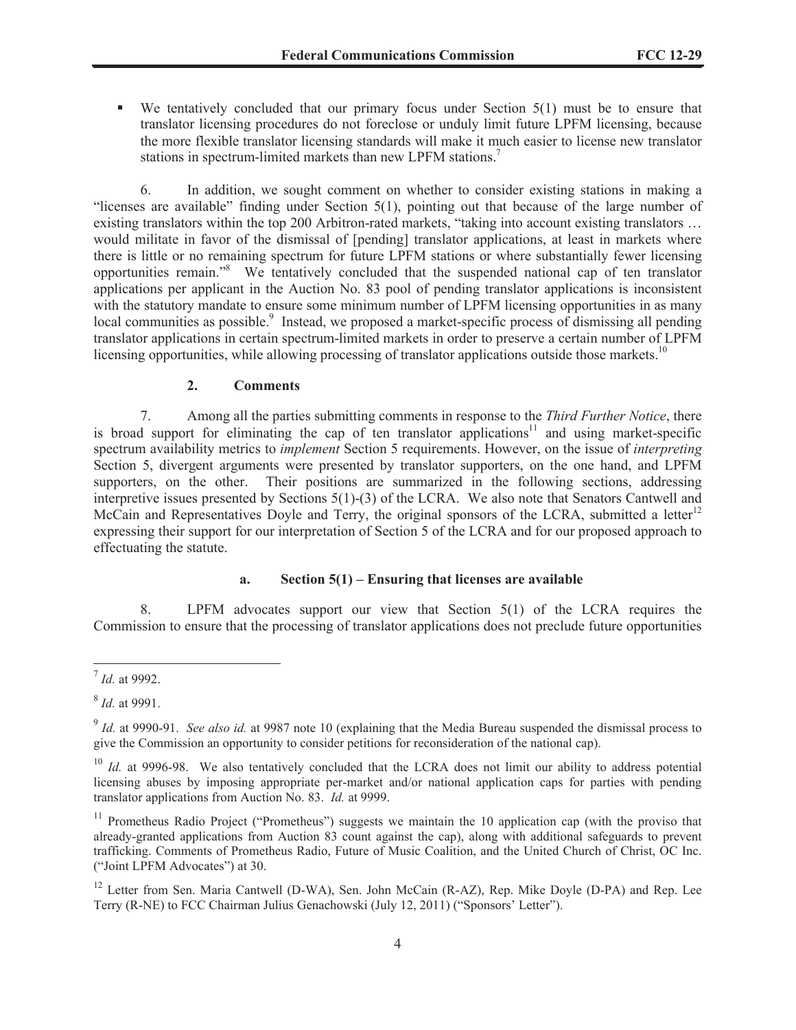$\blacksquare$  We tentatively concluded that our primary focus under Section 5(1) must be to ensure that translator licensing procedures do not foreclose or unduly limit future LPFM licensing, because the more flexible translator licensing standards will make it much easier to license new translator stations in spectrum-limited markets than new LPFM stations.<sup>7</sup>

6. In addition, we sought comment on whether to consider existing stations in making a "licenses are available" finding under Section 5(1), pointing out that because of the large number of existing translators within the top 200 Arbitron-rated markets, "taking into account existing translators … would militate in favor of the dismissal of [pending] translator applications, at least in markets where there is little or no remaining spectrum for future LPFM stations or where substantially fewer licensing opportunities remain."<sup>8</sup> We tentatively concluded that the suspended national cap of ten translator applications per applicant in the Auction No. 83 pool of pending translator applications is inconsistent with the statutory mandate to ensure some minimum number of LPFM licensing opportunities in as many local communities as possible.<sup>9</sup> Instead, we proposed a market-specific process of dismissing all pending translator applications in certain spectrum-limited markets in order to preserve a certain number of LPFM licensing opportunities, while allowing processing of translator applications outside those markets.<sup>10</sup>

## **2. Comments**

7. Among all the parties submitting comments in response to the *Third Further Notice*, there is broad support for eliminating the cap of ten translator applications<sup>11</sup> and using market-specific spectrum availability metrics to *implement* Section 5 requirements. However, on the issue of *interpreting* Section 5, divergent arguments were presented by translator supporters, on the one hand, and LPFM supporters, on the other. Their positions are summarized in the following sections, addressing interpretive issues presented by Sections 5(1)-(3) of the LCRA. We also note that Senators Cantwell and McCain and Representatives Doyle and Terry, the original sponsors of the LCRA, submitted a letter<sup>12</sup> expressing their support for our interpretation of Section 5 of the LCRA and for our proposed approach to effectuating the statute.

## **a. Section 5(1) – Ensuring that licenses are available**

8. LPFM advocates support our view that Section 5(1) of the LCRA requires the Commission to ensure that the processing of translator applications does not preclude future opportunities

<sup>7</sup> *Id.* at 9992.

<sup>8</sup> *Id.* at 9991.

<sup>&</sup>lt;sup>9</sup> Id. at 9990-91. *See also id.* at 9987 note 10 (explaining that the Media Bureau suspended the dismissal process to give the Commission an opportunity to consider petitions for reconsideration of the national cap).

<sup>&</sup>lt;sup>10</sup> *Id.* at 9996-98. We also tentatively concluded that the LCRA does not limit our ability to address potential licensing abuses by imposing appropriate per-market and/or national application caps for parties with pending translator applications from Auction No. 83. *Id.* at 9999.

<sup>&</sup>lt;sup>11</sup> Prometheus Radio Project ("Prometheus") suggests we maintain the 10 application cap (with the proviso that already-granted applications from Auction 83 count against the cap), along with additional safeguards to prevent trafficking. Comments of Prometheus Radio, Future of Music Coalition, and the United Church of Christ, OC Inc. ("Joint LPFM Advocates") at 30.

<sup>&</sup>lt;sup>12</sup> Letter from Sen. Maria Cantwell (D-WA), Sen. John McCain (R-AZ), Rep. Mike Doyle (D-PA) and Rep. Lee Terry (R-NE) to FCC Chairman Julius Genachowski (July 12, 2011) ("Sponsors' Letter").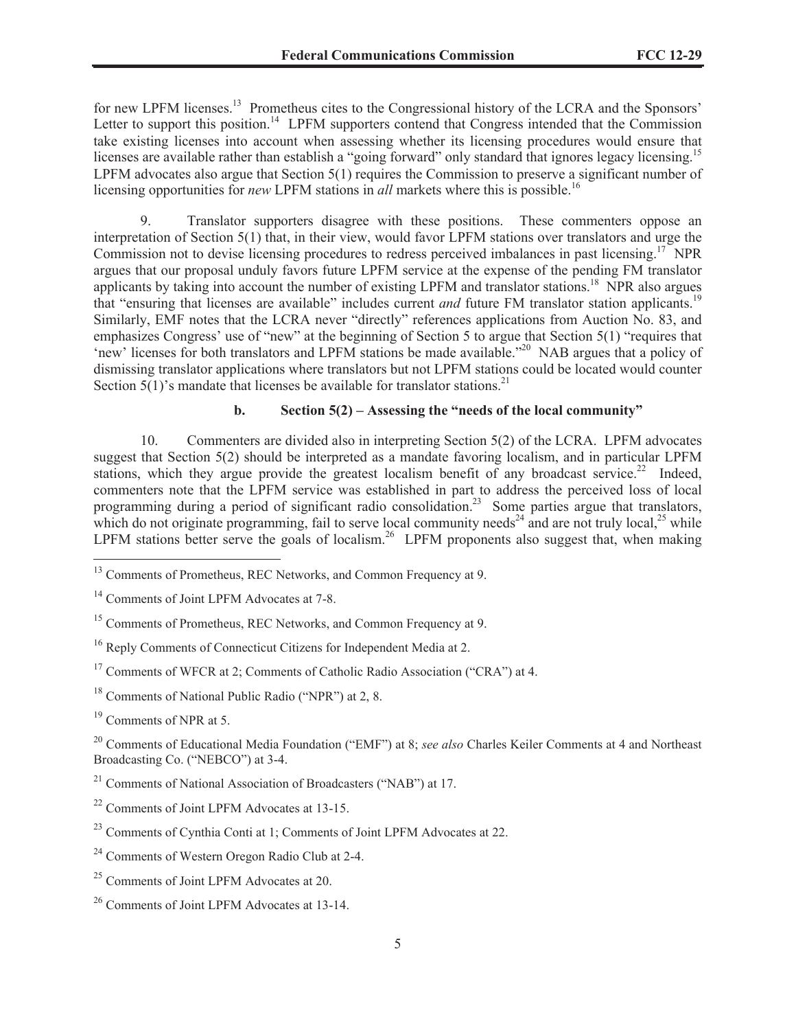for new LPFM licenses.<sup>13</sup> Prometheus cites to the Congressional history of the LCRA and the Sponsors' Letter to support this position.<sup>14</sup> LPFM supporters contend that Congress intended that the Commission take existing licenses into account when assessing whether its licensing procedures would ensure that licenses are available rather than establish a "going forward" only standard that ignores legacy licensing.<sup>15</sup> LPFM advocates also argue that Section 5(1) requires the Commission to preserve a significant number of licensing opportunities for *new* LPFM stations in *all* markets where this is possible.<sup>16</sup>

9. Translator supporters disagree with these positions. These commenters oppose an interpretation of Section 5(1) that, in their view, would favor LPFM stations over translators and urge the Commission not to devise licensing procedures to redress perceived imbalances in past licensing.<sup>17</sup> NPR argues that our proposal unduly favors future LPFM service at the expense of the pending FM translator applicants by taking into account the number of existing LPFM and translator stations.<sup>18</sup> NPR also argues that "ensuring that licenses are available" includes current *and* future FM translator station applicants.<sup>19</sup> Similarly, EMF notes that the LCRA never "directly" references applications from Auction No. 83, and emphasizes Congress' use of "new" at the beginning of Section 5 to argue that Section 5(1) "requires that 'new' licenses for both translators and LPFM stations be made available."<sup>20</sup> NAB argues that a policy of dismissing translator applications where translators but not LPFM stations could be located would counter Section  $5(1)$ 's mandate that licenses be available for translator stations.<sup>21</sup>

# **b. Section 5(2) – Assessing the "needs of the local community"**

10. Commenters are divided also in interpreting Section 5(2) of the LCRA. LPFM advocates suggest that Section 5(2) should be interpreted as a mandate favoring localism, and in particular LPFM stations, which they argue provide the greatest localism benefit of any broadcast service.<sup>22</sup> Indeed, commenters note that the LPFM service was established in part to address the perceived loss of local programming during a period of significant radio consolidation.<sup>23</sup> Some parties argue that translators, which do not originate programming, fail to serve local community needs<sup>24</sup> and are not truly local,<sup>25</sup> while LPFM stations better serve the goals of localism.<sup>26</sup> LPFM proponents also suggest that, when making

<sup>19</sup> Comments of NPR at 5.

<sup>20</sup> Comments of Educational Media Foundation ("EMF") at 8; *see also* Charles Keiler Comments at 4 and Northeast Broadcasting Co. ("NEBCO") at 3-4.

 $21$  Comments of National Association of Broadcasters ("NAB") at 17.

- <sup>24</sup> Comments of Western Oregon Radio Club at 2-4.
- <sup>25</sup> Comments of Joint LPFM Advocates at 20.

<sup>&</sup>lt;sup>13</sup> Comments of Prometheus, REC Networks, and Common Frequency at 9.

<sup>&</sup>lt;sup>14</sup> Comments of Joint LPFM Advocates at 7-8.

<sup>&</sup>lt;sup>15</sup> Comments of Prometheus, REC Networks, and Common Frequency at 9.

<sup>&</sup>lt;sup>16</sup> Reply Comments of Connecticut Citizens for Independent Media at 2.

<sup>&</sup>lt;sup>17</sup> Comments of WFCR at 2; Comments of Catholic Radio Association ("CRA") at 4.

<sup>18</sup> Comments of National Public Radio ("NPR") at 2, 8.

<sup>22</sup> Comments of Joint LPFM Advocates at 13-15.

<sup>23</sup> Comments of Cynthia Conti at 1; Comments of Joint LPFM Advocates at 22.

<sup>26</sup> Comments of Joint LPFM Advocates at 13-14.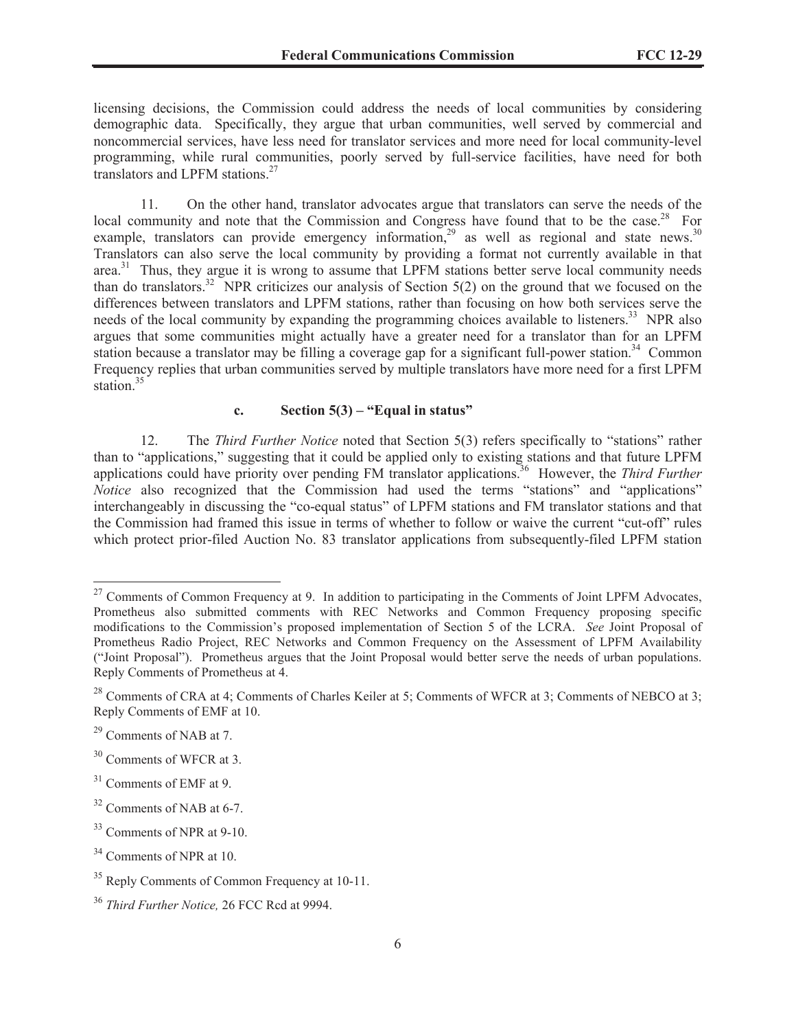licensing decisions, the Commission could address the needs of local communities by considering demographic data. Specifically, they argue that urban communities, well served by commercial and noncommercial services, have less need for translator services and more need for local community-level programming, while rural communities, poorly served by full-service facilities, have need for both translators and LPFM stations.<sup>27</sup>

11. On the other hand, translator advocates argue that translators can serve the needs of the local community and note that the Commission and Congress have found that to be the case.<sup>28</sup> For example, translators can provide emergency information,<sup>29</sup> as well as regional and state news.<sup>30</sup> Translators can also serve the local community by providing a format not currently available in that area.<sup>31</sup> Thus, they argue it is wrong to assume that LPFM stations better serve local community needs than do translators.<sup>32</sup> NPR criticizes our analysis of Section  $5(2)$  on the ground that we focused on the differences between translators and LPFM stations, rather than focusing on how both services serve the needs of the local community by expanding the programming choices available to listeners.<sup>33</sup> NPR also argues that some communities might actually have a greater need for a translator than for an LPFM station because a translator may be filling a coverage gap for a significant full-power station.<sup>34</sup> Common Frequency replies that urban communities served by multiple translators have more need for a first LPFM station  $35$ 

# **c. Section 5(3) – "Equal in status"**

12. The *Third Further Notice* noted that Section 5(3) refers specifically to "stations" rather than to "applications," suggesting that it could be applied only to existing stations and that future LPFM applications could have priority over pending FM translator applications.<sup>36</sup> However, the *Third Further Notice* also recognized that the Commission had used the terms "stations" and "applications" interchangeably in discussing the "co-equal status" of LPFM stations and FM translator stations and that the Commission had framed this issue in terms of whether to follow or waive the current "cut-off" rules which protect prior-filed Auction No. 83 translator applications from subsequently-filed LPFM station

<sup>&</sup>lt;sup>27</sup> Comments of Common Frequency at 9. In addition to participating in the Comments of Joint LPFM Advocates, Prometheus also submitted comments with REC Networks and Common Frequency proposing specific modifications to the Commission's proposed implementation of Section 5 of the LCRA. *See* Joint Proposal of Prometheus Radio Project, REC Networks and Common Frequency on the Assessment of LPFM Availability ("Joint Proposal"). Prometheus argues that the Joint Proposal would better serve the needs of urban populations. Reply Comments of Prometheus at 4.

<sup>&</sup>lt;sup>28</sup> Comments of CRA at 4; Comments of Charles Keiler at 5; Comments of WFCR at 3; Comments of NEBCO at 3; Reply Comments of EMF at 10.

 $^{29}$  Comments of NAB at 7.

<sup>&</sup>lt;sup>30</sup> Comments of WFCR at 3.

<sup>&</sup>lt;sup>31</sup> Comments of EMF at 9.

 $32$  Comments of NAB at 6-7.

 $33$  Comments of NPR at 9-10.

<sup>&</sup>lt;sup>34</sup> Comments of NPR at 10.

<sup>&</sup>lt;sup>35</sup> Reply Comments of Common Frequency at 10-11.

<sup>36</sup> *Third Further Notice,* 26 FCC Rcd at 9994.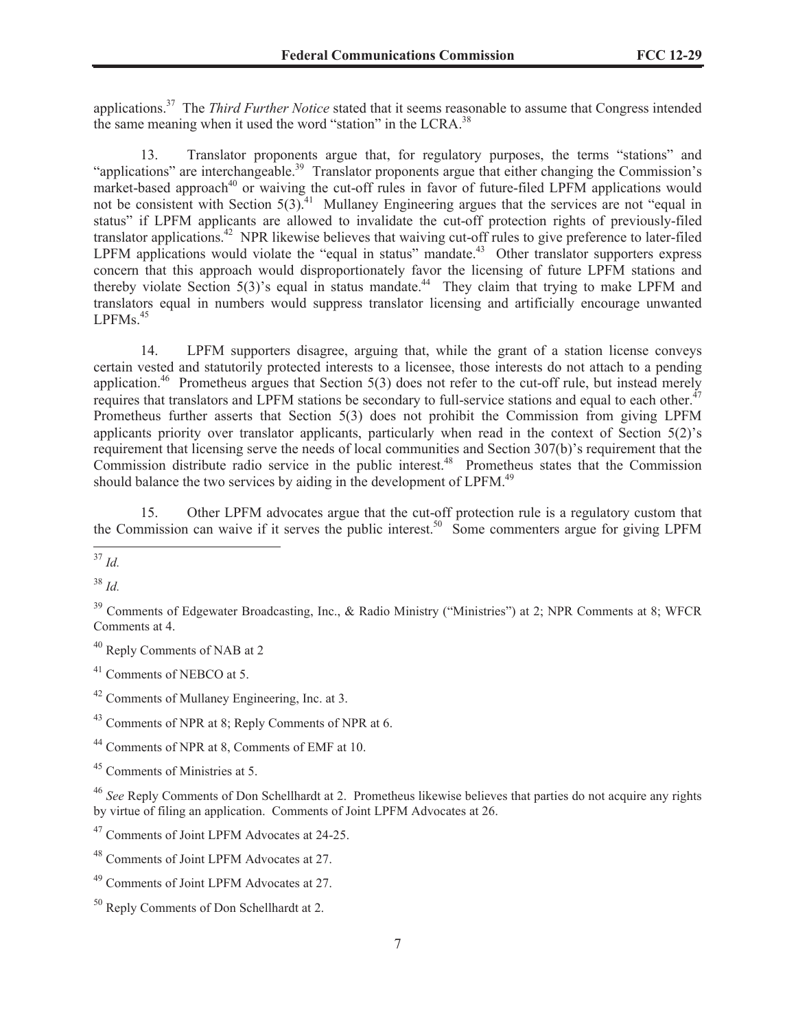applications.<sup>37</sup> The *Third Further Notice* stated that it seems reasonable to assume that Congress intended the same meaning when it used the word "station" in the LCRA.<sup>38</sup>

13. Translator proponents argue that, for regulatory purposes, the terms "stations" and "applications" are interchangeable.<sup>39</sup> Translator proponents argue that either changing the Commission's market-based approach<sup>40</sup> or waiving the cut-off rules in favor of future-filed LPFM applications would not be consistent with Section 5(3).<sup>41</sup> Mullaney Engineering argues that the services are not "equal in status" if LPFM applicants are allowed to invalidate the cut-off protection rights of previously-filed translator applications.<sup>42</sup> NPR likewise believes that waiving cut-off rules to give preference to later-filed LPFM applications would violate the "equal in status" mandate.<sup>43</sup> Other translator supporters express concern that this approach would disproportionately favor the licensing of future LPFM stations and thereby violate Section 5(3)'s equal in status mandate.<sup>44</sup> They claim that trying to make LPFM and translators equal in numbers would suppress translator licensing and artificially encourage unwanted  $LPFMs.<sup>45</sup>$ 

14. LPFM supporters disagree, arguing that, while the grant of a station license conveys certain vested and statutorily protected interests to a licensee, those interests do not attach to a pending application.<sup>46</sup> Prometheus argues that Section 5(3) does not refer to the cut-off rule, but instead merely requires that translators and LPFM stations be secondary to full-service stations and equal to each other.<sup>47</sup> Prometheus further asserts that Section 5(3) does not prohibit the Commission from giving LPFM applicants priority over translator applicants, particularly when read in the context of Section 5(2)'s requirement that licensing serve the needs of local communities and Section 307(b)'s requirement that the Commission distribute radio service in the public interest.<sup>48</sup> Prometheus states that the Commission should balance the two services by aiding in the development of  $LPFM<sup>49</sup>$ .

15. Other LPFM advocates argue that the cut-off protection rule is a regulatory custom that the Commission can waive if it serves the public interest.<sup>50</sup> Some commenters argue for giving LPFM

<sup>38</sup> *Id.*

 $39$  Comments of Edgewater Broadcasting, Inc., & Radio Ministry ("Ministries") at 2; NPR Comments at 8; WFCR Comments at 4.

<sup>41</sup> Comments of NEBCO at 5.

<sup>42</sup> Comments of Mullaney Engineering, Inc. at 3.

<sup>43</sup> Comments of NPR at 8; Reply Comments of NPR at 6.

<sup>44</sup> Comments of NPR at 8, Comments of EMF at 10.

<sup>45</sup> Comments of Ministries at 5.

<sup>46</sup> *See* Reply Comments of Don Schellhardt at 2. Prometheus likewise believes that parties do not acquire any rights by virtue of filing an application. Comments of Joint LPFM Advocates at 26.

<sup>47</sup> Comments of Joint LPFM Advocates at 24-25.

<sup>48</sup> Comments of Joint LPFM Advocates at 27.

<sup>49</sup> Comments of Joint LPFM Advocates at 27.

<sup>50</sup> Reply Comments of Don Schellhardt at 2.

 $\frac{37}{37}$  *Id.* 

<sup>40</sup> Reply Comments of NAB at 2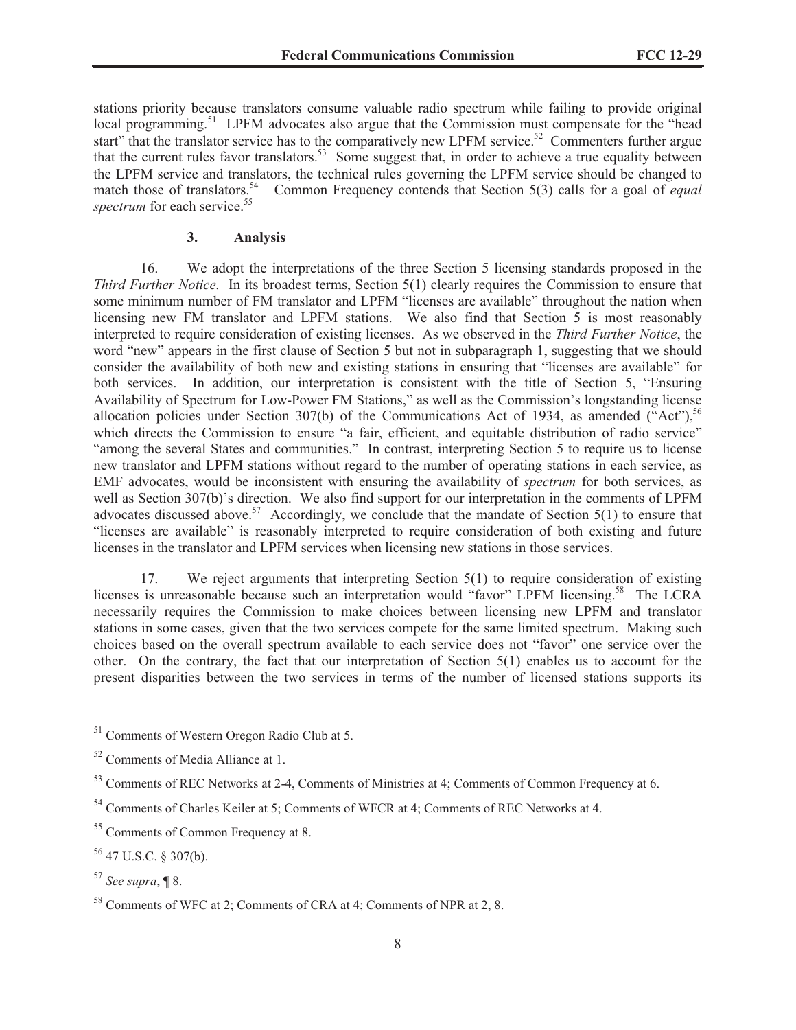stations priority because translators consume valuable radio spectrum while failing to provide original local programming.<sup>51</sup> LPFM advocates also argue that the Commission must compensate for the "head start" that the translator service has to the comparatively new LPFM service.<sup>52</sup> Commenters further argue that the current rules favor translators.<sup>53</sup> Some suggest that, in order to achieve a true equality between the LPFM service and translators, the technical rules governing the LPFM service should be changed to match those of translators.<sup>54</sup> Common Frequency contends that Section 5(3) calls for a goal of *equal* spectrum for each service.<sup>55</sup>

#### **3. Analysis**

16. We adopt the interpretations of the three Section 5 licensing standards proposed in the *Third Further Notice.* In its broadest terms, Section 5(1) clearly requires the Commission to ensure that some minimum number of FM translator and LPFM "licenses are available" throughout the nation when licensing new FM translator and LPFM stations. We also find that Section 5 is most reasonably interpreted to require consideration of existing licenses. As we observed in the *Third Further Notice*, the word "new" appears in the first clause of Section 5 but not in subparagraph 1, suggesting that we should consider the availability of both new and existing stations in ensuring that "licenses are available" for both services. In addition, our interpretation is consistent with the title of Section 5, "Ensuring Availability of Spectrum for Low-Power FM Stations," as well as the Commission's longstanding license allocation policies under Section 307(b) of the Communications Act of 1934, as amended ("Act"),  $56$ which directs the Commission to ensure "a fair, efficient, and equitable distribution of radio service" "among the several States and communities." In contrast, interpreting Section 5 to require us to license new translator and LPFM stations without regard to the number of operating stations in each service, as EMF advocates, would be inconsistent with ensuring the availability of *spectrum* for both services, as well as Section 307(b)'s direction. We also find support for our interpretation in the comments of LPFM advocates discussed above.<sup>57</sup> Accordingly, we conclude that the mandate of Section 5(1) to ensure that "licenses are available" is reasonably interpreted to require consideration of both existing and future licenses in the translator and LPFM services when licensing new stations in those services.

17. We reject arguments that interpreting Section 5(1) to require consideration of existing licenses is unreasonable because such an interpretation would "favor" LPFM licensing.<sup>58</sup> The LCRA necessarily requires the Commission to make choices between licensing new LPFM and translator stations in some cases, given that the two services compete for the same limited spectrum. Making such choices based on the overall spectrum available to each service does not "favor" one service over the other. On the contrary, the fact that our interpretation of Section 5(1) enables us to account for the present disparities between the two services in terms of the number of licensed stations supports its

<sup>51</sup> Comments of Western Oregon Radio Club at 5.

<sup>52</sup> Comments of Media Alliance at 1.

<sup>&</sup>lt;sup>53</sup> Comments of REC Networks at 2-4, Comments of Ministries at 4; Comments of Common Frequency at 6.

<sup>54</sup> Comments of Charles Keiler at 5; Comments of WFCR at 4; Comments of REC Networks at 4.

<sup>&</sup>lt;sup>55</sup> Comments of Common Frequency at 8.

<sup>56</sup> 47 U.S.C. § 307(b).

<sup>57</sup> *See supra*, ¶ 8.

<sup>58</sup> Comments of WFC at 2; Comments of CRA at 4; Comments of NPR at 2, 8.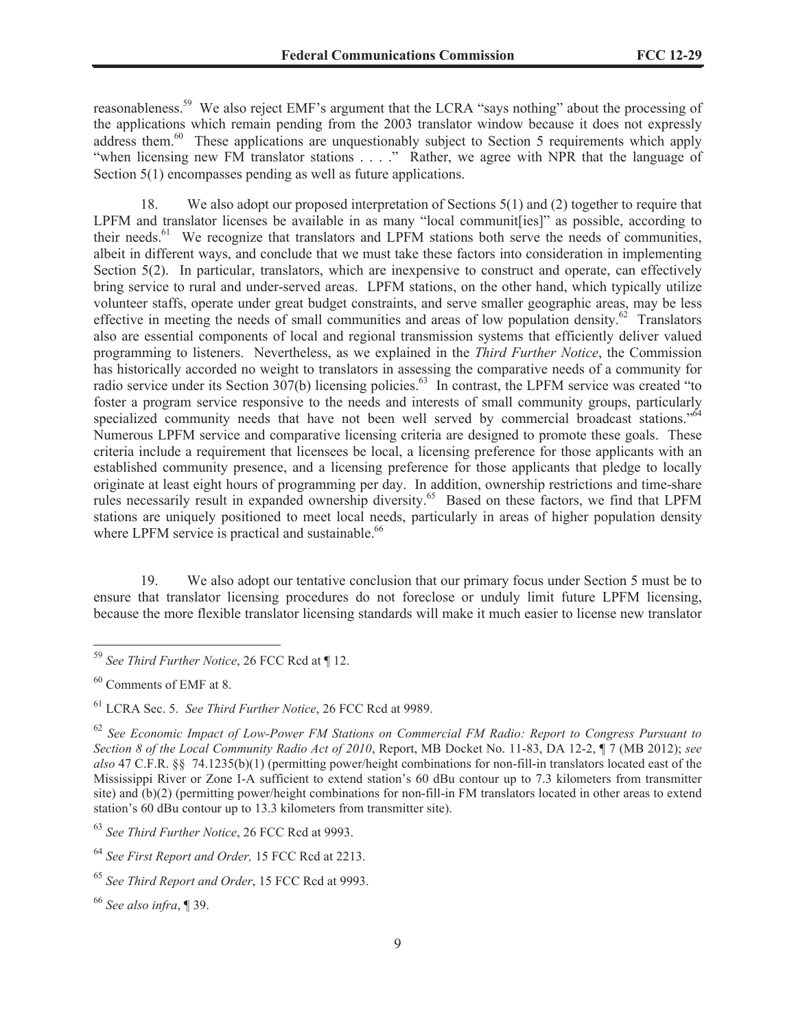reasonableness.<sup>59</sup> We also reject EMF's argument that the LCRA "says nothing" about the processing of the applications which remain pending from the 2003 translator window because it does not expressly address them.<sup>60</sup> These applications are unquestionably subject to Section 5 requirements which apply "when licensing new FM translator stations . . . ." Rather, we agree with NPR that the language of Section 5(1) encompasses pending as well as future applications.

18. We also adopt our proposed interpretation of Sections 5(1) and (2) together to require that LPFM and translator licenses be available in as many "local communit[ies]" as possible, according to their needs.<sup>61</sup> We recognize that translators and LPFM stations both serve the needs of communities, albeit in different ways, and conclude that we must take these factors into consideration in implementing Section 5(2). In particular, translators, which are inexpensive to construct and operate, can effectively bring service to rural and under-served areas. LPFM stations, on the other hand, which typically utilize volunteer staffs, operate under great budget constraints, and serve smaller geographic areas, may be less effective in meeting the needs of small communities and areas of low population density.<sup>62</sup> Translators also are essential components of local and regional transmission systems that efficiently deliver valued programming to listeners. Nevertheless, as we explained in the *Third Further Notice*, the Commission has historically accorded no weight to translators in assessing the comparative needs of a community for radio service under its Section 307(b) licensing policies.<sup>63</sup> In contrast, the LPFM service was created "to foster a program service responsive to the needs and interests of small community groups, particularly specialized community needs that have not been well served by commercial broadcast stations."<sup>64</sup> Numerous LPFM service and comparative licensing criteria are designed to promote these goals. These criteria include a requirement that licensees be local, a licensing preference for those applicants with an established community presence, and a licensing preference for those applicants that pledge to locally originate at least eight hours of programming per day. In addition, ownership restrictions and time-share rules necessarily result in expanded ownership diversity.<sup>65</sup> Based on these factors, we find that LPFM stations are uniquely positioned to meet local needs, particularly in areas of higher population density where LPFM service is practical and sustainable.<sup>66</sup>

19. We also adopt our tentative conclusion that our primary focus under Section 5 must be to ensure that translator licensing procedures do not foreclose or unduly limit future LPFM licensing, because the more flexible translator licensing standards will make it much easier to license new translator

<sup>60</sup> Comments of EMF at 8.

<sup>59</sup> *See Third Further Notice*, 26 FCC Rcd at ¶ 12.

<sup>61</sup> LCRA Sec. 5. *See Third Further Notice*, 26 FCC Rcd at 9989.

<sup>62</sup> *See Economic Impact of Low-Power FM Stations on Commercial FM Radio: Report to Congress Pursuant to Section 8 of the Local Community Radio Act of 2010*, Report, MB Docket No. 11-83, DA 12-2, ¶ 7 (MB 2012); *see also* 47 C.F.R. §§ 74.1235(b)(1) (permitting power/height combinations for non-fill-in translators located east of the Mississippi River or Zone I-A sufficient to extend station's 60 dBu contour up to 7.3 kilometers from transmitter site) and (b)(2) (permitting power/height combinations for non-fill-in FM translators located in other areas to extend station's 60 dBu contour up to 13.3 kilometers from transmitter site).

<sup>63</sup> *See Third Further Notice*, 26 FCC Rcd at 9993.

<sup>64</sup> *See First Report and Order,* 15 FCC Rcd at 2213.

<sup>65</sup> *See Third Report and Order*, 15 FCC Rcd at 9993.

<sup>66</sup> *See also infra*, ¶ 39.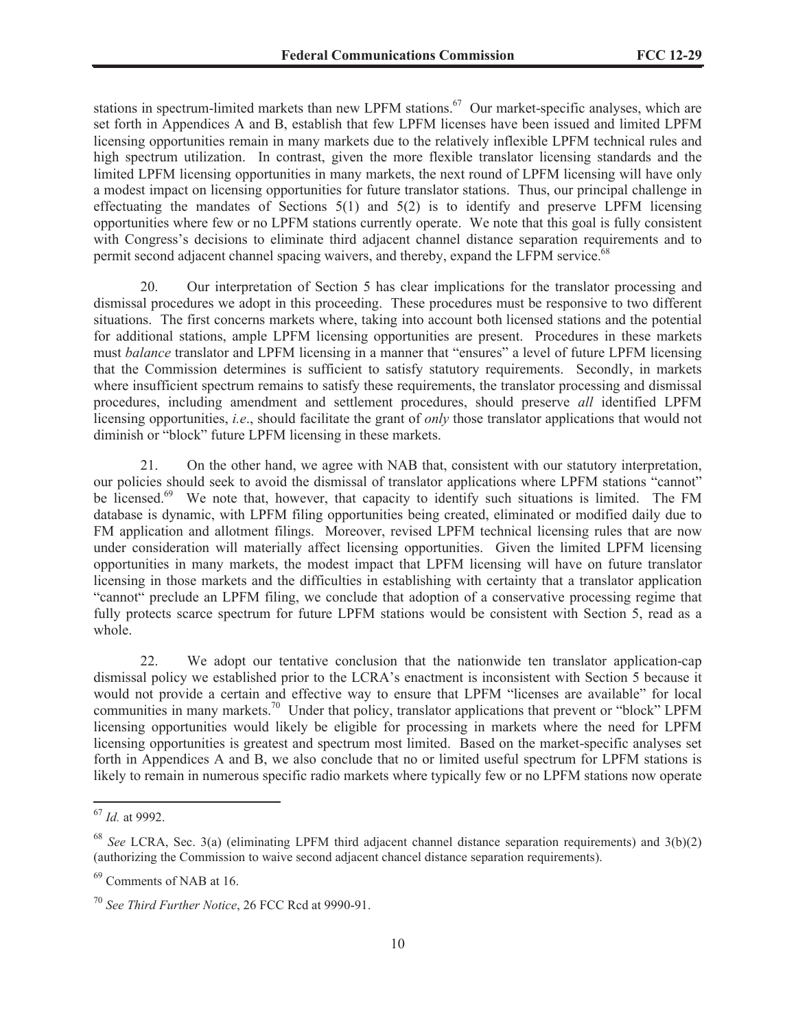stations in spectrum-limited markets than new LPFM stations.<sup>67</sup> Our market-specific analyses, which are set forth in Appendices A and B, establish that few LPFM licenses have been issued and limited LPFM licensing opportunities remain in many markets due to the relatively inflexible LPFM technical rules and high spectrum utilization. In contrast, given the more flexible translator licensing standards and the limited LPFM licensing opportunities in many markets, the next round of LPFM licensing will have only a modest impact on licensing opportunities for future translator stations. Thus, our principal challenge in effectuating the mandates of Sections 5(1) and 5(2) is to identify and preserve LPFM licensing opportunities where few or no LPFM stations currently operate. We note that this goal is fully consistent with Congress's decisions to eliminate third adjacent channel distance separation requirements and to permit second adjacent channel spacing waivers, and thereby, expand the LFPM service.<sup>68</sup>

20. Our interpretation of Section 5 has clear implications for the translator processing and dismissal procedures we adopt in this proceeding. These procedures must be responsive to two different situations. The first concerns markets where, taking into account both licensed stations and the potential for additional stations, ample LPFM licensing opportunities are present. Procedures in these markets must *balance* translator and LPFM licensing in a manner that "ensures" a level of future LPFM licensing that the Commission determines is sufficient to satisfy statutory requirements. Secondly, in markets where insufficient spectrum remains to satisfy these requirements, the translator processing and dismissal procedures, including amendment and settlement procedures, should preserve *all* identified LPFM licensing opportunities, *i.e*., should facilitate the grant of *only* those translator applications that would not diminish or "block" future LPFM licensing in these markets.

21. On the other hand, we agree with NAB that, consistent with our statutory interpretation, our policies should seek to avoid the dismissal of translator applications where LPFM stations "cannot" be licensed.<sup>69</sup> We note that, however, that capacity to identify such situations is limited. The FM database is dynamic, with LPFM filing opportunities being created, eliminated or modified daily due to FM application and allotment filings. Moreover, revised LPFM technical licensing rules that are now under consideration will materially affect licensing opportunities. Given the limited LPFM licensing opportunities in many markets, the modest impact that LPFM licensing will have on future translator licensing in those markets and the difficulties in establishing with certainty that a translator application "cannot" preclude an LPFM filing, we conclude that adoption of a conservative processing regime that fully protects scarce spectrum for future LPFM stations would be consistent with Section 5, read as a whole.

22. We adopt our tentative conclusion that the nationwide ten translator application-cap dismissal policy we established prior to the LCRA's enactment is inconsistent with Section 5 because it would not provide a certain and effective way to ensure that LPFM "licenses are available" for local communities in many markets.<sup>70</sup> Under that policy, translator applications that prevent or "block" LPFM licensing opportunities would likely be eligible for processing in markets where the need for LPFM licensing opportunities is greatest and spectrum most limited. Based on the market-specific analyses set forth in Appendices A and B, we also conclude that no or limited useful spectrum for LPFM stations is likely to remain in numerous specific radio markets where typically few or no LPFM stations now operate

<sup>67</sup> *Id.* at 9992.

<sup>68</sup> *See* LCRA, Sec. 3(a) (eliminating LPFM third adjacent channel distance separation requirements) and 3(b)(2) (authorizing the Commission to waive second adjacent chancel distance separation requirements).

<sup>69</sup> Comments of NAB at 16.

<sup>70</sup> *See Third Further Notice*, 26 FCC Rcd at 9990-91.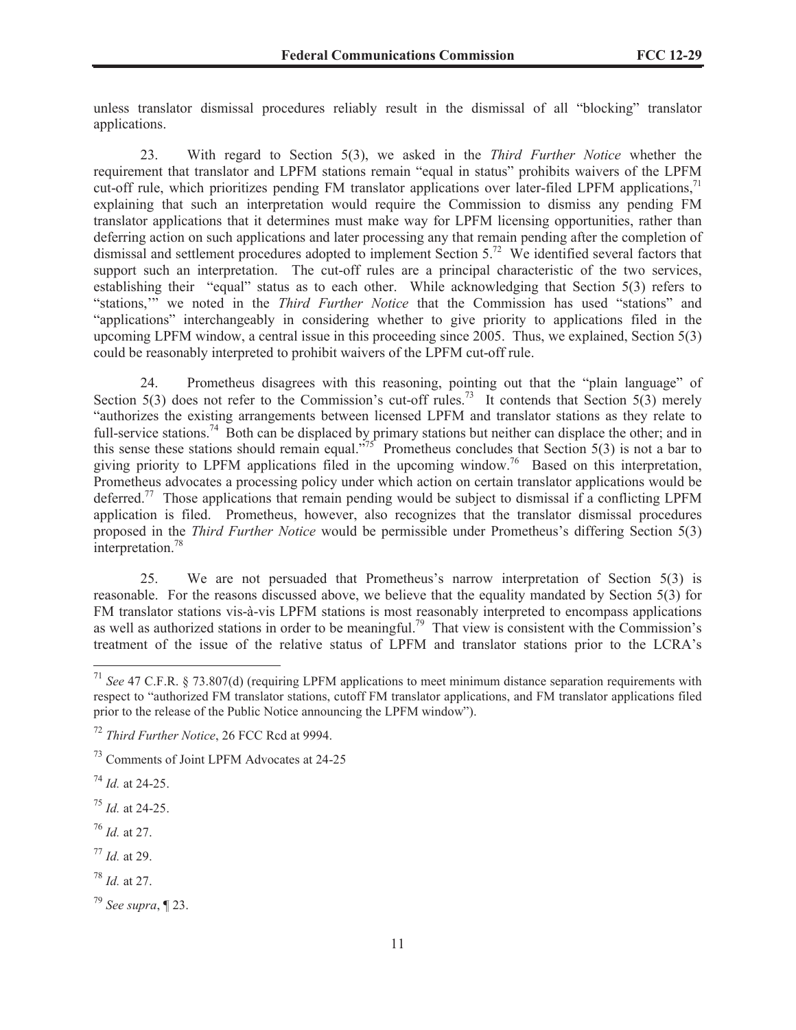unless translator dismissal procedures reliably result in the dismissal of all "blocking" translator applications.

23. With regard to Section 5(3), we asked in the *Third Further Notice* whether the requirement that translator and LPFM stations remain "equal in status" prohibits waivers of the LPFM cut-off rule, which prioritizes pending FM translator applications over later-filed LPFM applications, $^{71}$ explaining that such an interpretation would require the Commission to dismiss any pending FM translator applications that it determines must make way for LPFM licensing opportunities, rather than deferring action on such applications and later processing any that remain pending after the completion of dismissal and settlement procedures adopted to implement Section 5.<sup>72</sup> We identified several factors that support such an interpretation. The cut-off rules are a principal characteristic of the two services, establishing their "equal" status as to each other. While acknowledging that Section 5(3) refers to "stations,'" we noted in the *Third Further Notice* that the Commission has used "stations" and "applications" interchangeably in considering whether to give priority to applications filed in the upcoming LPFM window, a central issue in this proceeding since 2005. Thus, we explained, Section 5(3) could be reasonably interpreted to prohibit waivers of the LPFM cut-off rule.

24. Prometheus disagrees with this reasoning, pointing out that the "plain language" of Section 5(3) does not refer to the Commission's cut-off rules.<sup>73</sup> It contends that Section 5(3) merely "authorizes the existing arrangements between licensed LPFM and translator stations as they relate to full-service stations.<sup>74</sup> Both can be displaced by primary stations but neither can displace the other; and in this sense these stations should remain equal."<sup>75</sup> Prometheus concludes that Section 5(3) is not a bar to giving priority to LPFM applications filed in the upcoming window.<sup>76</sup> Based on this interpretation, Prometheus advocates a processing policy under which action on certain translator applications would be deferred.<sup>77</sup> Those applications that remain pending would be subject to dismissal if a conflicting LPFM application is filed. Prometheus, however, also recognizes that the translator dismissal procedures proposed in the *Third Further Notice* would be permissible under Prometheus's differing Section 5(3) interpretation.<sup>78</sup>

25. We are not persuaded that Prometheus's narrow interpretation of Section 5(3) is reasonable. For the reasons discussed above, we believe that the equality mandated by Section 5(3) for FM translator stations vis-à-vis LPFM stations is most reasonably interpreted to encompass applications as well as authorized stations in order to be meaningful.<sup>79</sup> That view is consistent with the Commission's treatment of the issue of the relative status of LPFM and translator stations prior to the LCRA's

- <sup>77</sup> *Id.* at 29.
- <sup>78</sup> *Id.* at 27.

<sup>71</sup> *See* 47 C.F.R. § 73.807(d) (requiring LPFM applications to meet minimum distance separation requirements with respect to "authorized FM translator stations, cutoff FM translator applications, and FM translator applications filed prior to the release of the Public Notice announcing the LPFM window").

<sup>72</sup> *Third Further Notice*, 26 FCC Rcd at 9994.

<sup>73</sup> Comments of Joint LPFM Advocates at 24-25

<sup>74</sup> *Id.* at 24-25.

<sup>75</sup> *Id.* at 24-25.

<sup>76</sup> *Id.* at 27.

<sup>79</sup> *See supra*, ¶ 23.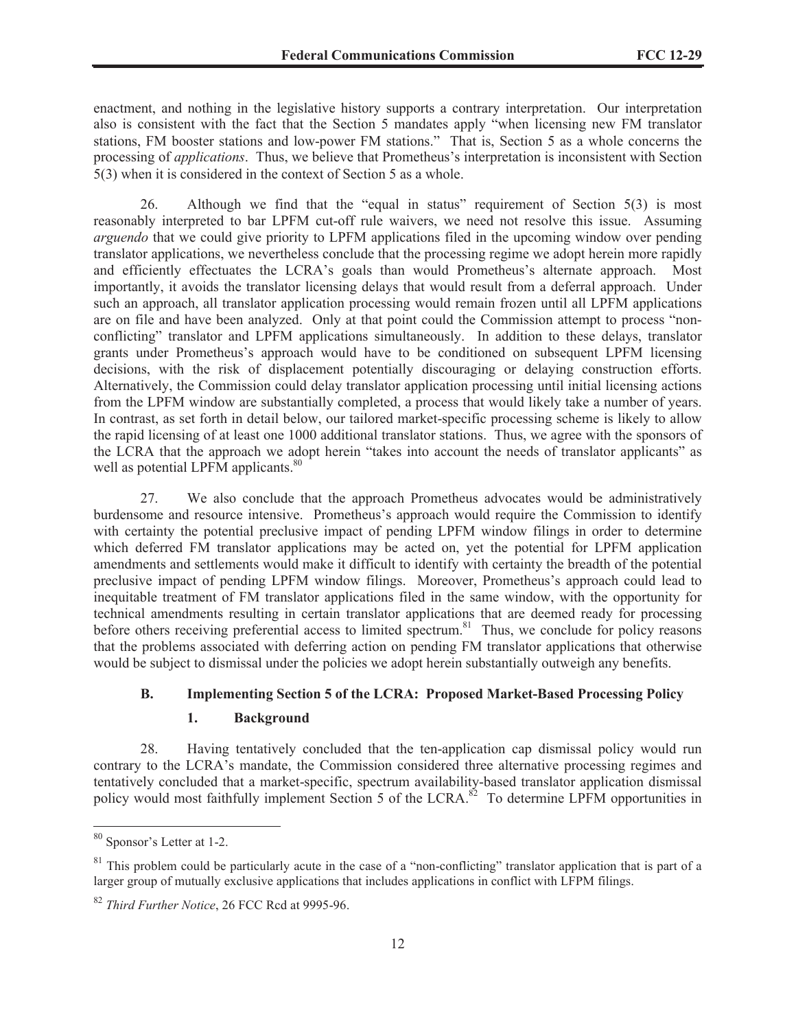enactment, and nothing in the legislative history supports a contrary interpretation. Our interpretation also is consistent with the fact that the Section 5 mandates apply "when licensing new FM translator stations, FM booster stations and low-power FM stations." That is, Section 5 as a whole concerns the processing of *applications*. Thus, we believe that Prometheus's interpretation is inconsistent with Section 5(3) when it is considered in the context of Section 5 as a whole.

26. Although we find that the "equal in status" requirement of Section 5(3) is most reasonably interpreted to bar LPFM cut-off rule waivers, we need not resolve this issue. Assuming *arguendo* that we could give priority to LPFM applications filed in the upcoming window over pending translator applications, we nevertheless conclude that the processing regime we adopt herein more rapidly and efficiently effectuates the LCRA's goals than would Prometheus's alternate approach. Most importantly, it avoids the translator licensing delays that would result from a deferral approach. Under such an approach, all translator application processing would remain frozen until all LPFM applications are on file and have been analyzed. Only at that point could the Commission attempt to process "nonconflicting" translator and LPFM applications simultaneously. In addition to these delays, translator grants under Prometheus's approach would have to be conditioned on subsequent LPFM licensing decisions, with the risk of displacement potentially discouraging or delaying construction efforts. Alternatively, the Commission could delay translator application processing until initial licensing actions from the LPFM window are substantially completed, a process that would likely take a number of years. In contrast, as set forth in detail below, our tailored market-specific processing scheme is likely to allow the rapid licensing of at least one 1000 additional translator stations. Thus, we agree with the sponsors of the LCRA that the approach we adopt herein "takes into account the needs of translator applicants" as well as potential LPFM applicants.<sup>80</sup>

27. We also conclude that the approach Prometheus advocates would be administratively burdensome and resource intensive. Prometheus's approach would require the Commission to identify with certainty the potential preclusive impact of pending LPFM window filings in order to determine which deferred FM translator applications may be acted on, yet the potential for LPFM application amendments and settlements would make it difficult to identify with certainty the breadth of the potential preclusive impact of pending LPFM window filings. Moreover, Prometheus's approach could lead to inequitable treatment of FM translator applications filed in the same window, with the opportunity for technical amendments resulting in certain translator applications that are deemed ready for processing before others receiving preferential access to limited spectrum.<sup>81</sup> Thus, we conclude for policy reasons that the problems associated with deferring action on pending FM translator applications that otherwise would be subject to dismissal under the policies we adopt herein substantially outweigh any benefits.

# **B. Implementing Section 5 of the LCRA: Proposed Market-Based Processing Policy**

#### **1. Background**

28. Having tentatively concluded that the ten-application cap dismissal policy would run contrary to the LCRA's mandate, the Commission considered three alternative processing regimes and tentatively concluded that a market-specific, spectrum availability-based translator application dismissal policy would most faithfully implement Section 5 of the LCRA.<sup>82</sup> To determine LPFM opportunities in

<sup>80</sup> Sponsor's Letter at 1-2.

 $81$  This problem could be particularly acute in the case of a "non-conflicting" translator application that is part of a larger group of mutually exclusive applications that includes applications in conflict with LFPM filings.

<sup>82</sup> *Third Further Notice*, 26 FCC Rcd at 9995-96.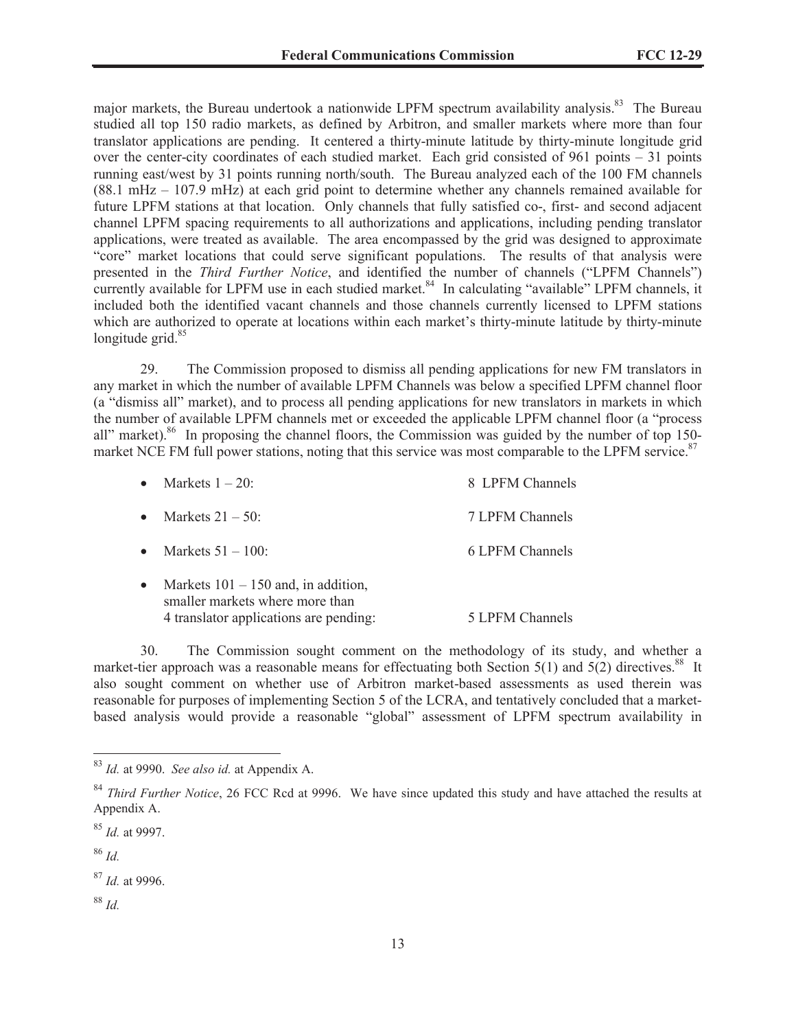major markets, the Bureau undertook a nationwide LPFM spectrum availability analysis.<sup>83</sup> The Bureau studied all top 150 radio markets, as defined by Arbitron, and smaller markets where more than four translator applications are pending. It centered a thirty-minute latitude by thirty-minute longitude grid over the center-city coordinates of each studied market. Each grid consisted of 961 points – 31 points running east/west by 31 points running north/south. The Bureau analyzed each of the 100 FM channels (88.1 mHz – 107.9 mHz) at each grid point to determine whether any channels remained available for future LPFM stations at that location. Only channels that fully satisfied co-, first- and second adjacent channel LPFM spacing requirements to all authorizations and applications, including pending translator applications, were treated as available. The area encompassed by the grid was designed to approximate "core" market locations that could serve significant populations. The results of that analysis were presented in the *Third Further Notice*, and identified the number of channels ("LPFM Channels") currently available for LPFM use in each studied market.<sup>84</sup> In calculating "available" LPFM channels, it included both the identified vacant channels and those channels currently licensed to LPFM stations which are authorized to operate at locations within each market's thirty-minute latitude by thirty-minute longitude grid. $85$ 

29. The Commission proposed to dismiss all pending applications for new FM translators in any market in which the number of available LPFM Channels was below a specified LPFM channel floor (a "dismiss all" market), and to process all pending applications for new translators in markets in which the number of available LPFM channels met or exceeded the applicable LPFM channel floor (a "process all" market).<sup>86</sup> In proposing the channel floors, the Commission was guided by the number of top 150market NCE FM full power stations, noting that this service was most comparable to the LPFM service.<sup>87</sup>

|           | Markets $1 - 20$ :                                                                                                 | 8 LPFM Channels |
|-----------|--------------------------------------------------------------------------------------------------------------------|-----------------|
| $\bullet$ | Markets $21 - 50$ :                                                                                                | 7 LPFM Channels |
| $\bullet$ | Markets $51 - 100$ :                                                                                               | 6 LPFM Channels |
|           | Markets $101 - 150$ and, in addition,<br>smaller markets where more than<br>4 translator applications are pending: | 5 LPFM Channels |

30. The Commission sought comment on the methodology of its study, and whether a market-tier approach was a reasonable means for effectuating both Section 5(1) and 5(2) directives.<sup>88</sup> It also sought comment on whether use of Arbitron market-based assessments as used therein was reasonable for purposes of implementing Section 5 of the LCRA, and tentatively concluded that a marketbased analysis would provide a reasonable "global" assessment of LPFM spectrum availability in

<sup>86</sup> *Id.*

<sup>88</sup> *Id.*

<sup>83</sup> *Id.* at 9990. *See also id.* at Appendix A.

<sup>&</sup>lt;sup>84</sup> *Third Further Notice*, 26 FCC Rcd at 9996. We have since updated this study and have attached the results at Appendix A.

<sup>85</sup> *Id.* at 9997.

<sup>87</sup> *Id.* at 9996.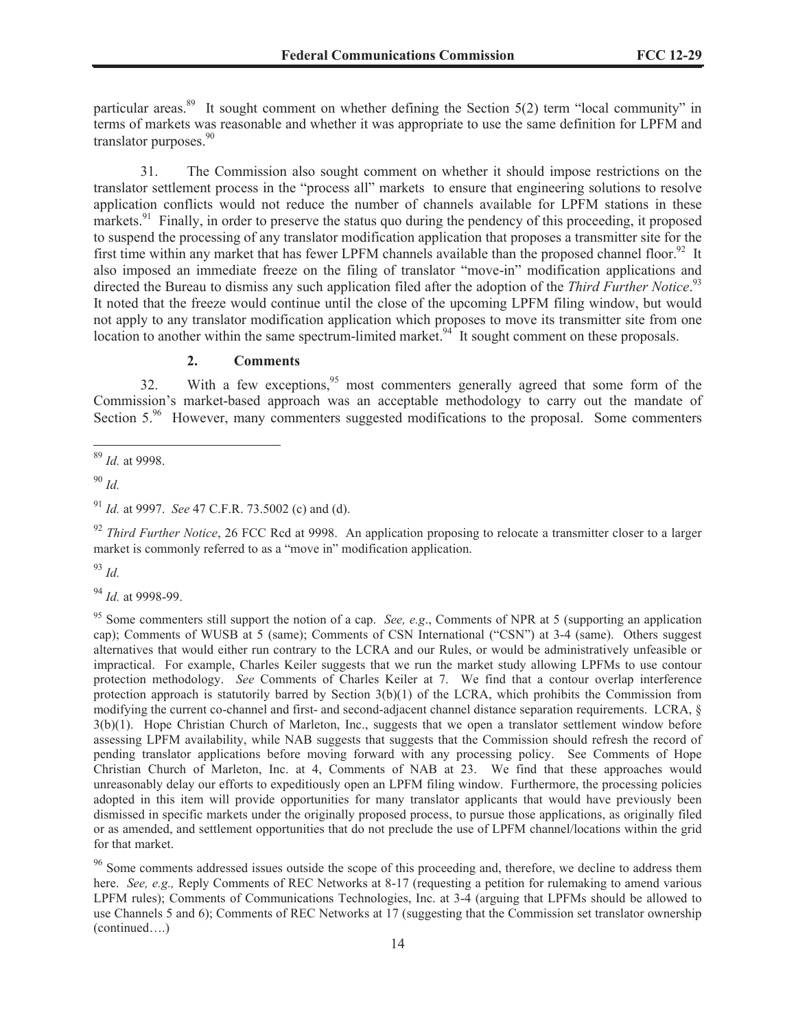particular areas.<sup>89</sup> It sought comment on whether defining the Section 5(2) term "local community" in terms of markets was reasonable and whether it was appropriate to use the same definition for LPFM and translator purposes. $90$ 

31. The Commission also sought comment on whether it should impose restrictions on the translator settlement process in the "process all" markets to ensure that engineering solutions to resolve application conflicts would not reduce the number of channels available for LPFM stations in these markets.<sup>91</sup> Finally, in order to preserve the status quo during the pendency of this proceeding, it proposed to suspend the processing of any translator modification application that proposes a transmitter site for the first time within any market that has fewer LPFM channels available than the proposed channel floor.<sup>92</sup> It also imposed an immediate freeze on the filing of translator "move-in" modification applications and directed the Bureau to dismiss any such application filed after the adoption of the *Third Further Notice*. 93 It noted that the freeze would continue until the close of the upcoming LPFM filing window, but would not apply to any translator modification application which proposes to move its transmitter site from one location to another within the same spectrum-limited market.<sup>94</sup> It sought comment on these proposals.

# **2. Comments**

32. With a few exceptions,<sup>95</sup> most commenters generally agreed that some form of the Commission's market-based approach was an acceptable methodology to carry out the mandate of Section 5.<sup>96</sup> However, many commenters suggested modifications to the proposal. Some commenters

<sup>89</sup> *Id.* at 9998.

<sup>90</sup> *Id.*

<sup>91</sup> *Id.* at 9997. *See* 47 C.F.R. 73.5002 (c) and (d).

<sup>92</sup> *Third Further Notice*, 26 FCC Rcd at 9998. An application proposing to relocate a transmitter closer to a larger market is commonly referred to as a "move in" modification application.

<sup>93</sup> *Id.*

<sup>94</sup> *Id.* at 9998-99.

<sup>95</sup> Some commenters still support the notion of a cap. *See, e.g.*, Comments of NPR at 5 (supporting an application cap); Comments of WUSB at 5 (same); Comments of CSN International ("CSN") at 3-4 (same). Others suggest alternatives that would either run contrary to the LCRA and our Rules, or would be administratively unfeasible or impractical. For example, Charles Keiler suggests that we run the market study allowing LPFMs to use contour protection methodology. *See* Comments of Charles Keiler at 7. We find that a contour overlap interference protection approach is statutorily barred by Section 3(b)(1) of the LCRA, which prohibits the Commission from modifying the current co-channel and first- and second-adjacent channel distance separation requirements. LCRA, § 3(b)(1). Hope Christian Church of Marleton, Inc., suggests that we open a translator settlement window before assessing LPFM availability, while NAB suggests that suggests that the Commission should refresh the record of pending translator applications before moving forward with any processing policy. See Comments of Hope Christian Church of Marleton, Inc. at 4, Comments of NAB at 23. We find that these approaches would unreasonably delay our efforts to expeditiously open an LPFM filing window. Furthermore, the processing policies adopted in this item will provide opportunities for many translator applicants that would have previously been dismissed in specific markets under the originally proposed process, to pursue those applications, as originally filed or as amended, and settlement opportunities that do not preclude the use of LPFM channel/locations within the grid for that market.

<sup>96</sup> Some comments addressed issues outside the scope of this proceeding and, therefore, we decline to address them here. *See, e.g.,* Reply Comments of REC Networks at 8-17 (requesting a petition for rulemaking to amend various LPFM rules); Comments of Communications Technologies, Inc. at 3-4 (arguing that LPFMs should be allowed to use Channels 5 and 6); Comments of REC Networks at 17 (suggesting that the Commission set translator ownership (continued….)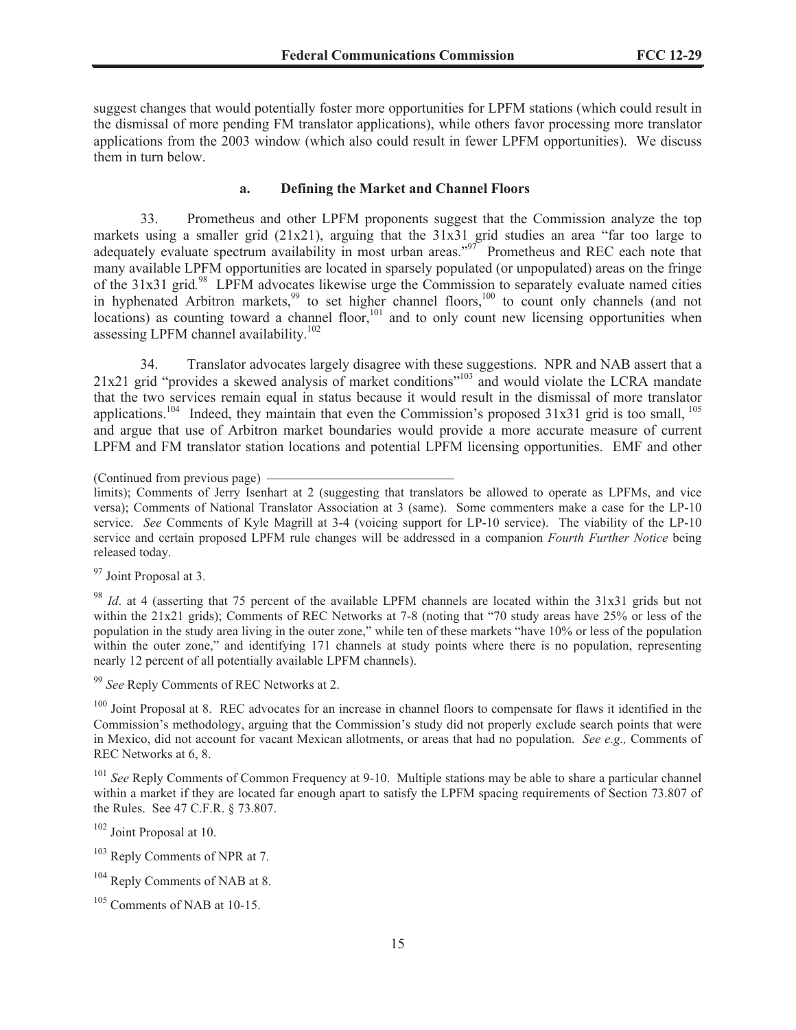suggest changes that would potentially foster more opportunities for LPFM stations (which could result in the dismissal of more pending FM translator applications), while others favor processing more translator applications from the 2003 window (which also could result in fewer LPFM opportunities). We discuss them in turn below.

#### **a. Defining the Market and Channel Floors**

33. Prometheus and other LPFM proponents suggest that the Commission analyze the top markets using a smaller grid (21x21), arguing that the 31x31 grid studies an area "far too large to adequately evaluate spectrum availability in most urban areas."<sup>97</sup> Prometheus and REC each note that many available LPFM opportunities are located in sparsely populated (or unpopulated) areas on the fringe of the 31x31 grid.<sup>98</sup> LPFM advocates likewise urge the Commission to separately evaluate named cities in hyphenated Arbitron markets,<sup>99</sup> to set higher channel floors, $100$  to count only channels (and not locations) as counting toward a channel floor,<sup>101</sup> and to only count new licensing opportunities when assessing LPFM channel availability.<sup>102</sup>

34. Translator advocates largely disagree with these suggestions. NPR and NAB assert that a 21x21 grid "provides a skewed analysis of market conditions"<sup>103</sup> and would violate the LCRA mandate that the two services remain equal in status because it would result in the dismissal of more translator applications.<sup>104</sup> Indeed, they maintain that even the Commission's proposed  $31x31$  grid is too small, <sup>105</sup> and argue that use of Arbitron market boundaries would provide a more accurate measure of current LPFM and FM translator station locations and potential LPFM licensing opportunities. EMF and other

<sup>97</sup> Joint Proposal at 3.

<sup>99</sup> *See* Reply Comments of REC Networks at 2.

<sup>100</sup> Joint Proposal at 8. REC advocates for an increase in channel floors to compensate for flaws it identified in the Commission's methodology, arguing that the Commission's study did not properly exclude search points that were in Mexico, did not account for vacant Mexican allotments, or areas that had no population. *See e.g.,* Comments of REC Networks at 6, 8.

<sup>101</sup> *See* Reply Comments of Common Frequency at 9-10. Multiple stations may be able to share a particular channel within a market if they are located far enough apart to satisfy the LPFM spacing requirements of Section 73.807 of the Rules. See 47 C.F.R. § 73.807.

<sup>102</sup> Joint Proposal at 10.

<sup>103</sup> Reply Comments of NPR at 7.

<sup>(</sup>Continued from previous page)

limits); Comments of Jerry Isenhart at 2 (suggesting that translators be allowed to operate as LPFMs, and vice versa); Comments of National Translator Association at 3 (same). Some commenters make a case for the LP-10 service. *See* Comments of Kyle Magrill at 3-4 (voicing support for LP-10 service). The viability of the LP-10 service and certain proposed LPFM rule changes will be addressed in a companion *Fourth Further Notice* being released today.

<sup>98</sup> *Id*. at 4 (asserting that 75 percent of the available LPFM channels are located within the 31x31 grids but not within the 21x21 grids); Comments of REC Networks at 7-8 (noting that "70 study areas have 25% or less of the population in the study area living in the outer zone," while ten of these markets "have 10% or less of the population within the outer zone," and identifying 171 channels at study points where there is no population, representing nearly 12 percent of all potentially available LPFM channels).

<sup>&</sup>lt;sup>104</sup> Reply Comments of NAB at 8.

<sup>105</sup> Comments of NAB at 10-15.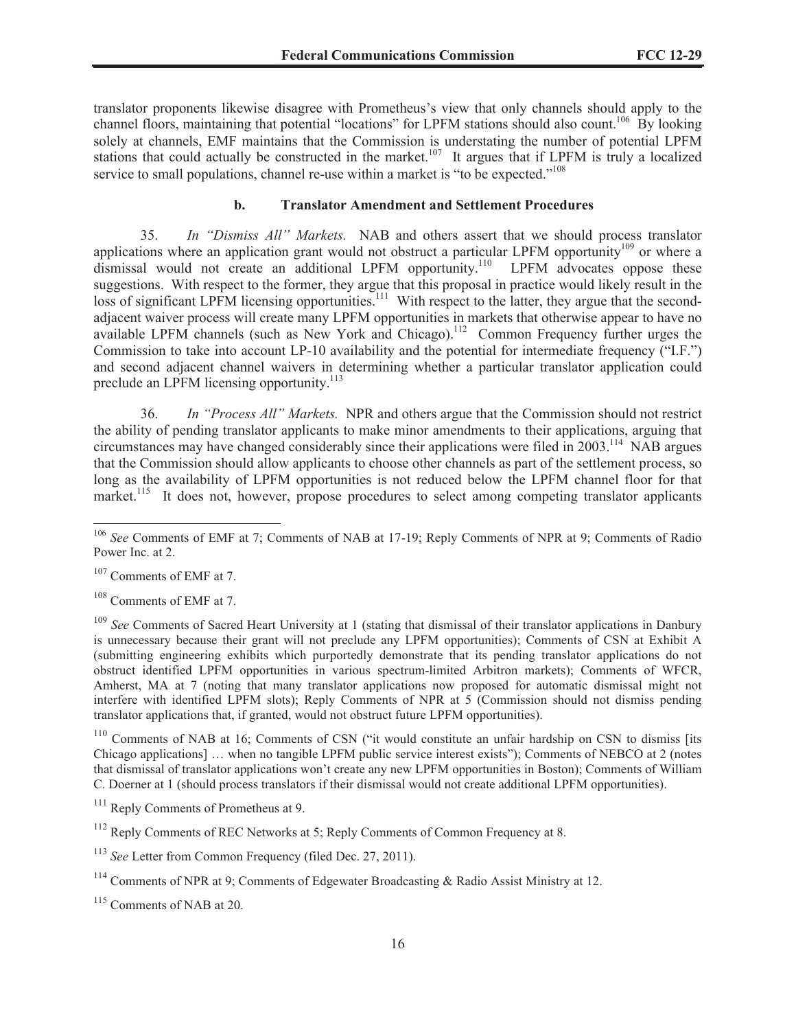translator proponents likewise disagree with Prometheus's view that only channels should apply to the channel floors, maintaining that potential "locations" for LPFM stations should also count.<sup>106</sup> By looking solely at channels, EMF maintains that the Commission is understating the number of potential LPFM stations that could actually be constructed in the market.<sup>107</sup> It argues that if LPFM is truly a localized service to small populations, channel re-use within a market is "to be expected."<sup>108</sup>

#### **b. Translator Amendment and Settlement Procedures**

35. *In "Dismiss All" Markets.* NAB and others assert that we should process translator applications where an application grant would not obstruct a particular LPFM opportunity<sup>109</sup> or where a dismissal would not create an additional LPFM opportunity.<sup>110</sup> LPFM advocates oppose these suggestions. With respect to the former, they argue that this proposal in practice would likely result in the loss of significant LPFM licensing opportunities.<sup>111</sup> With respect to the latter, they argue that the secondadjacent waiver process will create many LPFM opportunities in markets that otherwise appear to have no available LPFM channels (such as New York and Chicago).<sup>112</sup> Common Frequency further urges the Commission to take into account LP-10 availability and the potential for intermediate frequency ("I.F.") and second adjacent channel waivers in determining whether a particular translator application could preclude an LPFM licensing opportunity.<sup>113</sup>

36. *In "Process All" Markets.* NPR and others argue that the Commission should not restrict the ability of pending translator applicants to make minor amendments to their applications, arguing that circumstances may have changed considerably since their applications were filed in 2003.<sup>114</sup> NAB argues that the Commission should allow applicants to choose other channels as part of the settlement process, so long as the availability of LPFM opportunities is not reduced below the LPFM channel floor for that market.<sup>115</sup> It does not, however, propose procedures to select among competing translator applicants

<sup>107</sup> Comments of EMF at 7.

<sup>108</sup> Comments of EMF at 7.

<sup>109</sup> *See* Comments of Sacred Heart University at 1 (stating that dismissal of their translator applications in Danbury is unnecessary because their grant will not preclude any LPFM opportunities); Comments of CSN at Exhibit A (submitting engineering exhibits which purportedly demonstrate that its pending translator applications do not obstruct identified LPFM opportunities in various spectrum-limited Arbitron markets); Comments of WFCR, Amherst, MA at 7 (noting that many translator applications now proposed for automatic dismissal might not interfere with identified LPFM slots); Reply Comments of NPR at 5 (Commission should not dismiss pending translator applications that, if granted, would not obstruct future LPFM opportunities).

<sup>110</sup> Comments of NAB at 16; Comments of CSN ("it would constitute an unfair hardship on CSN to dismiss [its Chicago applications] … when no tangible LPFM public service interest exists"); Comments of NEBCO at 2 (notes that dismissal of translator applications won't create any new LPFM opportunities in Boston); Comments of William C. Doerner at 1 (should process translators if their dismissal would not create additional LPFM opportunities).

<sup>106</sup> *See* Comments of EMF at 7; Comments of NAB at 17-19; Reply Comments of NPR at 9; Comments of Radio Power Inc. at 2.

<sup>&</sup>lt;sup>111</sup> Reply Comments of Prometheus at 9.

 $112$  Reply Comments of REC Networks at 5; Reply Comments of Common Frequency at 8.

<sup>113</sup> *See* Letter from Common Frequency (filed Dec. 27, 2011).

<sup>&</sup>lt;sup>114</sup> Comments of NPR at 9; Comments of Edgewater Broadcasting & Radio Assist Ministry at 12.

<sup>&</sup>lt;sup>115</sup> Comments of NAB at 20.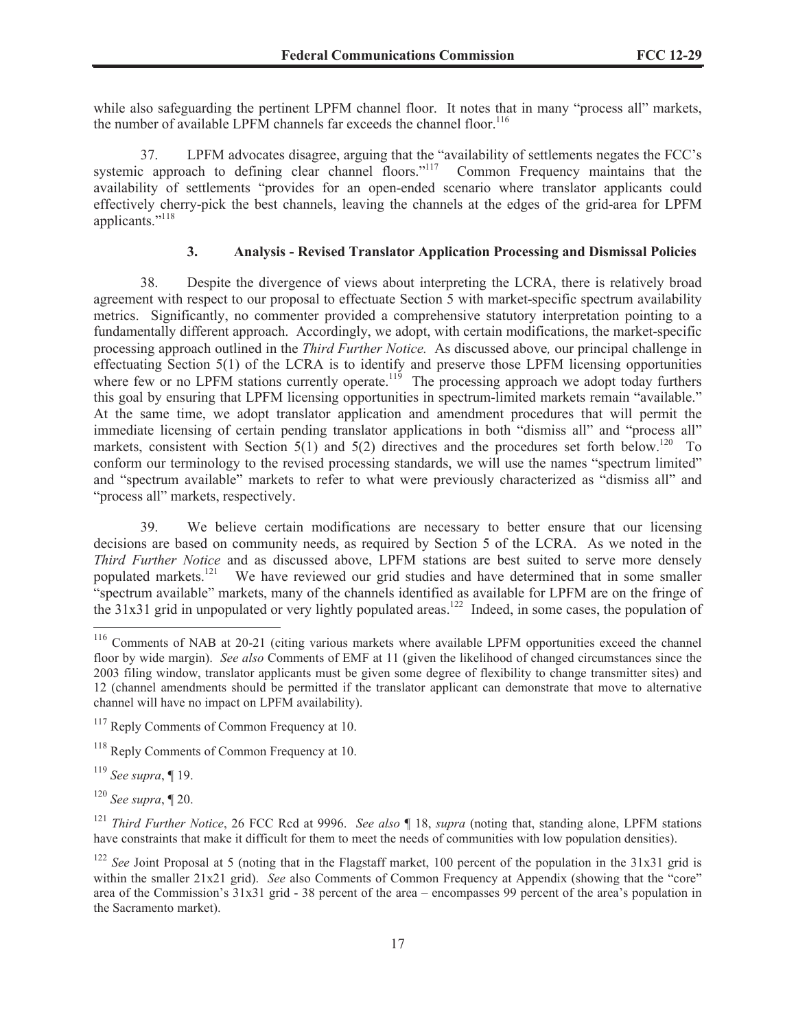while also safeguarding the pertinent LPFM channel floor. It notes that in many "process all" markets, the number of available LPFM channels far exceeds the channel floor.<sup>116</sup>

37. LPFM advocates disagree, arguing that the "availability of settlements negates the FCC's systemic approach to defining clear channel floors."<sup>117</sup> Common Frequency maintains that the availability of settlements "provides for an open-ended scenario where translator applicants could effectively cherry-pick the best channels, leaving the channels at the edges of the grid-area for LPFM applicants."<sup>118</sup>

# **3. Analysis - Revised Translator Application Processing and Dismissal Policies**

38. Despite the divergence of views about interpreting the LCRA, there is relatively broad agreement with respect to our proposal to effectuate Section 5 with market-specific spectrum availability metrics. Significantly, no commenter provided a comprehensive statutory interpretation pointing to a fundamentally different approach. Accordingly, we adopt, with certain modifications, the market-specific processing approach outlined in the *Third Further Notice.* As discussed above*,* our principal challenge in effectuating Section 5(1) of the LCRA is to identify and preserve those LPFM licensing opportunities where few or no LPFM stations currently operate.<sup>119</sup> The processing approach we adopt today furthers this goal by ensuring that LPFM licensing opportunities in spectrum-limited markets remain "available." At the same time, we adopt translator application and amendment procedures that will permit the immediate licensing of certain pending translator applications in both "dismiss all" and "process all" markets, consistent with Section 5(1) and 5(2) directives and the procedures set forth below.<sup>120</sup> To conform our terminology to the revised processing standards, we will use the names "spectrum limited" and "spectrum available" markets to refer to what were previously characterized as "dismiss all" and "process all" markets, respectively.

39. We believe certain modifications are necessary to better ensure that our licensing decisions are based on community needs, as required by Section 5 of the LCRA. As we noted in the *Third Further Notice* and as discussed above, LPFM stations are best suited to serve more densely populated markets.<sup>121</sup> We have reviewed our grid studies and have determined that in some smaller "spectrum available" markets, many of the channels identified as available for LPFM are on the fringe of the 31x31 grid in unpopulated or very lightly populated areas.<sup>122</sup> Indeed, in some cases, the population of

<sup>119</sup> *See supra*, ¶ 19.

<sup>120</sup> *See supra*, ¶ 20.

<sup>116</sup> Comments of NAB at 20-21 (citing various markets where available LPFM opportunities exceed the channel floor by wide margin). *See also* Comments of EMF at 11 (given the likelihood of changed circumstances since the 2003 filing window, translator applicants must be given some degree of flexibility to change transmitter sites) and 12 (channel amendments should be permitted if the translator applicant can demonstrate that move to alternative channel will have no impact on LPFM availability).

<sup>&</sup>lt;sup>117</sup> Reply Comments of Common Frequency at 10.

<sup>118</sup> Reply Comments of Common Frequency at 10.

<sup>121</sup> *Third Further Notice*, 26 FCC Rcd at 9996. *See also* ¶ 18, *supra* (noting that, standing alone, LPFM stations have constraints that make it difficult for them to meet the needs of communities with low population densities).

<sup>&</sup>lt;sup>122</sup> *See* Joint Proposal at 5 (noting that in the Flagstaff market, 100 percent of the population in the 31x31 grid is within the smaller 21x21 grid). *See* also Comments of Common Frequency at Appendix (showing that the "core" area of the Commission's 31x31 grid - 38 percent of the area – encompasses 99 percent of the area's population in the Sacramento market).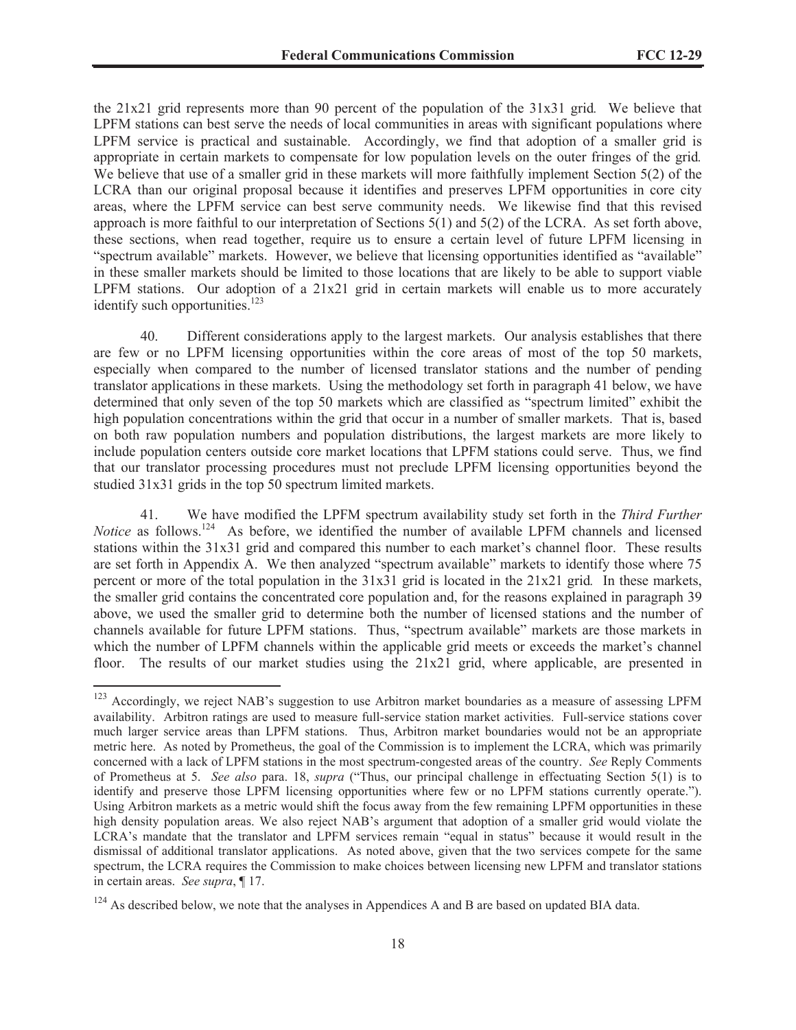the 21x21 grid represents more than 90 percent of the population of the 31x31 grid*.* We believe that LPFM stations can best serve the needs of local communities in areas with significant populations where LPFM service is practical and sustainable. Accordingly, we find that adoption of a smaller grid is appropriate in certain markets to compensate for low population levels on the outer fringes of the grid*.* We believe that use of a smaller grid in these markets will more faithfully implement Section 5(2) of the LCRA than our original proposal because it identifies and preserves LPFM opportunities in core city areas, where the LPFM service can best serve community needs. We likewise find that this revised approach is more faithful to our interpretation of Sections 5(1) and 5(2) of the LCRA. As set forth above, these sections, when read together, require us to ensure a certain level of future LPFM licensing in "spectrum available" markets. However, we believe that licensing opportunities identified as "available" in these smaller markets should be limited to those locations that are likely to be able to support viable LPFM stations. Our adoption of a  $21x21$  grid in certain markets will enable us to more accurately identify such opportunities. $123$ 

40. Different considerations apply to the largest markets. Our analysis establishes that there are few or no LPFM licensing opportunities within the core areas of most of the top 50 markets, especially when compared to the number of licensed translator stations and the number of pending translator applications in these markets. Using the methodology set forth in paragraph 41 below, we have determined that only seven of the top 50 markets which are classified as "spectrum limited" exhibit the high population concentrations within the grid that occur in a number of smaller markets. That is, based on both raw population numbers and population distributions, the largest markets are more likely to include population centers outside core market locations that LPFM stations could serve. Thus, we find that our translator processing procedures must not preclude LPFM licensing opportunities beyond the studied 31x31 grids in the top 50 spectrum limited markets.

41. We have modified the LPFM spectrum availability study set forth in the *Third Further Notice* as follows.<sup>124</sup> As before, we identified the number of available LPFM channels and licensed stations within the 31x31 grid and compared this number to each market's channel floor. These results are set forth in Appendix A. We then analyzed "spectrum available" markets to identify those where 75 percent or more of the total population in the 31x31 grid is located in the 21x21 grid*.* In these markets, the smaller grid contains the concentrated core population and, for the reasons explained in paragraph 39 above, we used the smaller grid to determine both the number of licensed stations and the number of channels available for future LPFM stations. Thus, "spectrum available" markets are those markets in which the number of LPFM channels within the applicable grid meets or exceeds the market's channel floor. The results of our market studies using the 21x21 grid, where applicable, are presented in

<sup>&</sup>lt;sup>123</sup> Accordingly, we reject NAB's suggestion to use Arbitron market boundaries as a measure of assessing LPFM availability. Arbitron ratings are used to measure full-service station market activities. Full-service stations cover much larger service areas than LPFM stations. Thus, Arbitron market boundaries would not be an appropriate metric here. As noted by Prometheus, the goal of the Commission is to implement the LCRA, which was primarily concerned with a lack of LPFM stations in the most spectrum-congested areas of the country. *See* Reply Comments of Prometheus at 5. *See also* para. 18, *supra* ("Thus, our principal challenge in effectuating Section 5(1) is to identify and preserve those LPFM licensing opportunities where few or no LPFM stations currently operate."). Using Arbitron markets as a metric would shift the focus away from the few remaining LPFM opportunities in these high density population areas. We also reject NAB's argument that adoption of a smaller grid would violate the LCRA's mandate that the translator and LPFM services remain "equal in status" because it would result in the dismissal of additional translator applications. As noted above, given that the two services compete for the same spectrum, the LCRA requires the Commission to make choices between licensing new LPFM and translator stations in certain areas. *See supra*, ¶ 17.

<sup>&</sup>lt;sup>124</sup> As described below, we note that the analyses in Appendices A and B are based on updated BIA data.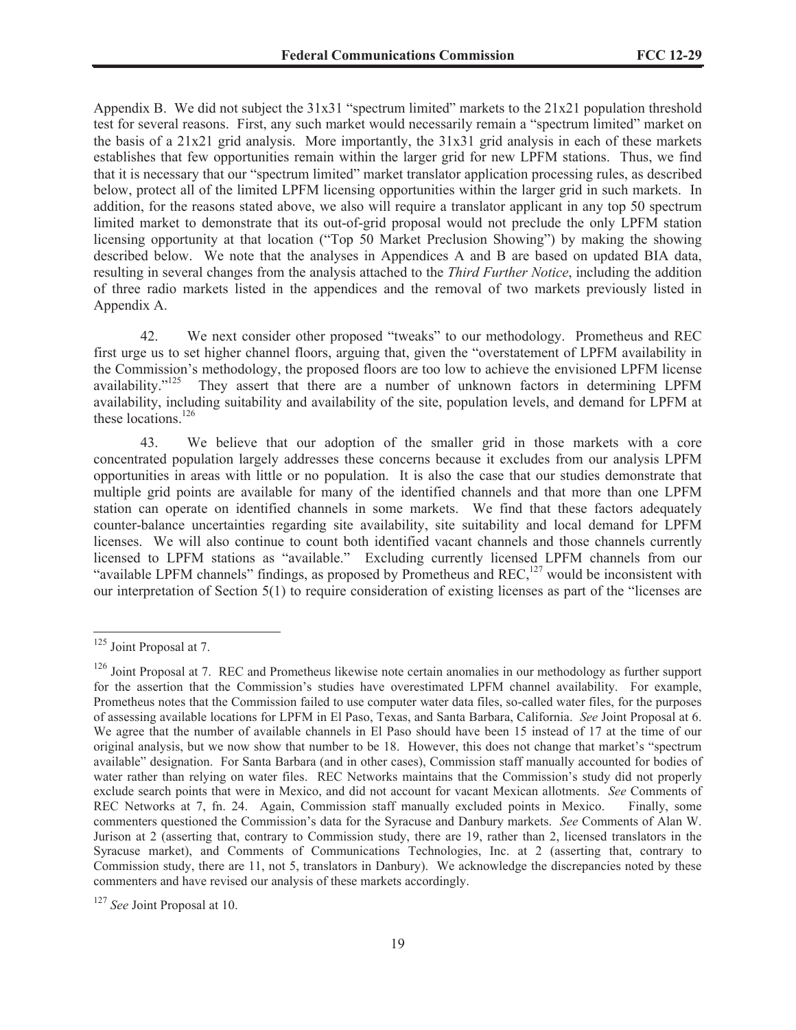Appendix B. We did not subject the 31x31 "spectrum limited" markets to the 21x21 population threshold test for several reasons. First, any such market would necessarily remain a "spectrum limited" market on the basis of a  $21x21$  grid analysis. More importantly, the  $31x31$  grid analysis in each of these markets establishes that few opportunities remain within the larger grid for new LPFM stations. Thus, we find that it is necessary that our "spectrum limited" market translator application processing rules, as described below, protect all of the limited LPFM licensing opportunities within the larger grid in such markets. In addition, for the reasons stated above, we also will require a translator applicant in any top 50 spectrum limited market to demonstrate that its out-of-grid proposal would not preclude the only LPFM station licensing opportunity at that location ("Top 50 Market Preclusion Showing") by making the showing described below. We note that the analyses in Appendices A and B are based on updated BIA data, resulting in several changes from the analysis attached to the *Third Further Notice*, including the addition of three radio markets listed in the appendices and the removal of two markets previously listed in Appendix A.

42. We next consider other proposed "tweaks" to our methodology. Prometheus and REC first urge us to set higher channel floors, arguing that, given the "overstatement of LPFM availability in the Commission's methodology, the proposed floors are too low to achieve the envisioned LPFM license availability."<sup>125</sup> They assert that there are a number of unknown factors in determining LPFM availability, including suitability and availability of the site, population levels, and demand for LPFM at these locations.<sup>126</sup>

43. We believe that our adoption of the smaller grid in those markets with a core concentrated population largely addresses these concerns because it excludes from our analysis LPFM opportunities in areas with little or no population. It is also the case that our studies demonstrate that multiple grid points are available for many of the identified channels and that more than one LPFM station can operate on identified channels in some markets. We find that these factors adequately counter-balance uncertainties regarding site availability, site suitability and local demand for LPFM licenses. We will also continue to count both identified vacant channels and those channels currently licensed to LPFM stations as "available." Excluding currently licensed LPFM channels from our "available LPFM channels" findings, as proposed by Prometheus and REC, $^{127}$  would be inconsistent with our interpretation of Section 5(1) to require consideration of existing licenses as part of the "licenses are

<sup>&</sup>lt;sup>125</sup> Joint Proposal at 7.

<sup>&</sup>lt;sup>126</sup> Joint Proposal at 7. REC and Prometheus likewise note certain anomalies in our methodology as further support for the assertion that the Commission's studies have overestimated LPFM channel availability. For example, Prometheus notes that the Commission failed to use computer water data files, so-called water files, for the purposes of assessing available locations for LPFM in El Paso, Texas, and Santa Barbara, California. *See* Joint Proposal at 6. We agree that the number of available channels in El Paso should have been 15 instead of 17 at the time of our original analysis, but we now show that number to be 18. However, this does not change that market's "spectrum available" designation. For Santa Barbara (and in other cases), Commission staff manually accounted for bodies of water rather than relying on water files. REC Networks maintains that the Commission's study did not properly exclude search points that were in Mexico, and did not account for vacant Mexican allotments. *See* Comments of REC Networks at 7, fn. 24. Again, Commission staff manually excluded points in Mexico. Finally, some commenters questioned the Commission's data for the Syracuse and Danbury markets. *See* Comments of Alan W. Jurison at 2 (asserting that, contrary to Commission study, there are 19, rather than 2, licensed translators in the Syracuse market), and Comments of Communications Technologies, Inc. at 2 (asserting that, contrary to Commission study, there are 11, not 5, translators in Danbury). We acknowledge the discrepancies noted by these commenters and have revised our analysis of these markets accordingly.

<sup>127</sup> *See* Joint Proposal at 10.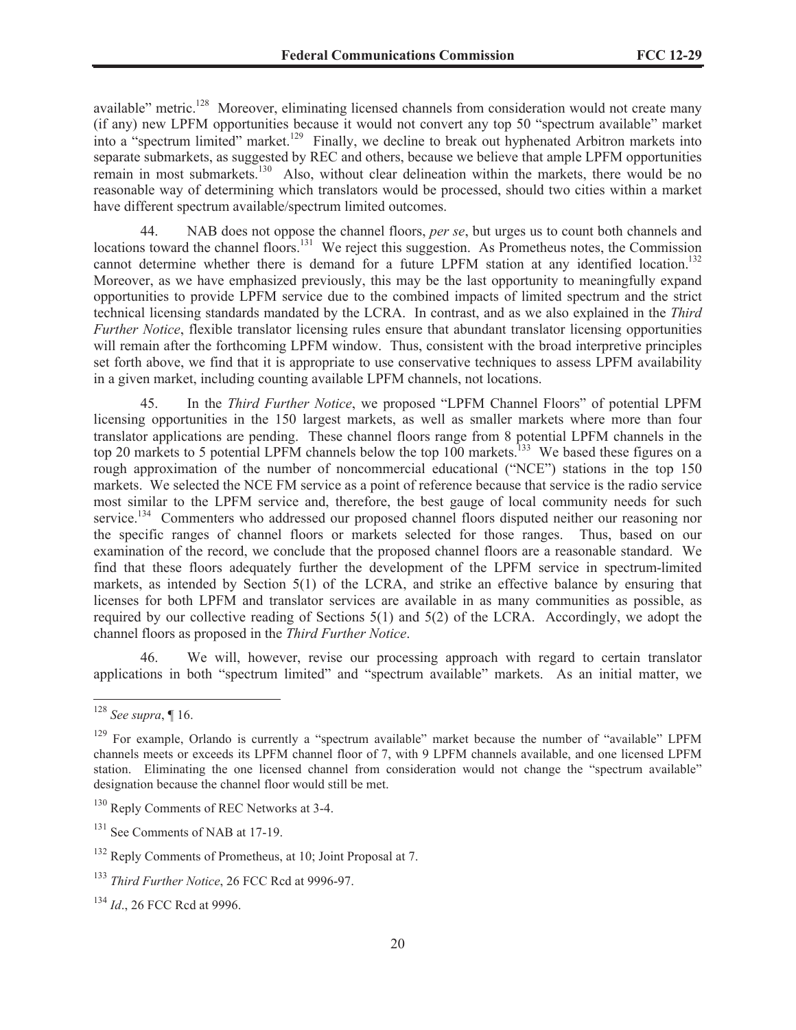available" metric.<sup>128</sup> Moreover, eliminating licensed channels from consideration would not create many (if any) new LPFM opportunities because it would not convert any top 50 "spectrum available" market into a "spectrum limited" market.<sup>129</sup> Finally, we decline to break out hyphenated Arbitron markets into separate submarkets, as suggested by REC and others, because we believe that ample LPFM opportunities remain in most submarkets.<sup>130</sup> Also, without clear delineation within the markets, there would be no reasonable way of determining which translators would be processed, should two cities within a market have different spectrum available/spectrum limited outcomes.

44. NAB does not oppose the channel floors, *per se*, but urges us to count both channels and locations toward the channel floors.<sup>131</sup> We reject this suggestion. As Prometheus notes, the Commission cannot determine whether there is demand for a future LPFM station at any identified location.<sup>132</sup> Moreover, as we have emphasized previously, this may be the last opportunity to meaningfully expand opportunities to provide LPFM service due to the combined impacts of limited spectrum and the strict technical licensing standards mandated by the LCRA. In contrast, and as we also explained in the *Third Further Notice*, flexible translator licensing rules ensure that abundant translator licensing opportunities will remain after the forthcoming LPFM window. Thus, consistent with the broad interpretive principles set forth above, we find that it is appropriate to use conservative techniques to assess LPFM availability in a given market, including counting available LPFM channels, not locations.

45. In the *Third Further Notice*, we proposed "LPFM Channel Floors" of potential LPFM licensing opportunities in the 150 largest markets, as well as smaller markets where more than four translator applications are pending. These channel floors range from 8 potential LPFM channels in the top 20 markets to 5 potential LPFM channels below the top 100 markets.<sup>133</sup> We based these figures on a rough approximation of the number of noncommercial educational ("NCE") stations in the top 150 markets. We selected the NCE FM service as a point of reference because that service is the radio service most similar to the LPFM service and, therefore, the best gauge of local community needs for such service.<sup>134</sup> Commenters who addressed our proposed channel floors disputed neither our reasoning nor the specific ranges of channel floors or markets selected for those ranges. Thus, based on our examination of the record, we conclude that the proposed channel floors are a reasonable standard. We find that these floors adequately further the development of the LPFM service in spectrum-limited markets, as intended by Section 5(1) of the LCRA, and strike an effective balance by ensuring that licenses for both LPFM and translator services are available in as many communities as possible, as required by our collective reading of Sections  $5(1)$  and  $5(2)$  of the LCRA. Accordingly, we adopt the channel floors as proposed in the *Third Further Notice*.

46. We will, however, revise our processing approach with regard to certain translator applications in both "spectrum limited" and "spectrum available" markets. As an initial matter, we

<sup>128</sup> *See supra*, ¶ 16.

<sup>&</sup>lt;sup>129</sup> For example, Orlando is currently a "spectrum available" market because the number of "available" LPFM channels meets or exceeds its LPFM channel floor of 7, with 9 LPFM channels available, and one licensed LPFM station. Eliminating the one licensed channel from consideration would not change the "spectrum available" designation because the channel floor would still be met.

<sup>&</sup>lt;sup>130</sup> Reply Comments of REC Networks at 3-4.

 $131$  See Comments of NAB at 17-19.

<sup>132</sup> Reply Comments of Prometheus, at 10; Joint Proposal at 7.

<sup>133</sup> *Third Further Notice*, 26 FCC Rcd at 9996-97.

<sup>134</sup> *Id*., 26 FCC Rcd at 9996.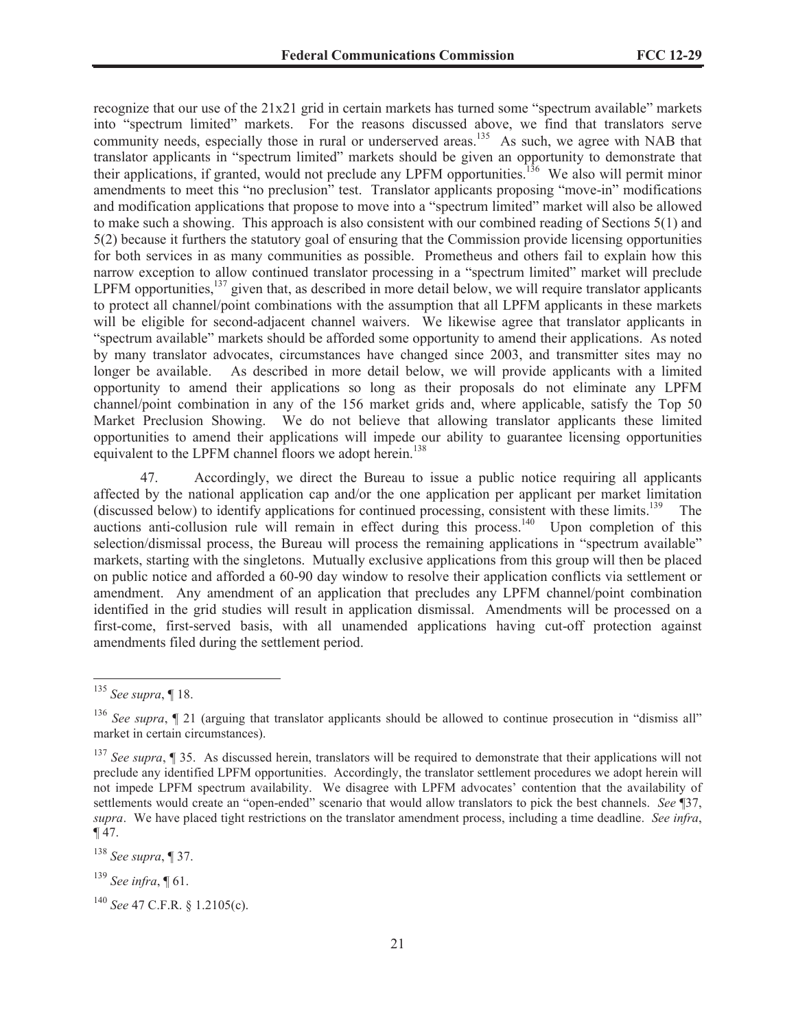recognize that our use of the 21x21 grid in certain markets has turned some "spectrum available" markets into "spectrum limited" markets. For the reasons discussed above, we find that translators serve community needs, especially those in rural or underserved areas.<sup>135</sup> As such, we agree with NAB that translator applicants in "spectrum limited" markets should be given an opportunity to demonstrate that their applications, if granted, would not preclude any LPFM opportunities.<sup>136</sup> We also will permit minor amendments to meet this "no preclusion" test. Translator applicants proposing "move-in" modifications and modification applications that propose to move into a "spectrum limited" market will also be allowed to make such a showing. This approach is also consistent with our combined reading of Sections 5(1) and 5(2) because it furthers the statutory goal of ensuring that the Commission provide licensing opportunities for both services in as many communities as possible. Prometheus and others fail to explain how this narrow exception to allow continued translator processing in a "spectrum limited" market will preclude LPFM opportunities, $^{137}$  given that, as described in more detail below, we will require translator applicants to protect all channel/point combinations with the assumption that all LPFM applicants in these markets will be eligible for second-adjacent channel waivers. We likewise agree that translator applicants in "spectrum available" markets should be afforded some opportunity to amend their applications. As noted by many translator advocates, circumstances have changed since 2003, and transmitter sites may no longer be available. As described in more detail below, we will provide applicants with a limited opportunity to amend their applications so long as their proposals do not eliminate any LPFM channel/point combination in any of the 156 market grids and, where applicable, satisfy the Top 50 Market Preclusion Showing. We do not believe that allowing translator applicants these limited opportunities to amend their applications will impede our ability to guarantee licensing opportunities equivalent to the LPFM channel floors we adopt herein.<sup>138</sup>

47. Accordingly, we direct the Bureau to issue a public notice requiring all applicants affected by the national application cap and/or the one application per applicant per market limitation (discussed below) to identify applications for continued processing, consistent with these limits.<sup>139</sup> The auctions anti-collusion rule will remain in effect during this process.<sup>140</sup> Upon completion of this selection/dismissal process, the Bureau will process the remaining applications in "spectrum available" markets, starting with the singletons. Mutually exclusive applications from this group will then be placed on public notice and afforded a 60-90 day window to resolve their application conflicts via settlement or amendment. Any amendment of an application that precludes any LPFM channel/point combination identified in the grid studies will result in application dismissal. Amendments will be processed on a first-come, first-served basis, with all unamended applications having cut-off protection against amendments filed during the settlement period.

<sup>135</sup> *See supra*, ¶ 18.

<sup>136</sup> *See supra*, ¶ 21 (arguing that translator applicants should be allowed to continue prosecution in "dismiss all" market in certain circumstances).

<sup>137</sup> *See supra*, ¶ 35. As discussed herein, translators will be required to demonstrate that their applications will not preclude any identified LPFM opportunities. Accordingly, the translator settlement procedures we adopt herein will not impede LPFM spectrum availability. We disagree with LPFM advocates' contention that the availability of settlements would create an "open-ended" scenario that would allow translators to pick the best channels. *See* ¶37, *supra*. We have placed tight restrictions on the translator amendment process, including a time deadline. *See infra*,  $\P$  47.

<sup>138</sup> *See supra*, ¶ 37.

<sup>139</sup> *See infra*, ¶ 61.

<sup>140</sup> *See* 47 C.F.R. § 1.2105(c).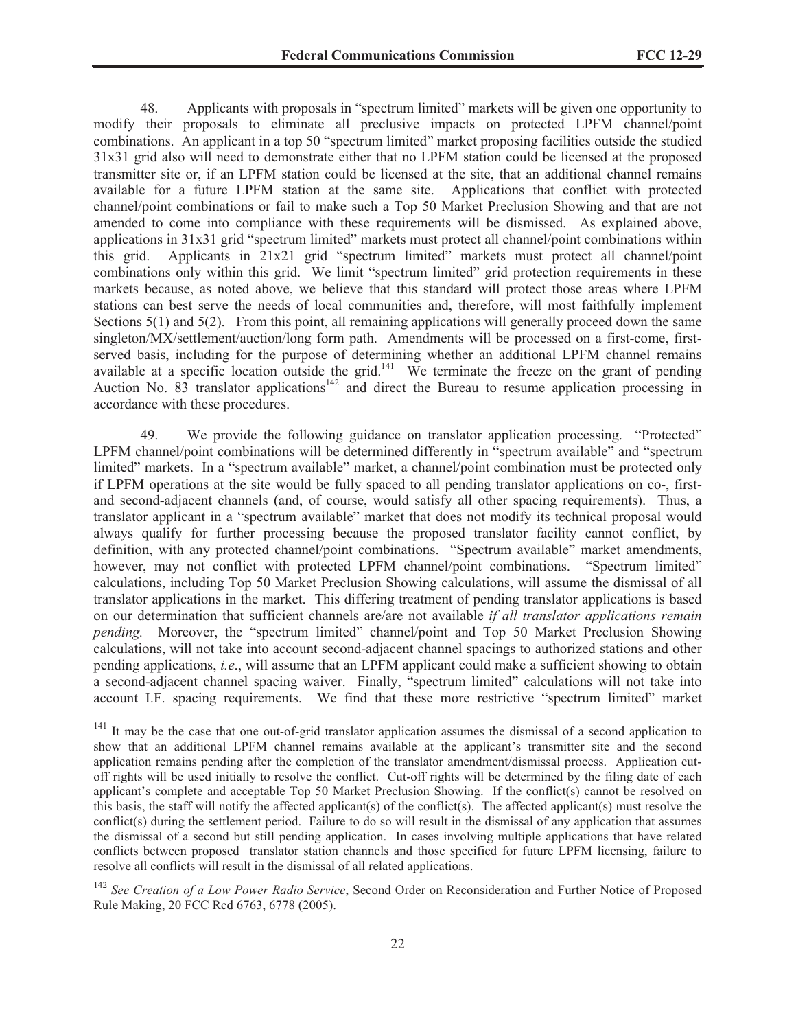48. Applicants with proposals in "spectrum limited" markets will be given one opportunity to modify their proposals to eliminate all preclusive impacts on protected LPFM channel/point combinations. An applicant in a top 50 "spectrum limited" market proposing facilities outside the studied 31x31 grid also will need to demonstrate either that no LPFM station could be licensed at the proposed transmitter site or, if an LPFM station could be licensed at the site, that an additional channel remains available for a future LPFM station at the same site. Applications that conflict with protected channel/point combinations or fail to make such a Top 50 Market Preclusion Showing and that are not amended to come into compliance with these requirements will be dismissed. As explained above, applications in 31x31 grid "spectrum limited" markets must protect all channel/point combinations within this grid. Applicants in 21x21 grid "spectrum limited" markets must protect all channel/point combinations only within this grid. We limit "spectrum limited" grid protection requirements in these markets because, as noted above, we believe that this standard will protect those areas where LPFM stations can best serve the needs of local communities and, therefore, will most faithfully implement Sections 5(1) and 5(2). From this point, all remaining applications will generally proceed down the same singleton/MX/settlement/auction/long form path. Amendments will be processed on a first-come, firstserved basis, including for the purpose of determining whether an additional LPFM channel remains available at a specific location outside the grid.<sup>141</sup> We terminate the freeze on the grant of pending Auction No. 83 translator applications<sup>142</sup> and direct the Bureau to resume application processing in accordance with these procedures.

49. We provide the following guidance on translator application processing. "Protected" LPFM channel/point combinations will be determined differently in "spectrum available" and "spectrum limited" markets. In a "spectrum available" market, a channel/point combination must be protected only if LPFM operations at the site would be fully spaced to all pending translator applications on co-, firstand second-adjacent channels (and, of course, would satisfy all other spacing requirements). Thus, a translator applicant in a "spectrum available" market that does not modify its technical proposal would always qualify for further processing because the proposed translator facility cannot conflict, by definition, with any protected channel/point combinations. "Spectrum available" market amendments, however, may not conflict with protected LPFM channel/point combinations. "Spectrum limited" calculations, including Top 50 Market Preclusion Showing calculations, will assume the dismissal of all translator applications in the market. This differing treatment of pending translator applications is based on our determination that sufficient channels are/are not available *if all translator applications remain pending.* Moreover, the "spectrum limited" channel/point and Top 50 Market Preclusion Showing calculations, will not take into account second-adjacent channel spacings to authorized stations and other pending applications, *i.e*., will assume that an LPFM applicant could make a sufficient showing to obtain a second-adjacent channel spacing waiver. Finally, "spectrum limited" calculations will not take into account I.F. spacing requirements. We find that these more restrictive "spectrum limited" market

<sup>&</sup>lt;sup>141</sup> It may be the case that one out-of-grid translator application assumes the dismissal of a second application to show that an additional LPFM channel remains available at the applicant's transmitter site and the second application remains pending after the completion of the translator amendment/dismissal process. Application cutoff rights will be used initially to resolve the conflict. Cut-off rights will be determined by the filing date of each applicant's complete and acceptable Top 50 Market Preclusion Showing. If the conflict(s) cannot be resolved on this basis, the staff will notify the affected applicant(s) of the conflict(s). The affected applicant(s) must resolve the conflict(s) during the settlement period. Failure to do so will result in the dismissal of any application that assumes the dismissal of a second but still pending application. In cases involving multiple applications that have related conflicts between proposed translator station channels and those specified for future LPFM licensing, failure to resolve all conflicts will result in the dismissal of all related applications.

<sup>&</sup>lt;sup>142</sup> See Creation of a Low Power Radio Service, Second Order on Reconsideration and Further Notice of Proposed Rule Making, 20 FCC Rcd 6763, 6778 (2005).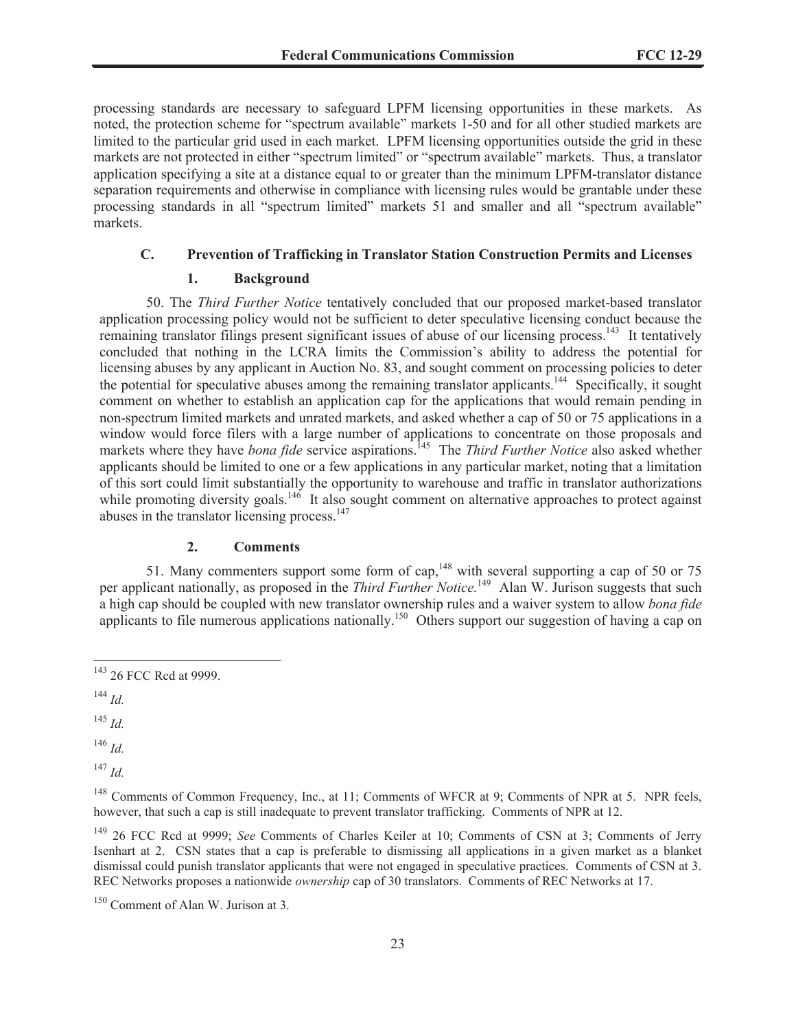processing standards are necessary to safeguard LPFM licensing opportunities in these markets. As noted, the protection scheme for "spectrum available" markets 1-50 and for all other studied markets are limited to the particular grid used in each market. LPFM licensing opportunities outside the grid in these markets are not protected in either "spectrum limited" or "spectrum available" markets. Thus, a translator application specifying a site at a distance equal to or greater than the minimum LPFM-translator distance separation requirements and otherwise in compliance with licensing rules would be grantable under these processing standards in all "spectrum limited" markets 51 and smaller and all "spectrum available" markets.

## **C. Prevention of Trafficking in Translator Station Construction Permits and Licenses**

#### **1. Background**

50. The *Third Further Notice* tentatively concluded that our proposed market-based translator application processing policy would not be sufficient to deter speculative licensing conduct because the remaining translator filings present significant issues of abuse of our licensing process.<sup>143</sup> It tentatively concluded that nothing in the LCRA limits the Commission's ability to address the potential for licensing abuses by any applicant in Auction No. 83, and sought comment on processing policies to deter the potential for speculative abuses among the remaining translator applicants.<sup>144</sup> Specifically, it sought comment on whether to establish an application cap for the applications that would remain pending in non-spectrum limited markets and unrated markets, and asked whether a cap of 50 or 75 applications in a window would force filers with a large number of applications to concentrate on those proposals and markets where they have *bona fide* service aspirations.<sup>145</sup> The *Third Further Notice* also asked whether applicants should be limited to one or a few applications in any particular market, noting that a limitation of this sort could limit substantially the opportunity to warehouse and traffic in translator authorizations while promoting diversity goals.<sup>146</sup> It also sought comment on alternative approaches to protect against abuses in the translator licensing process. $147$ 

#### **2. Comments**

51. Many commenters support some form of cap,  $148$  with several supporting a cap of 50 or 75 per applicant nationally, as proposed in the *Third Further Notice*.<sup>149</sup> Alan W. Jurison suggests that such a high cap should be coupled with new translator ownership rules and a waiver system to allow *bona fide* applicants to file numerous applications nationally.<sup>150</sup> Others support our suggestion of having a cap on

<sup>145</sup> *Id.*

<sup>146</sup> *Id.*

<sup>147</sup> *Id.*

<sup>148</sup> Comments of Common Frequency, Inc., at 11; Comments of WFCR at 9; Comments of NPR at 5. NPR feels, however, that such a cap is still inadequate to prevent translator trafficking. Comments of NPR at 12.

<sup>149</sup> 26 FCC Rcd at 9999; *See* Comments of Charles Keiler at 10; Comments of CSN at 3; Comments of Jerry Isenhart at 2. CSN states that a cap is preferable to dismissing all applications in a given market as a blanket dismissal could punish translator applicants that were not engaged in speculative practices. Comments of CSN at 3. REC Networks proposes a nationwide *ownership* cap of 30 translators. Comments of REC Networks at 17.

<sup>&</sup>lt;sup>143</sup> 26 FCC Rcd at 9999.

<sup>144</sup> *Id.*

<sup>150</sup> Comment of Alan W. Jurison at 3.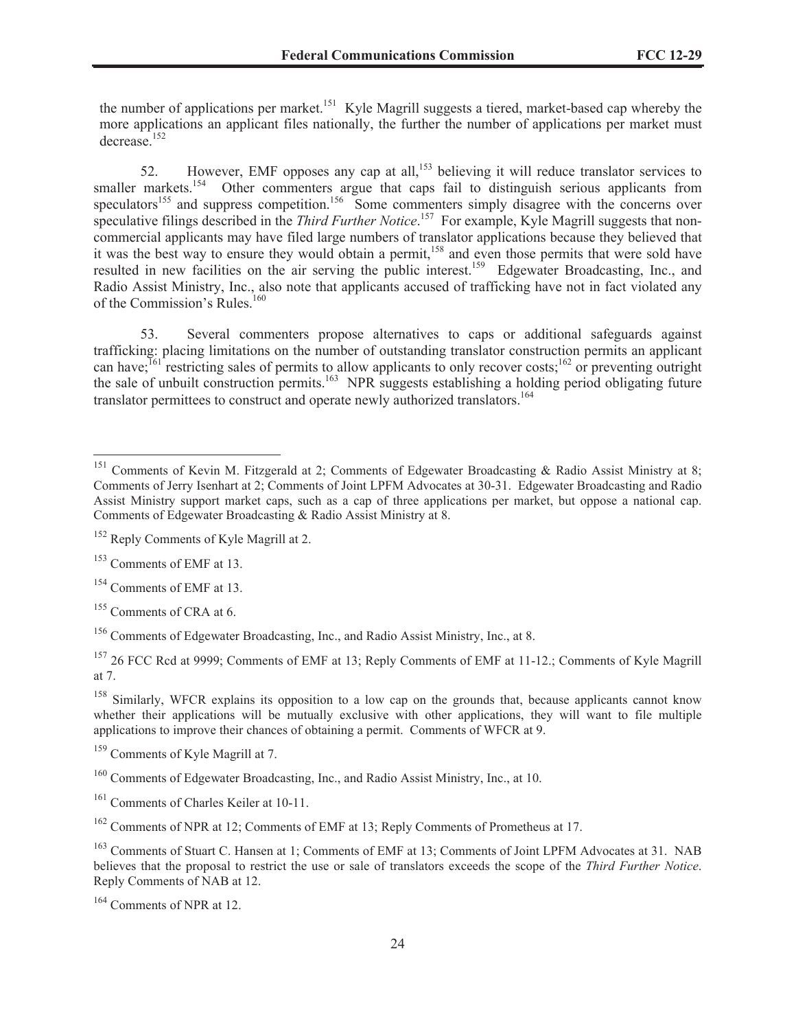the number of applications per market.<sup>151</sup> Kyle Magrill suggests a tiered, market-based cap whereby the more applications an applicant files nationally, the further the number of applications per market must decrease.<sup>152</sup>

52. However, EMF opposes any cap at all,<sup>153</sup> believing it will reduce translator services to smaller markets.<sup>154</sup> Other commenters argue that caps fail to distinguish serious applicants from speculators<sup>155</sup> and suppress competition.<sup>156</sup> Some commenters simply disagree with the concerns over speculative filings described in the *Third Further Notice*.<sup>157</sup> For example, Kyle Magrill suggests that noncommercial applicants may have filed large numbers of translator applications because they believed that it was the best way to ensure they would obtain a permit,<sup>158</sup> and even those permits that were sold have resulted in new facilities on the air serving the public interest.<sup>159</sup> Edgewater Broadcasting, Inc., and Radio Assist Ministry, Inc., also note that applicants accused of trafficking have not in fact violated any of the Commission's Rules.<sup>160</sup>

53. Several commenters propose alternatives to caps or additional safeguards against trafficking: placing limitations on the number of outstanding translator construction permits an applicant can have;<sup>161</sup> restricting sales of permits to allow applicants to only recover costs;<sup>162</sup> or preventing outright the sale of unbuilt construction permits.<sup>163</sup> NPR suggests establishing a holding period obligating future translator permittees to construct and operate newly authorized translators.<sup>164</sup>

<sup>&</sup>lt;sup>151</sup> Comments of Kevin M. Fitzgerald at 2; Comments of Edgewater Broadcasting & Radio Assist Ministry at 8; Comments of Jerry Isenhart at 2; Comments of Joint LPFM Advocates at 30-31. Edgewater Broadcasting and Radio Assist Ministry support market caps, such as a cap of three applications per market, but oppose a national cap. Comments of Edgewater Broadcasting & Radio Assist Ministry at 8.

<sup>&</sup>lt;sup>152</sup> Reply Comments of Kyle Magrill at 2.

<sup>&</sup>lt;sup>153</sup> Comments of EMF at 13.

<sup>&</sup>lt;sup>154</sup> Comments of EMF at 13.

<sup>&</sup>lt;sup>155</sup> Comments of CRA at 6.

<sup>156</sup> Comments of Edgewater Broadcasting, Inc., and Radio Assist Ministry, Inc., at 8.

<sup>157</sup> 26 FCC Rcd at 9999; Comments of EMF at 13; Reply Comments of EMF at 11-12.; Comments of Kyle Magrill at 7.

<sup>&</sup>lt;sup>158</sup> Similarly, WFCR explains its opposition to a low cap on the grounds that, because applicants cannot know whether their applications will be mutually exclusive with other applications, they will want to file multiple applications to improve their chances of obtaining a permit. Comments of WFCR at 9.

<sup>&</sup>lt;sup>159</sup> Comments of Kyle Magrill at 7.

<sup>&</sup>lt;sup>160</sup> Comments of Edgewater Broadcasting, Inc., and Radio Assist Ministry, Inc., at 10.

<sup>&</sup>lt;sup>161</sup> Comments of Charles Keiler at 10-11.

<sup>162</sup> Comments of NPR at 12; Comments of EMF at 13; Reply Comments of Prometheus at 17.

<sup>&</sup>lt;sup>163</sup> Comments of Stuart C. Hansen at 1; Comments of EMF at 13; Comments of Joint LPFM Advocates at 31. NAB believes that the proposal to restrict the use or sale of translators exceeds the scope of the *Third Further Notice*. Reply Comments of NAB at 12.

<sup>164</sup> Comments of NPR at 12.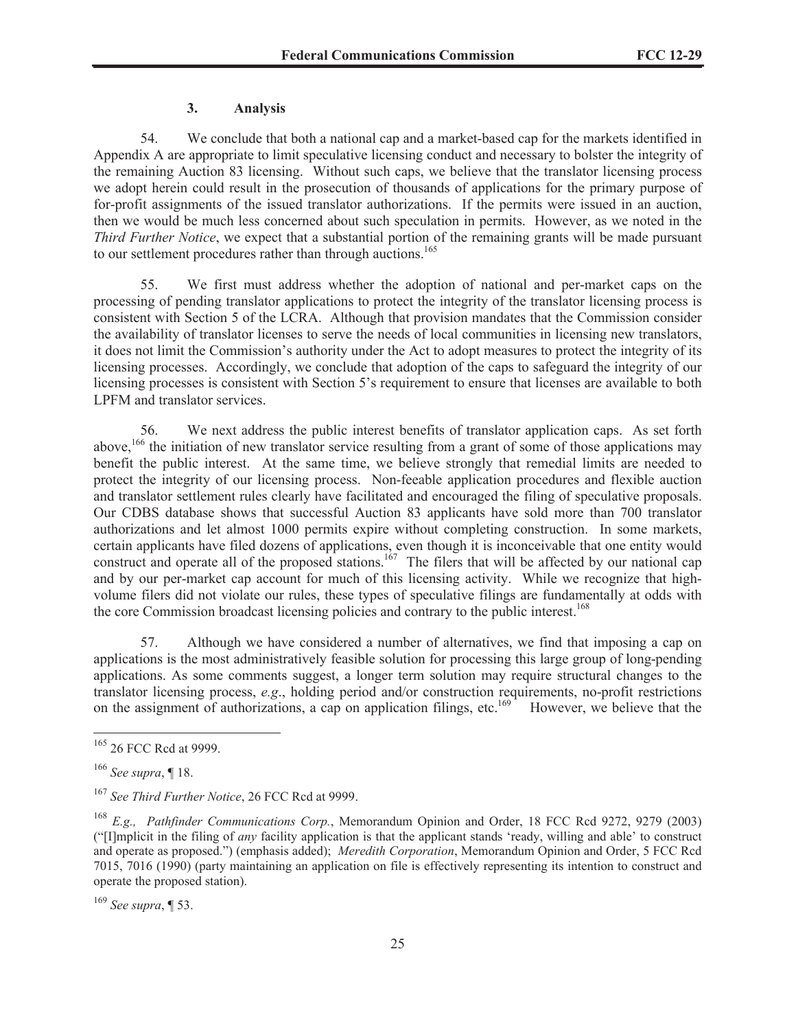## **3. Analysis**

54. We conclude that both a national cap and a market-based cap for the markets identified in Appendix A are appropriate to limit speculative licensing conduct and necessary to bolster the integrity of the remaining Auction 83 licensing. Without such caps, we believe that the translator licensing process we adopt herein could result in the prosecution of thousands of applications for the primary purpose of for-profit assignments of the issued translator authorizations. If the permits were issued in an auction, then we would be much less concerned about such speculation in permits. However, as we noted in the *Third Further Notice*, we expect that a substantial portion of the remaining grants will be made pursuant to our settlement procedures rather than through auctions.<sup>165</sup>

55. We first must address whether the adoption of national and per-market caps on the processing of pending translator applications to protect the integrity of the translator licensing process is consistent with Section 5 of the LCRA. Although that provision mandates that the Commission consider the availability of translator licenses to serve the needs of local communities in licensing new translators, it does not limit the Commission's authority under the Act to adopt measures to protect the integrity of its licensing processes. Accordingly, we conclude that adoption of the caps to safeguard the integrity of our licensing processes is consistent with Section 5's requirement to ensure that licenses are available to both LPFM and translator services.

56. We next address the public interest benefits of translator application caps. As set forth above,<sup>166</sup> the initiation of new translator service resulting from a grant of some of those applications may benefit the public interest. At the same time, we believe strongly that remedial limits are needed to protect the integrity of our licensing process. Non-feeable application procedures and flexible auction and translator settlement rules clearly have facilitated and encouraged the filing of speculative proposals. Our CDBS database shows that successful Auction 83 applicants have sold more than 700 translator authorizations and let almost 1000 permits expire without completing construction. In some markets, certain applicants have filed dozens of applications, even though it is inconceivable that one entity would construct and operate all of the proposed stations.<sup>167</sup> The filers that will be affected by our national cap and by our per-market cap account for much of this licensing activity. While we recognize that highvolume filers did not violate our rules, these types of speculative filings are fundamentally at odds with the core Commission broadcast licensing policies and contrary to the public interest.<sup>168</sup>

57. Although we have considered a number of alternatives, we find that imposing a cap on applications is the most administratively feasible solution for processing this large group of long-pending applications. As some comments suggest, a longer term solution may require structural changes to the translator licensing process, *e.g*., holding period and/or construction requirements, no-profit restrictions on the assignment of authorizations, a cap on application filings, etc.<sup>169</sup> However, we believe that the

<sup>&</sup>lt;sup>165</sup> 26 FCC Rcd at 9999.

<sup>166</sup> *See supra*, ¶ 18.

<sup>167</sup> *See Third Further Notice*, 26 FCC Rcd at 9999.

<sup>168</sup> *E.g., Pathfinder Communications Corp.*, Memorandum Opinion and Order, 18 FCC Rcd 9272, 9279 (2003) ("[I]mplicit in the filing of *any* facility application is that the applicant stands 'ready, willing and able' to construct and operate as proposed.") (emphasis added); *Meredith Corporation*, Memorandum Opinion and Order, 5 FCC Rcd 7015, 7016 (1990) (party maintaining an application on file is effectively representing its intention to construct and operate the proposed station).

<sup>169</sup> *See supra*, ¶ 53.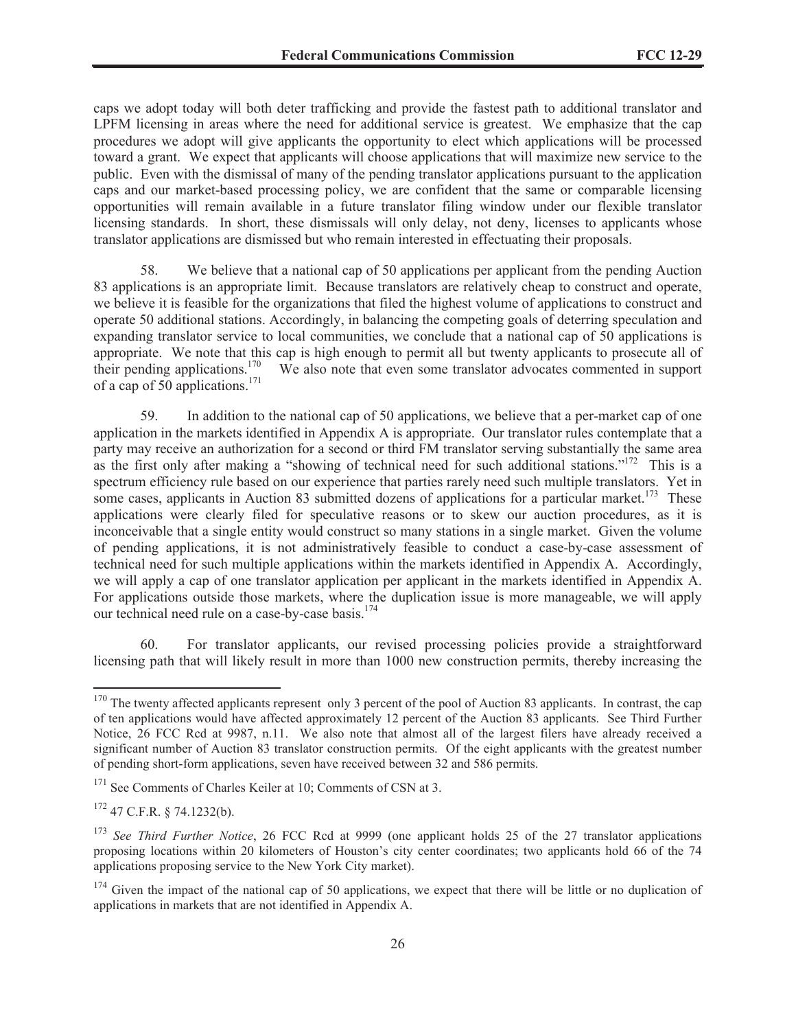caps we adopt today will both deter trafficking and provide the fastest path to additional translator and LPFM licensing in areas where the need for additional service is greatest. We emphasize that the cap procedures we adopt will give applicants the opportunity to elect which applications will be processed toward a grant. We expect that applicants will choose applications that will maximize new service to the public. Even with the dismissal of many of the pending translator applications pursuant to the application caps and our market-based processing policy, we are confident that the same or comparable licensing opportunities will remain available in a future translator filing window under our flexible translator licensing standards. In short, these dismissals will only delay, not deny, licenses to applicants whose translator applications are dismissed but who remain interested in effectuating their proposals.

58. We believe that a national cap of 50 applications per applicant from the pending Auction 83 applications is an appropriate limit. Because translators are relatively cheap to construct and operate, we believe it is feasible for the organizations that filed the highest volume of applications to construct and operate 50 additional stations. Accordingly, in balancing the competing goals of deterring speculation and expanding translator service to local communities, we conclude that a national cap of 50 applications is appropriate. We note that this cap is high enough to permit all but twenty applicants to prosecute all of We also note that even some translator advocates commented in support their pending applications.<sup>170</sup> of a cap of 50 applications.<sup>171</sup>

59. In addition to the national cap of 50 applications, we believe that a per-market cap of one application in the markets identified in Appendix A is appropriate. Our translator rules contemplate that a party may receive an authorization for a second or third FM translator serving substantially the same area as the first only after making a "showing of technical need for such additional stations."<sup>172</sup> This is a spectrum efficiency rule based on our experience that parties rarely need such multiple translators. Yet in some cases, applicants in Auction 83 submitted dozens of applications for a particular market.<sup>173</sup> These applications were clearly filed for speculative reasons or to skew our auction procedures, as it is inconceivable that a single entity would construct so many stations in a single market. Given the volume of pending applications, it is not administratively feasible to conduct a case-by-case assessment of technical need for such multiple applications within the markets identified in Appendix A. Accordingly, we will apply a cap of one translator application per applicant in the markets identified in Appendix A. For applications outside those markets, where the duplication issue is more manageable, we will apply our technical need rule on a case-by-case basis.<sup>174</sup>

60. For translator applicants, our revised processing policies provide a straightforward licensing path that will likely result in more than 1000 new construction permits, thereby increasing the

<sup>&</sup>lt;sup>170</sup> The twenty affected applicants represent only 3 percent of the pool of Auction 83 applicants. In contrast, the cap of ten applications would have affected approximately 12 percent of the Auction 83 applicants. See Third Further Notice, 26 FCC Rcd at 9987, n.11. We also note that almost all of the largest filers have already received a significant number of Auction 83 translator construction permits. Of the eight applicants with the greatest number of pending short-form applications, seven have received between 32 and 586 permits.

<sup>&</sup>lt;sup>171</sup> See Comments of Charles Keiler at 10; Comments of CSN at 3.

<sup>172</sup> 47 C.F.R. § 74.1232(b).

<sup>&</sup>lt;sup>173</sup> See Third Further Notice, 26 FCC Rcd at 9999 (one applicant holds 25 of the 27 translator applications proposing locations within 20 kilometers of Houston's city center coordinates; two applicants hold 66 of the 74 applications proposing service to the New York City market).

 $174$  Given the impact of the national cap of 50 applications, we expect that there will be little or no duplication of applications in markets that are not identified in Appendix A.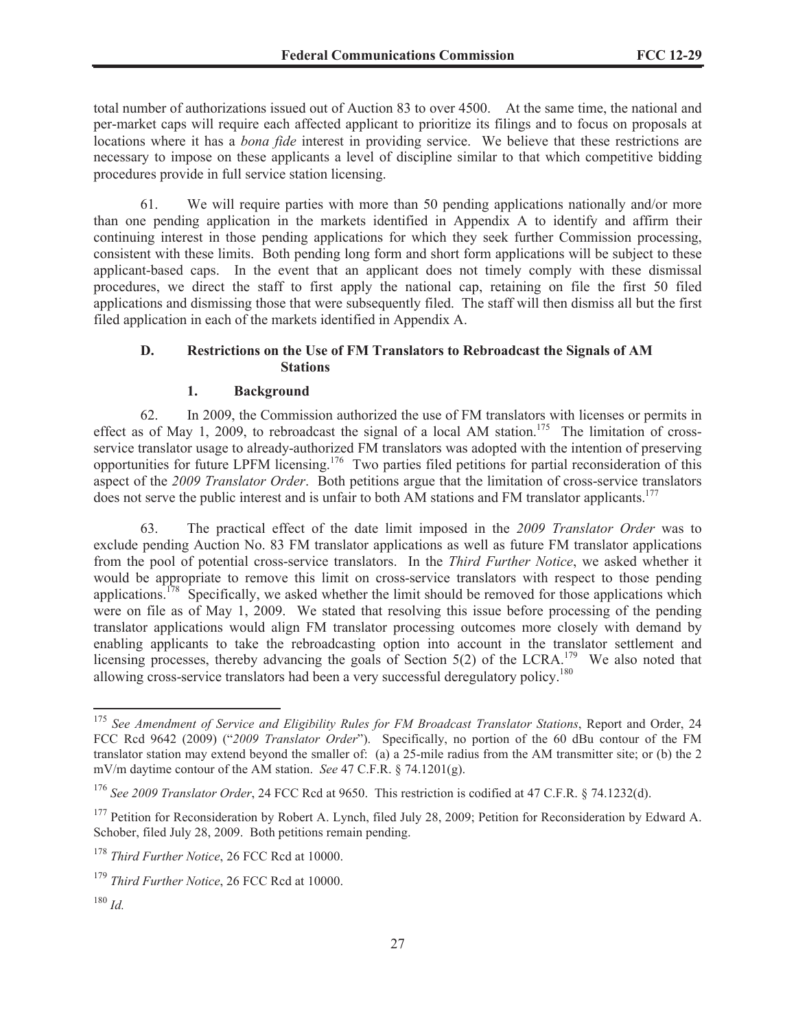total number of authorizations issued out of Auction 83 to over 4500. At the same time, the national and per-market caps will require each affected applicant to prioritize its filings and to focus on proposals at locations where it has a *bona fide* interest in providing service. We believe that these restrictions are necessary to impose on these applicants a level of discipline similar to that which competitive bidding procedures provide in full service station licensing.

61. We will require parties with more than 50 pending applications nationally and/or more than one pending application in the markets identified in Appendix A to identify and affirm their continuing interest in those pending applications for which they seek further Commission processing, consistent with these limits. Both pending long form and short form applications will be subject to these applicant-based caps. In the event that an applicant does not timely comply with these dismissal procedures, we direct the staff to first apply the national cap, retaining on file the first 50 filed applications and dismissing those that were subsequently filed. The staff will then dismiss all but the first filed application in each of the markets identified in Appendix A.

## **D. Restrictions on the Use of FM Translators to Rebroadcast the Signals of AM Stations**

## **1. Background**

62. In 2009, the Commission authorized the use of FM translators with licenses or permits in effect as of May 1, 2009, to rebroadcast the signal of a local AM station.<sup>175</sup> The limitation of crossservice translator usage to already-authorized FM translators was adopted with the intention of preserving opportunities for future LPFM licensing.<sup>176</sup> Two parties filed petitions for partial reconsideration of this aspect of the *2009 Translator Order*. Both petitions argue that the limitation of cross-service translators does not serve the public interest and is unfair to both AM stations and FM translator applicants.<sup>177</sup>

63. The practical effect of the date limit imposed in the *2009 Translator Order* was to exclude pending Auction No. 83 FM translator applications as well as future FM translator applications from the pool of potential cross-service translators. In the *Third Further Notice*, we asked whether it would be appropriate to remove this limit on cross-service translators with respect to those pending applications.<sup>178</sup> Specifically, we asked whether the limit should be removed for those applications which were on file as of May 1, 2009. We stated that resolving this issue before processing of the pending translator applications would align FM translator processing outcomes more closely with demand by enabling applicants to take the rebroadcasting option into account in the translator settlement and licensing processes, thereby advancing the goals of Section  $5(2)$  of the LCRA.<sup>179</sup> We also noted that allowing cross-service translators had been a very successful deregulatory policy.<sup>180</sup>

<sup>175</sup> *See Amendment of Service and Eligibility Rules for FM Broadcast Translator Stations*, Report and Order, 24 FCC Rcd 9642 (2009) ("*2009 Translator Order*"). Specifically, no portion of the 60 dBu contour of the FM translator station may extend beyond the smaller of: (a) a 25-mile radius from the AM transmitter site; or (b) the 2 mV/m daytime contour of the AM station. *See* 47 C.F.R. § 74.1201(g).

<sup>176</sup> *See 2009 Translator Order*, 24 FCC Rcd at 9650. This restriction is codified at 47 C.F.R. § 74.1232(d).

<sup>&</sup>lt;sup>177</sup> Petition for Reconsideration by Robert A. Lynch, filed July 28, 2009; Petition for Reconsideration by Edward A. Schober, filed July 28, 2009. Both petitions remain pending.

<sup>178</sup> *Third Further Notice*, 26 FCC Rcd at 10000.

<sup>179</sup> *Third Further Notice*, 26 FCC Rcd at 10000.

<sup>180</sup> *Id.*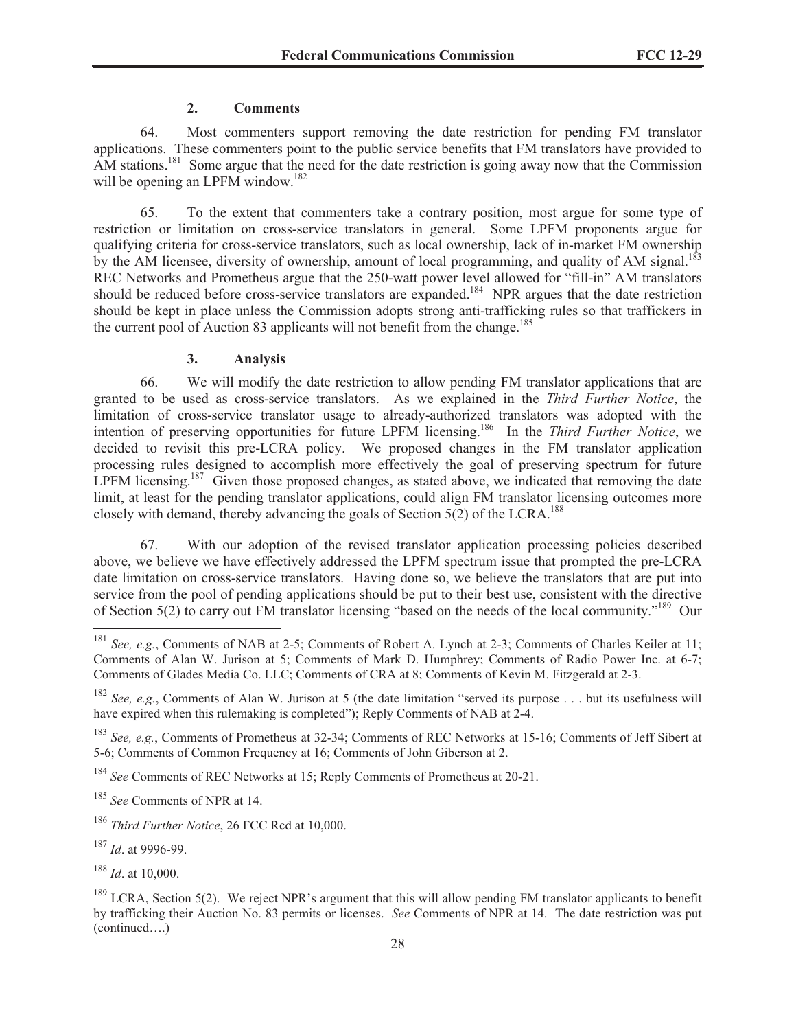## **2. Comments**

64. Most commenters support removing the date restriction for pending FM translator applications. These commenters point to the public service benefits that FM translators have provided to AM stations.<sup>181</sup> Some argue that the need for the date restriction is going away now that the Commission will be opening an LPFM window.<sup>182</sup>

65. To the extent that commenters take a contrary position, most argue for some type of restriction or limitation on cross-service translators in general. Some LPFM proponents argue for qualifying criteria for cross-service translators, such as local ownership, lack of in-market FM ownership by the AM licensee, diversity of ownership, amount of local programming, and quality of AM signal.<sup>183</sup> REC Networks and Prometheus argue that the 250-watt power level allowed for "fill-in" AM translators should be reduced before cross-service translators are expanded.<sup>184</sup> NPR argues that the date restriction should be kept in place unless the Commission adopts strong anti-trafficking rules so that traffickers in the current pool of Auction 83 applicants will not benefit from the change.<sup>185</sup>

## **3. Analysis**

66. We will modify the date restriction to allow pending FM translator applications that are granted to be used as cross-service translators. As we explained in the *Third Further Notice*, the limitation of cross-service translator usage to already-authorized translators was adopted with the intention of preserving opportunities for future LPFM licensing.<sup>186</sup> In the *Third Further Notice*, we decided to revisit this pre-LCRA policy. We proposed changes in the FM translator application processing rules designed to accomplish more effectively the goal of preserving spectrum for future LPFM licensing.<sup>187</sup> Given those proposed changes, as stated above, we indicated that removing the date limit, at least for the pending translator applications, could align FM translator licensing outcomes more closely with demand, thereby advancing the goals of Section  $5(2)$  of the LCRA.<sup>188</sup>

67. With our adoption of the revised translator application processing policies described above, we believe we have effectively addressed the LPFM spectrum issue that prompted the pre-LCRA date limitation on cross-service translators. Having done so, we believe the translators that are put into service from the pool of pending applications should be put to their best use, consistent with the directive of Section 5(2) to carry out FM translator licensing "based on the needs of the local community."<sup>189</sup> Our

<sup>&</sup>lt;sup>181</sup> *See, e.g.*, Comments of NAB at 2-5; Comments of Robert A. Lynch at 2-3; Comments of Charles Keiler at 11; Comments of Alan W. Jurison at 5; Comments of Mark D. Humphrey; Comments of Radio Power Inc. at 6-7; Comments of Glades Media Co. LLC; Comments of CRA at 8; Comments of Kevin M. Fitzgerald at 2-3.

<sup>182</sup> *See, e.g.*, Comments of Alan W. Jurison at 5 (the date limitation "served its purpose . . . but its usefulness will have expired when this rulemaking is completed"); Reply Comments of NAB at 2-4.

<sup>183</sup> *See, e.g.*, Comments of Prometheus at 32-34; Comments of REC Networks at 15-16; Comments of Jeff Sibert at 5-6; Comments of Common Frequency at 16; Comments of John Giberson at 2.

<sup>184</sup> *See* Comments of REC Networks at 15; Reply Comments of Prometheus at 20-21.

<sup>185</sup> *See* Comments of NPR at 14.

<sup>186</sup> *Third Further Notice*, 26 FCC Rcd at 10,000.

<sup>187</sup> *Id*. at 9996-99.

<sup>188</sup> *Id*. at 10,000.

<sup>&</sup>lt;sup>189</sup> LCRA, Section 5(2). We reject NPR's argument that this will allow pending FM translator applicants to benefit by trafficking their Auction No. 83 permits or licenses. *See* Comments of NPR at 14. The date restriction was put (continued….)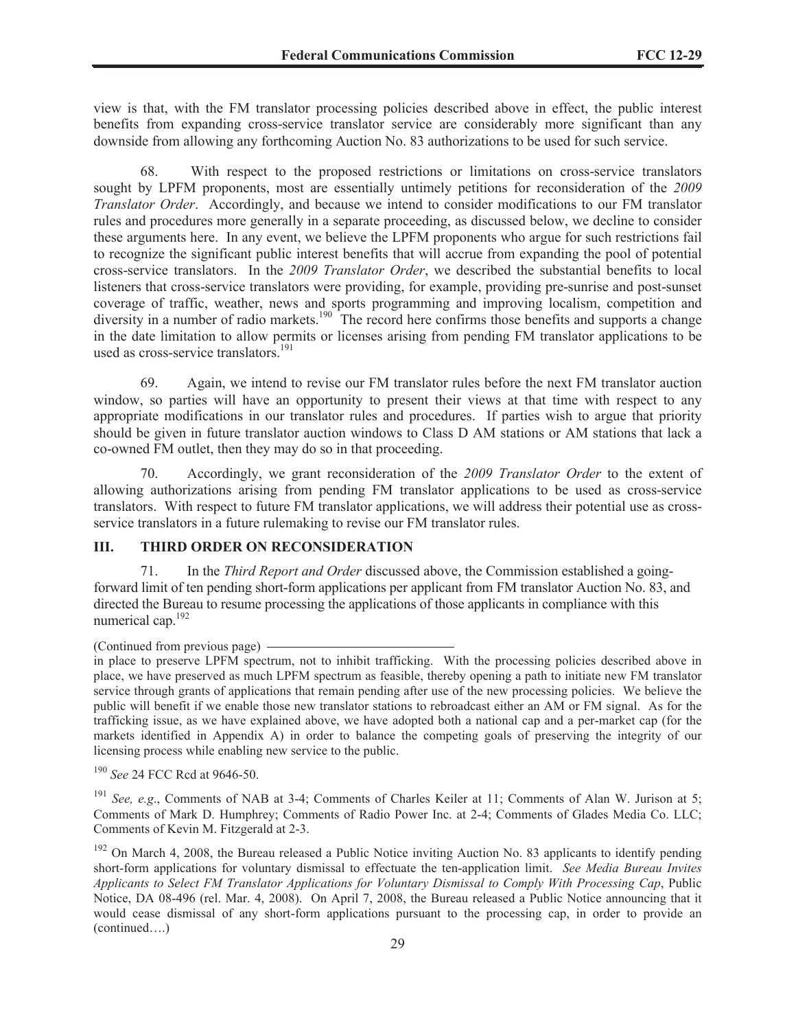view is that, with the FM translator processing policies described above in effect, the public interest benefits from expanding cross-service translator service are considerably more significant than any downside from allowing any forthcoming Auction No. 83 authorizations to be used for such service.

68. With respect to the proposed restrictions or limitations on cross-service translators sought by LPFM proponents, most are essentially untimely petitions for reconsideration of the *2009 Translator Order*. Accordingly, and because we intend to consider modifications to our FM translator rules and procedures more generally in a separate proceeding, as discussed below, we decline to consider these arguments here. In any event, we believe the LPFM proponents who argue for such restrictions fail to recognize the significant public interest benefits that will accrue from expanding the pool of potential cross-service translators. In the *2009 Translator Order*, we described the substantial benefits to local listeners that cross-service translators were providing, for example, providing pre-sunrise and post-sunset coverage of traffic, weather, news and sports programming and improving localism, competition and diversity in a number of radio markets.<sup>190</sup> The record here confirms those benefits and supports a change in the date limitation to allow permits or licenses arising from pending FM translator applications to be used as cross-service translators.<sup>191</sup>

69. Again, we intend to revise our FM translator rules before the next FM translator auction window, so parties will have an opportunity to present their views at that time with respect to any appropriate modifications in our translator rules and procedures. If parties wish to argue that priority should be given in future translator auction windows to Class D AM stations or AM stations that lack a co-owned FM outlet, then they may do so in that proceeding.

70. Accordingly, we grant reconsideration of the *2009 Translator Order* to the extent of allowing authorizations arising from pending FM translator applications to be used as cross-service translators. With respect to future FM translator applications, we will address their potential use as crossservice translators in a future rulemaking to revise our FM translator rules.

### **III. THIRD ORDER ON RECONSIDERATION**

71. In the *Third Report and Order* discussed above, the Commission established a goingforward limit of ten pending short-form applications per applicant from FM translator Auction No. 83, and directed the Bureau to resume processing the applications of those applicants in compliance with this numerical cap.<sup>192</sup>

<sup>(</sup>Continued from previous page)

in place to preserve LPFM spectrum, not to inhibit trafficking. With the processing policies described above in place, we have preserved as much LPFM spectrum as feasible, thereby opening a path to initiate new FM translator service through grants of applications that remain pending after use of the new processing policies. We believe the public will benefit if we enable those new translator stations to rebroadcast either an AM or FM signal. As for the trafficking issue, as we have explained above, we have adopted both a national cap and a per-market cap (for the markets identified in Appendix A) in order to balance the competing goals of preserving the integrity of our licensing process while enabling new service to the public.

<sup>190</sup> *See* 24 FCC Rcd at 9646-50.

<sup>191</sup> *See, e.g*., Comments of NAB at 3-4; Comments of Charles Keiler at 11; Comments of Alan W. Jurison at 5; Comments of Mark D. Humphrey; Comments of Radio Power Inc. at 2-4; Comments of Glades Media Co. LLC; Comments of Kevin M. Fitzgerald at 2-3.

<sup>&</sup>lt;sup>192</sup> On March 4, 2008, the Bureau released a Public Notice inviting Auction No. 83 applicants to identify pending short-form applications for voluntary dismissal to effectuate the ten-application limit. *See Media Bureau Invites Applicants to Select FM Translator Applications for Voluntary Dismissal to Comply With Processing Cap*, Public Notice, DA 08-496 (rel. Mar. 4, 2008). On April 7, 2008, the Bureau released a Public Notice announcing that it would cease dismissal of any short-form applications pursuant to the processing cap, in order to provide an (continued….)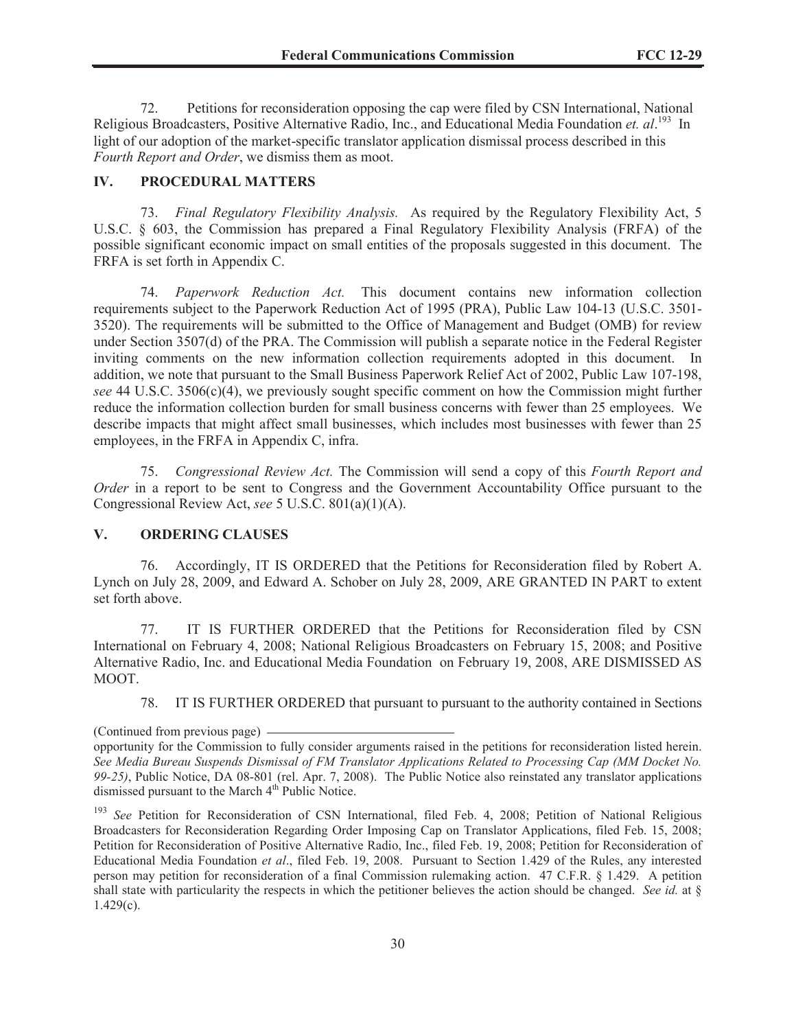72. Petitions for reconsideration opposing the cap were filed by CSN International, National Religious Broadcasters, Positive Alternative Radio, Inc., and Educational Media Foundation *et. al.*<sup>193</sup> In light of our adoption of the market-specific translator application dismissal process described in this *Fourth Report and Order*, we dismiss them as moot.

#### **IV. PROCEDURAL MATTERS**

73. *Final Regulatory Flexibility Analysis.* As required by the Regulatory Flexibility Act, 5 U.S.C. § 603, the Commission has prepared a Final Regulatory Flexibility Analysis (FRFA) of the possible significant economic impact on small entities of the proposals suggested in this document. The FRFA is set forth in Appendix C.

74. *Paperwork Reduction Act.* This document contains new information collection requirements subject to the Paperwork Reduction Act of 1995 (PRA), Public Law 104-13 (U.S.C. 3501- 3520). The requirements will be submitted to the Office of Management and Budget (OMB) for review under Section 3507(d) of the PRA. The Commission will publish a separate notice in the Federal Register inviting comments on the new information collection requirements adopted in this document. In addition, we note that pursuant to the Small Business Paperwork Relief Act of 2002, Public Law 107-198, *see* 44 U.S.C. 3506(c)(4), we previously sought specific comment on how the Commission might further reduce the information collection burden for small business concerns with fewer than 25 employees. We describe impacts that might affect small businesses, which includes most businesses with fewer than 25 employees, in the FRFA in Appendix C, infra.

75. *Congressional Review Act.* The Commission will send a copy of this *Fourth Report and Order* in a report to be sent to Congress and the Government Accountability Office pursuant to the Congressional Review Act, *see* 5 U.S.C. 801(a)(1)(A).

## **V. ORDERING CLAUSES**

76. Accordingly, IT IS ORDERED that the Petitions for Reconsideration filed by Robert A. Lynch on July 28, 2009, and Edward A. Schober on July 28, 2009, ARE GRANTED IN PART to extent set forth above.

77. IT IS FURTHER ORDERED that the Petitions for Reconsideration filed by CSN International on February 4, 2008; National Religious Broadcasters on February 15, 2008; and Positive Alternative Radio, Inc. and Educational Media Foundation on February 19, 2008, ARE DISMISSED AS MOOT.

78. IT IS FURTHER ORDERED that pursuant to pursuant to the authority contained in Sections

<sup>(</sup>Continued from previous page)

opportunity for the Commission to fully consider arguments raised in the petitions for reconsideration listed herein. *See Media Bureau Suspends Dismissal of FM Translator Applications Related to Processing Cap (MM Docket No. 99-25)*, Public Notice, DA 08-801 (rel. Apr. 7, 2008). The Public Notice also reinstated any translator applications dismissed pursuant to the March  $4<sup>th</sup>$  Public Notice.

<sup>&</sup>lt;sup>193</sup> See Petition for Reconsideration of CSN International, filed Feb. 4, 2008; Petition of National Religious Broadcasters for Reconsideration Regarding Order Imposing Cap on Translator Applications, filed Feb. 15, 2008; Petition for Reconsideration of Positive Alternative Radio, Inc., filed Feb. 19, 2008; Petition for Reconsideration of Educational Media Foundation *et al*., filed Feb. 19, 2008. Pursuant to Section 1.429 of the Rules, any interested person may petition for reconsideration of a final Commission rulemaking action. 47 C.F.R. § 1.429. A petition shall state with particularity the respects in which the petitioner believes the action should be changed. *See id.* at §  $1.429(c)$ .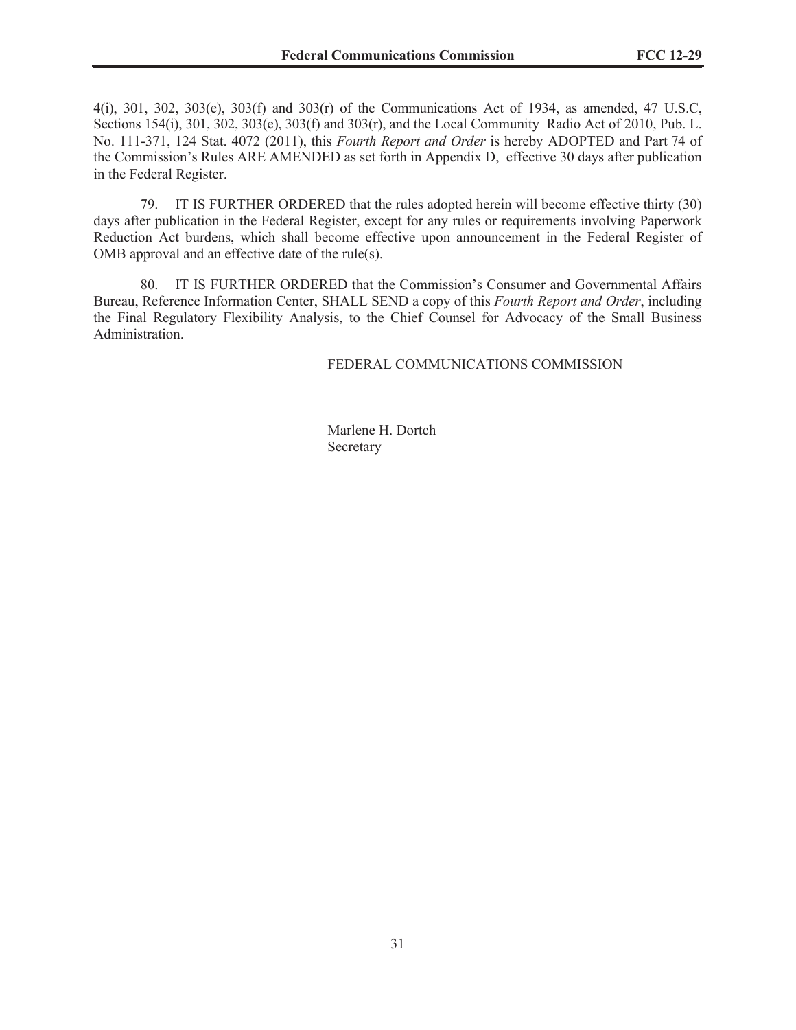4(i), 301, 302, 303(e), 303(f) and 303(r) of the Communications Act of 1934, as amended, 47 U.S.C, Sections 154(i), 301, 302, 303(e), 303(f) and 303(r), and the Local Community Radio Act of 2010, Pub. L. No. 111-371, 124 Stat. 4072 (2011), this *Fourth Report and Order* is hereby ADOPTED and Part 74 of the Commission's Rules ARE AMENDED as set forth in Appendix D, effective 30 days after publication in the Federal Register.

79. IT IS FURTHER ORDERED that the rules adopted herein will become effective thirty (30) days after publication in the Federal Register, except for any rules or requirements involving Paperwork Reduction Act burdens, which shall become effective upon announcement in the Federal Register of OMB approval and an effective date of the rule(s).

80. IT IS FURTHER ORDERED that the Commission's Consumer and Governmental Affairs Bureau, Reference Information Center, SHALL SEND a copy of this *Fourth Report and Order*, including the Final Regulatory Flexibility Analysis, to the Chief Counsel for Advocacy of the Small Business Administration.

FEDERAL COMMUNICATIONS COMMISSION

Marlene H. Dortch Secretary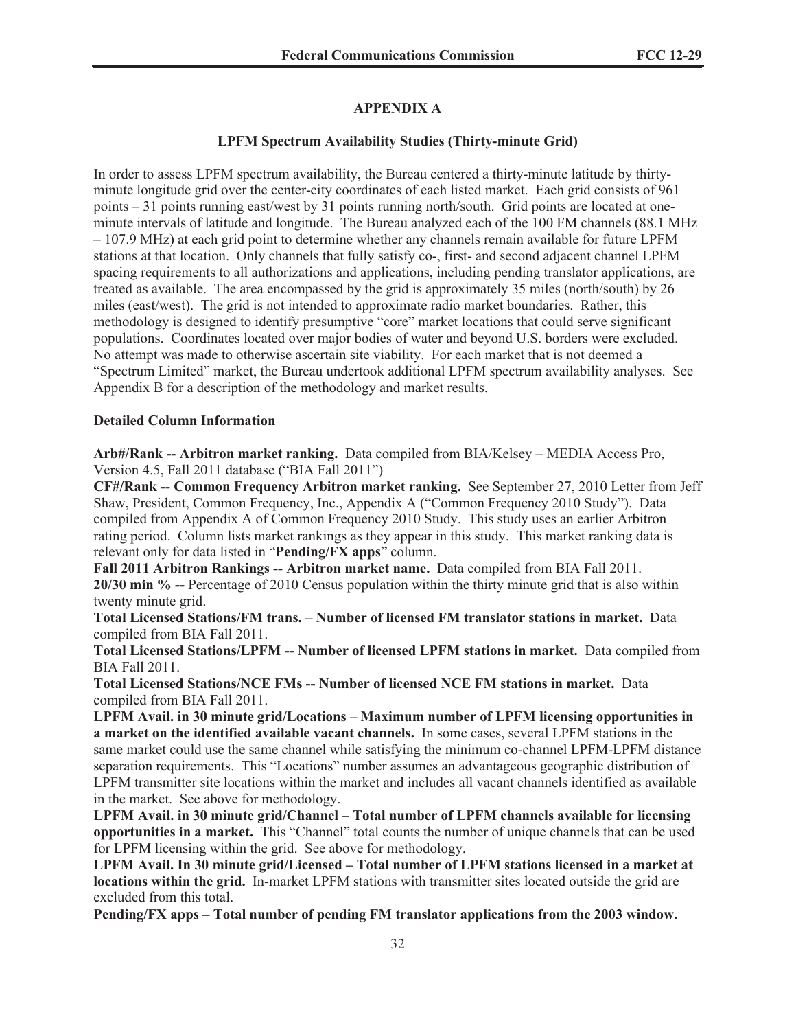# **APPENDIX A**

### **LPFM Spectrum Availability Studies (Thirty-minute Grid)**

In order to assess LPFM spectrum availability, the Bureau centered a thirty-minute latitude by thirtyminute longitude grid over the center-city coordinates of each listed market. Each grid consists of 961 points – 31 points running east/west by 31 points running north/south. Grid points are located at oneminute intervals of latitude and longitude. The Bureau analyzed each of the 100 FM channels (88.1 MHz – 107.9 MHz) at each grid point to determine whether any channels remain available for future LPFM stations at that location. Only channels that fully satisfy co-, first- and second adjacent channel LPFM spacing requirements to all authorizations and applications, including pending translator applications, are treated as available. The area encompassed by the grid is approximately 35 miles (north/south) by 26 miles (east/west). The grid is not intended to approximate radio market boundaries. Rather, this methodology is designed to identify presumptive "core" market locations that could serve significant populations. Coordinates located over major bodies of water and beyond U.S. borders were excluded. No attempt was made to otherwise ascertain site viability. For each market that is not deemed a "Spectrum Limited" market, the Bureau undertook additional LPFM spectrum availability analyses. See Appendix B for a description of the methodology and market results.

#### **Detailed Column Information**

**Arb#/Rank -- Arbitron market ranking.** Data compiled from BIA/Kelsey – MEDIA Access Pro, Version 4.5, Fall 2011 database ("BIA Fall 2011")

**CF#/Rank -- Common Frequency Arbitron market ranking.** See September 27, 2010 Letter from Jeff Shaw, President, Common Frequency, Inc., Appendix A ("Common Frequency 2010 Study"). Data compiled from Appendix A of Common Frequency 2010 Study. This study uses an earlier Arbitron rating period. Column lists market rankings as they appear in this study. This market ranking data is relevant only for data listed in "**Pending/FX apps**" column.

**Fall 2011 Arbitron Rankings -- Arbitron market name.** Data compiled from BIA Fall 2011. **20/30 min % --** Percentage of 2010 Census population within the thirty minute grid that is also within twenty minute grid.

**Total Licensed Stations/FM trans. – Number of licensed FM translator stations in market.** Data compiled from BIA Fall 2011.

**Total Licensed Stations/LPFM -- Number of licensed LPFM stations in market.** Data compiled from BIA Fall 2011.

**Total Licensed Stations/NCE FMs -- Number of licensed NCE FM stations in market.** Data compiled from BIA Fall 2011.

**LPFM Avail. in 30 minute grid/Locations – Maximum number of LPFM licensing opportunities in a market on the identified available vacant channels.** In some cases, several LPFM stations in the same market could use the same channel while satisfying the minimum co-channel LPFM-LPFM distance separation requirements. This "Locations" number assumes an advantageous geographic distribution of LPFM transmitter site locations within the market and includes all vacant channels identified as available in the market. See above for methodology.

**LPFM Avail. in 30 minute grid/Channel – Total number of LPFM channels available for licensing opportunities in a market.** This "Channel" total counts the number of unique channels that can be used for LPFM licensing within the grid. See above for methodology.

**LPFM Avail. In 30 minute grid/Licensed – Total number of LPFM stations licensed in a market at locations within the grid.** In-market LPFM stations with transmitter sites located outside the grid are excluded from this total.

**Pending/FX apps – Total number of pending FM translator applications from the 2003 window.**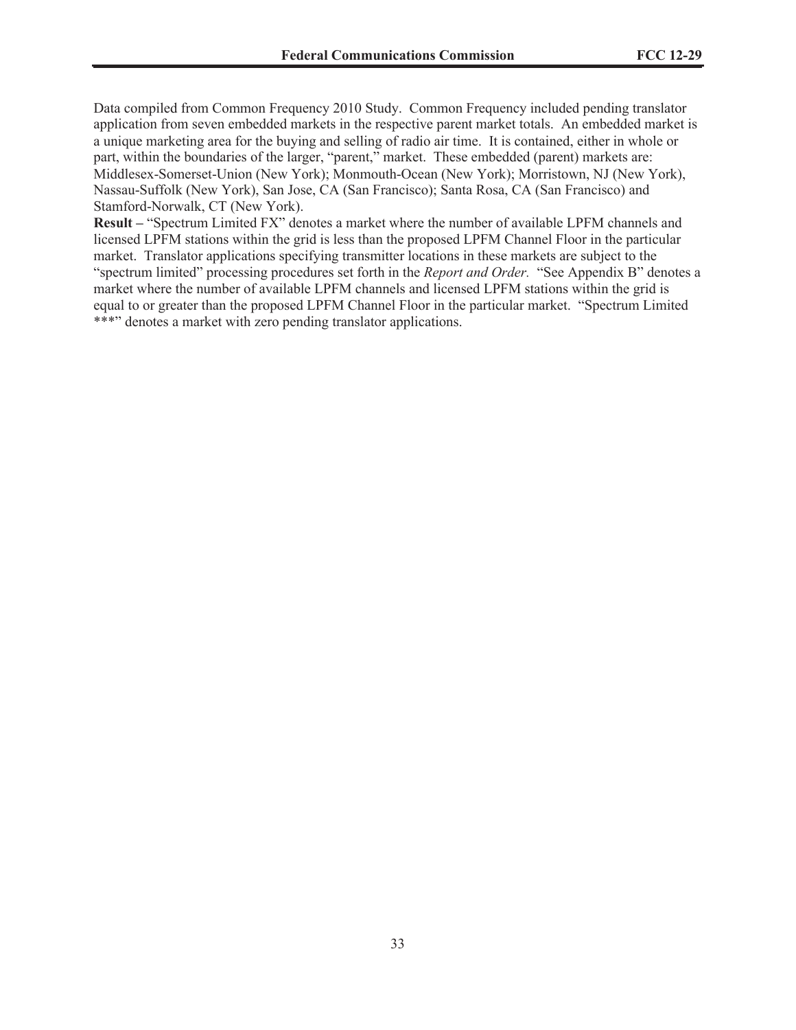Data compiled from Common Frequency 2010 Study. Common Frequency included pending translator application from seven embedded markets in the respective parent market totals. An embedded market is a unique marketing area for the buying and selling of radio air time. It is contained, either in whole or part, within the boundaries of the larger, "parent," market. These embedded (parent) markets are: Middlesex-Somerset-Union (New York); Monmouth-Ocean (New York); Morristown, NJ (New York), Nassau-Suffolk (New York), San Jose, CA (San Francisco); Santa Rosa, CA (San Francisco) and Stamford-Norwalk, CT (New York).

**Result –** "Spectrum Limited FX" denotes a market where the number of available LPFM channels and licensed LPFM stations within the grid is less than the proposed LPFM Channel Floor in the particular market. Translator applications specifying transmitter locations in these markets are subject to the "spectrum limited" processing procedures set forth in the *Report and Order.* "See Appendix B" denotes a market where the number of available LPFM channels and licensed LPFM stations within the grid is equal to or greater than the proposed LPFM Channel Floor in the particular market. "Spectrum Limited \*\*\*" denotes a market with zero pending translator applications.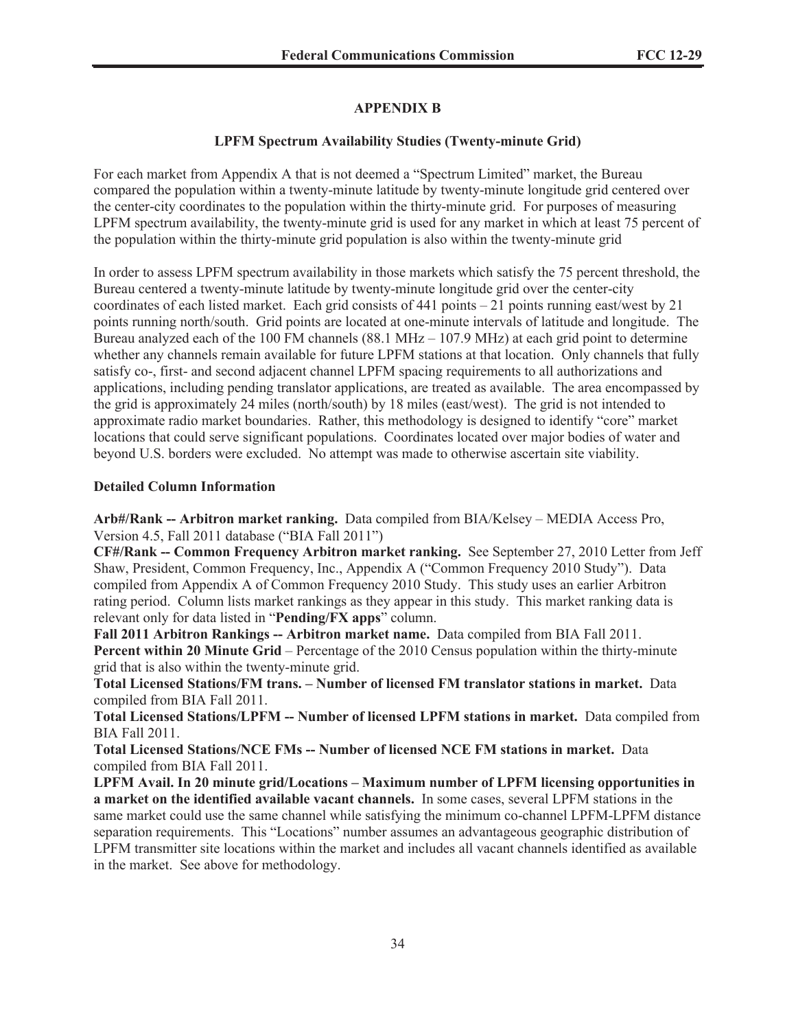# **APPENDIX B**

# **LPFM Spectrum Availability Studies (Twenty-minute Grid)**

For each market from Appendix A that is not deemed a "Spectrum Limited" market, the Bureau compared the population within a twenty-minute latitude by twenty-minute longitude grid centered over the center-city coordinates to the population within the thirty-minute grid. For purposes of measuring LPFM spectrum availability, the twenty-minute grid is used for any market in which at least 75 percent of the population within the thirty-minute grid population is also within the twenty-minute grid

In order to assess LPFM spectrum availability in those markets which satisfy the 75 percent threshold, the Bureau centered a twenty-minute latitude by twenty-minute longitude grid over the center-city coordinates of each listed market. Each grid consists of  $441$  points  $-21$  points running east/west by  $21$ points running north/south. Grid points are located at one-minute intervals of latitude and longitude. The Bureau analyzed each of the 100 FM channels (88.1 MHz – 107.9 MHz) at each grid point to determine whether any channels remain available for future LPFM stations at that location. Only channels that fully satisfy co-, first- and second adjacent channel LPFM spacing requirements to all authorizations and applications, including pending translator applications, are treated as available. The area encompassed by the grid is approximately 24 miles (north/south) by 18 miles (east/west). The grid is not intended to approximate radio market boundaries. Rather, this methodology is designed to identify "core" market locations that could serve significant populations. Coordinates located over major bodies of water and beyond U.S. borders were excluded. No attempt was made to otherwise ascertain site viability.

# **Detailed Column Information**

**Arb#/Rank -- Arbitron market ranking.** Data compiled from BIA/Kelsey – MEDIA Access Pro, Version 4.5, Fall 2011 database ("BIA Fall 2011")

**CF#/Rank -- Common Frequency Arbitron market ranking.** See September 27, 2010 Letter from Jeff Shaw, President, Common Frequency, Inc., Appendix A ("Common Frequency 2010 Study"). Data compiled from Appendix A of Common Frequency 2010 Study. This study uses an earlier Arbitron rating period. Column lists market rankings as they appear in this study. This market ranking data is relevant only for data listed in "**Pending/FX apps**" column.

**Fall 2011 Arbitron Rankings -- Arbitron market name.** Data compiled from BIA Fall 2011. **Percent within 20 Minute Grid** – Percentage of the 2010 Census population within the thirty-minute grid that is also within the twenty-minute grid.

**Total Licensed Stations/FM trans. – Number of licensed FM translator stations in market.** Data compiled from BIA Fall 2011.

**Total Licensed Stations/LPFM -- Number of licensed LPFM stations in market.** Data compiled from BIA Fall 2011.

**Total Licensed Stations/NCE FMs -- Number of licensed NCE FM stations in market.** Data compiled from BIA Fall 2011.

**LPFM Avail. In 20 minute grid/Locations – Maximum number of LPFM licensing opportunities in a market on the identified available vacant channels.** In some cases, several LPFM stations in the same market could use the same channel while satisfying the minimum co-channel LPFM-LPFM distance separation requirements. This "Locations" number assumes an advantageous geographic distribution of LPFM transmitter site locations within the market and includes all vacant channels identified as available in the market. See above for methodology.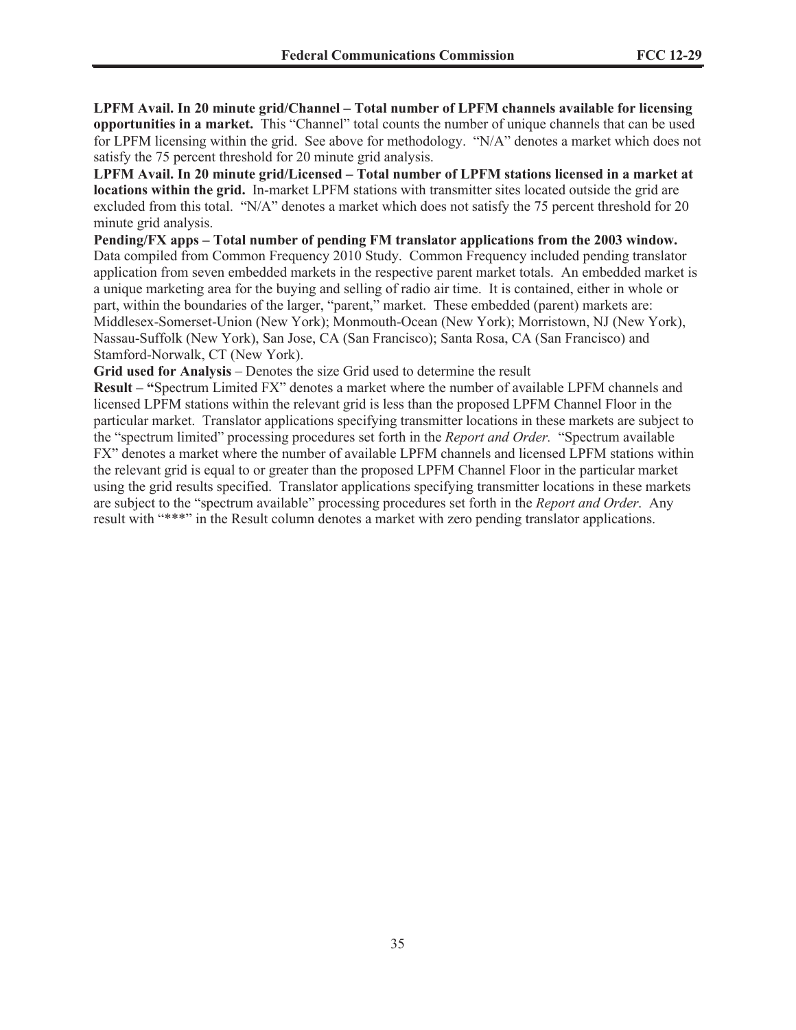**LPFM Avail. In 20 minute grid/Channel – Total number of LPFM channels available for licensing opportunities in a market.** This "Channel" total counts the number of unique channels that can be used for LPFM licensing within the grid. See above for methodology. "N/A" denotes a market which does not satisfy the 75 percent threshold for 20 minute grid analysis.

**LPFM Avail. In 20 minute grid/Licensed – Total number of LPFM stations licensed in a market at locations within the grid.** In-market LPFM stations with transmitter sites located outside the grid are excluded from this total. "N/A" denotes a market which does not satisfy the 75 percent threshold for 20 minute grid analysis.

**Pending/FX apps – Total number of pending FM translator applications from the 2003 window.**  Data compiled from Common Frequency 2010 Study. Common Frequency included pending translator application from seven embedded markets in the respective parent market totals. An embedded market is a unique marketing area for the buying and selling of radio air time. It is contained, either in whole or part, within the boundaries of the larger, "parent," market. These embedded (parent) markets are: Middlesex-Somerset-Union (New York); Monmouth-Ocean (New York); Morristown, NJ (New York), Nassau-Suffolk (New York), San Jose, CA (San Francisco); Santa Rosa, CA (San Francisco) and Stamford-Norwalk, CT (New York).

**Grid used for Analysis** – Denotes the size Grid used to determine the result

**Result – "**Spectrum Limited FX" denotes a market where the number of available LPFM channels and licensed LPFM stations within the relevant grid is less than the proposed LPFM Channel Floor in the particular market. Translator applications specifying transmitter locations in these markets are subject to the "spectrum limited" processing procedures set forth in the *Report and Order.* "Spectrum available FX" denotes a market where the number of available LPFM channels and licensed LPFM stations within the relevant grid is equal to or greater than the proposed LPFM Channel Floor in the particular market using the grid results specified. Translator applications specifying transmitter locations in these markets are subject to the "spectrum available" processing procedures set forth in the *Report and Order*. Any result with "\*\*\*" in the Result column denotes a market with zero pending translator applications.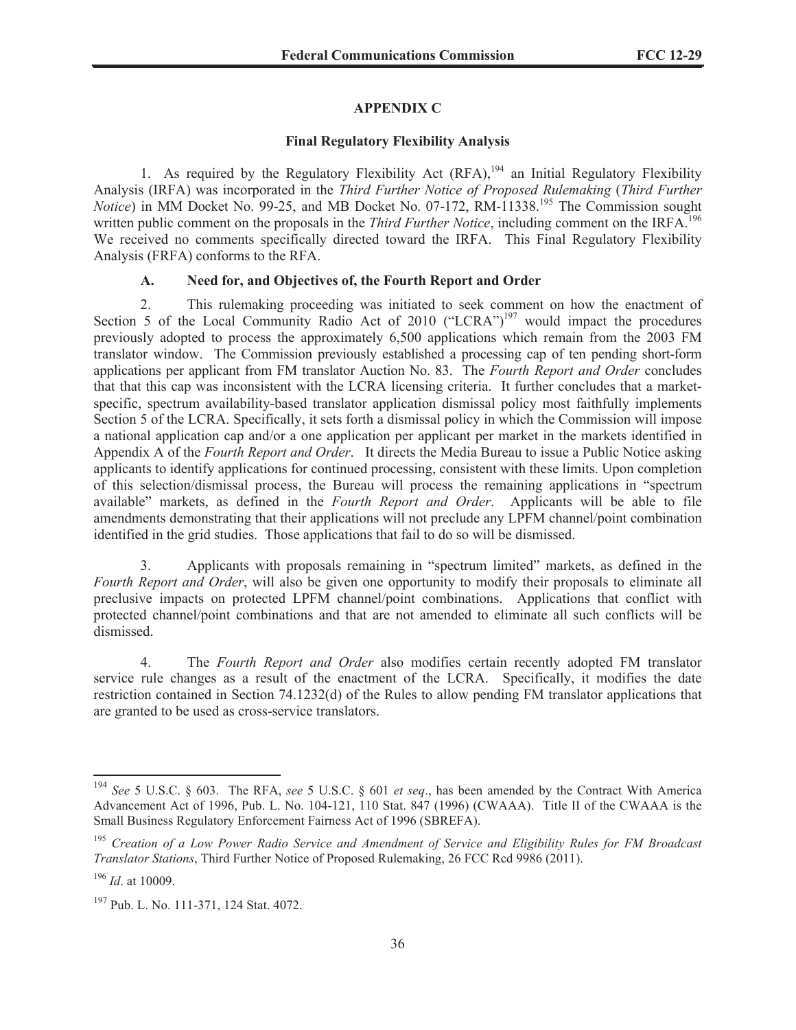## **APPENDIX C**

#### **Final Regulatory Flexibility Analysis**

1. As required by the Regulatory Flexibility Act  $(RFA)$ ,<sup>194</sup> an Initial Regulatory Flexibility Analysis (IRFA) was incorporated in the *Third Further Notice of Proposed Rulemaking* (*Third Further Notice*) in MM Docket No. 99-25, and MB Docket No. 07-172, RM-11338.<sup>195</sup> The Commission sought written public comment on the proposals in the *Third Further Notice*, including comment on the IRFA.<sup>196</sup> We received no comments specifically directed toward the IRFA. This Final Regulatory Flexibility Analysis (FRFA) conforms to the RFA.

## **A. Need for, and Objectives of, the Fourth Report and Order**

2. This rulemaking proceeding was initiated to seek comment on how the enactment of Section 5 of the Local Community Radio Act of 2010 ("LCRA")<sup>197</sup> would impact the procedures previously adopted to process the approximately 6,500 applications which remain from the 2003 FM translator window. The Commission previously established a processing cap of ten pending short-form applications per applicant from FM translator Auction No. 83. The *Fourth Report and Order* concludes that that this cap was inconsistent with the LCRA licensing criteria. It further concludes that a marketspecific, spectrum availability-based translator application dismissal policy most faithfully implements Section 5 of the LCRA. Specifically, it sets forth a dismissal policy in which the Commission will impose a national application cap and/or a one application per applicant per market in the markets identified in Appendix A of the *Fourth Report and Order*. It directs the Media Bureau to issue a Public Notice asking applicants to identify applications for continued processing, consistent with these limits. Upon completion of this selection/dismissal process, the Bureau will process the remaining applications in "spectrum available" markets, as defined in the *Fourth Report and Order*. Applicants will be able to file amendments demonstrating that their applications will not preclude any LPFM channel/point combination identified in the grid studies. Those applications that fail to do so will be dismissed.

3. Applicants with proposals remaining in "spectrum limited" markets, as defined in the *Fourth Report and Order*, will also be given one opportunity to modify their proposals to eliminate all preclusive impacts on protected LPFM channel/point combinations. Applications that conflict with protected channel/point combinations and that are not amended to eliminate all such conflicts will be dismissed.

4. The *Fourth Report and Order* also modifies certain recently adopted FM translator service rule changes as a result of the enactment of the LCRA. Specifically, it modifies the date restriction contained in Section 74.1232(d) of the Rules to allow pending FM translator applications that are granted to be used as cross-service translators.

<sup>194</sup> *See* 5 U.S.C. § 603. The RFA, *see* 5 U.S.C. § 601 *et seq*., has been amended by the Contract With America Advancement Act of 1996, Pub. L. No. 104-121, 110 Stat. 847 (1996) (CWAAA). Title II of the CWAAA is the Small Business Regulatory Enforcement Fairness Act of 1996 (SBREFA).

<sup>195</sup> *Creation of a Low Power Radio Service and Amendment of Service and Eligibility Rules for FM Broadcast Translator Stations*, Third Further Notice of Proposed Rulemaking, 26 FCC Rcd 9986 (2011).

<sup>196</sup> *Id*. at 10009.

<sup>197</sup> Pub. L. No. 111-371, 124 Stat. 4072.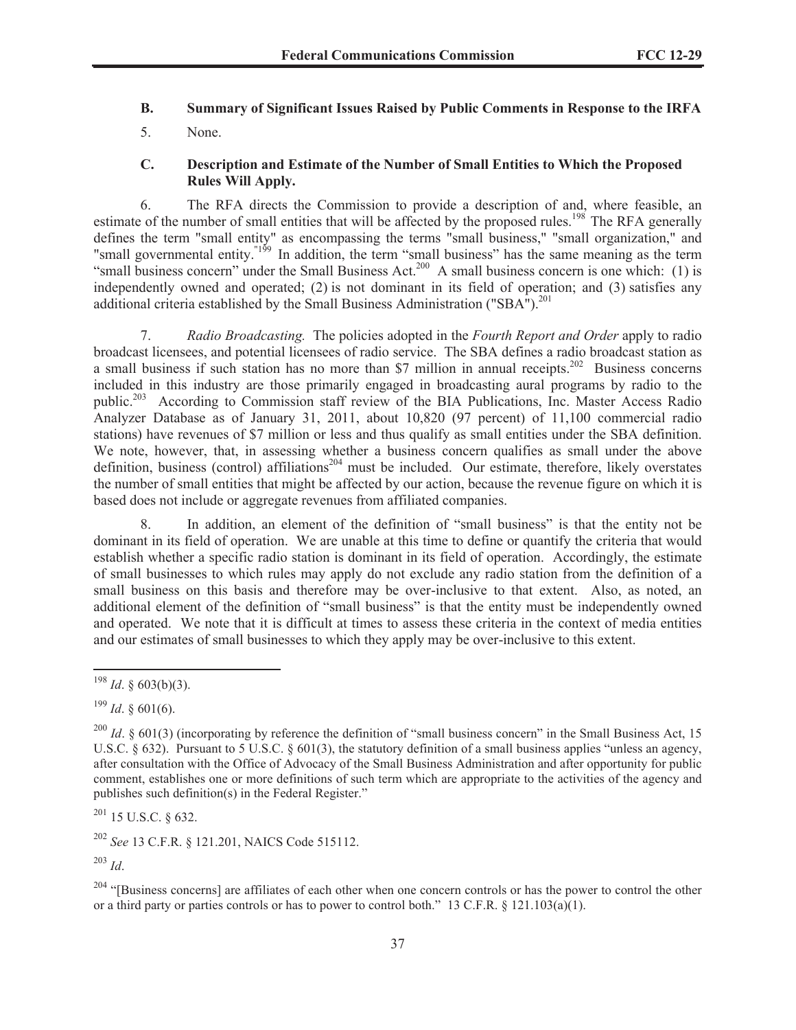## **B. Summary of Significant Issues Raised by Public Comments in Response to the IRFA**

5. None.

## **C. Description and Estimate of the Number of Small Entities to Which the Proposed Rules Will Apply.**

6. The RFA directs the Commission to provide a description of and, where feasible, an estimate of the number of small entities that will be affected by the proposed rules.<sup>198</sup> The RFA generally defines the term "small entity" as encompassing the terms "small business," "small organization," and "small governmental entity.<sup>"199</sup> In addition, the term "small business" has the same meaning as the term "small business concern" under the Small Business Act.<sup>200</sup> A small business concern is one which: (1) is independently owned and operated; (2) is not dominant in its field of operation; and (3) satisfies any additional criteria established by the Small Business Administration ("SBA").<sup>201</sup>

7. *Radio Broadcasting.* The policies adopted in the *Fourth Report and Order* apply to radio broadcast licensees, and potential licensees of radio service. The SBA defines a radio broadcast station as a small business if such station has no more than \$7 million in annual receipts.<sup>202</sup> Business concerns included in this industry are those primarily engaged in broadcasting aural programs by radio to the public.<sup>203</sup> According to Commission staff review of the BIA Publications, Inc. Master Access Radio Analyzer Database as of January 31, 2011, about 10,820 (97 percent) of 11,100 commercial radio stations) have revenues of \$7 million or less and thus qualify as small entities under the SBA definition. We note, however, that, in assessing whether a business concern qualifies as small under the above definition, business (control) affiliations<sup>204</sup> must be included. Our estimate, therefore, likely overstates the number of small entities that might be affected by our action, because the revenue figure on which it is based does not include or aggregate revenues from affiliated companies.

8. In addition, an element of the definition of "small business" is that the entity not be dominant in its field of operation. We are unable at this time to define or quantify the criteria that would establish whether a specific radio station is dominant in its field of operation. Accordingly, the estimate of small businesses to which rules may apply do not exclude any radio station from the definition of a small business on this basis and therefore may be over-inclusive to that extent. Also, as noted, an additional element of the definition of "small business" is that the entity must be independently owned and operated. We note that it is difficult at times to assess these criteria in the context of media entities and our estimates of small businesses to which they apply may be over-inclusive to this extent.

 $^{199}$  *Id.* § 601(6).

<sup>201</sup> 15 U.S.C. § 632.

<sup>202</sup> *See* 13 C.F.R. § 121.201, NAICS Code 515112.

<sup>203</sup> *Id*.

 $204$  "[Business concerns] are affiliates of each other when one concern controls or has the power to control the other or a third party or parties controls or has to power to control both." 13 C.F.R.  $\S$  121.103(a)(1).

<sup>198</sup> *Id*. § 603(b)(3).

<sup>&</sup>lt;sup>200</sup> *Id.* § 601(3) (incorporating by reference the definition of "small business concern" in the Small Business Act, 15 U.S.C. § 632). Pursuant to 5 U.S.C. § 601(3), the statutory definition of a small business applies "unless an agency, after consultation with the Office of Advocacy of the Small Business Administration and after opportunity for public comment, establishes one or more definitions of such term which are appropriate to the activities of the agency and publishes such definition(s) in the Federal Register."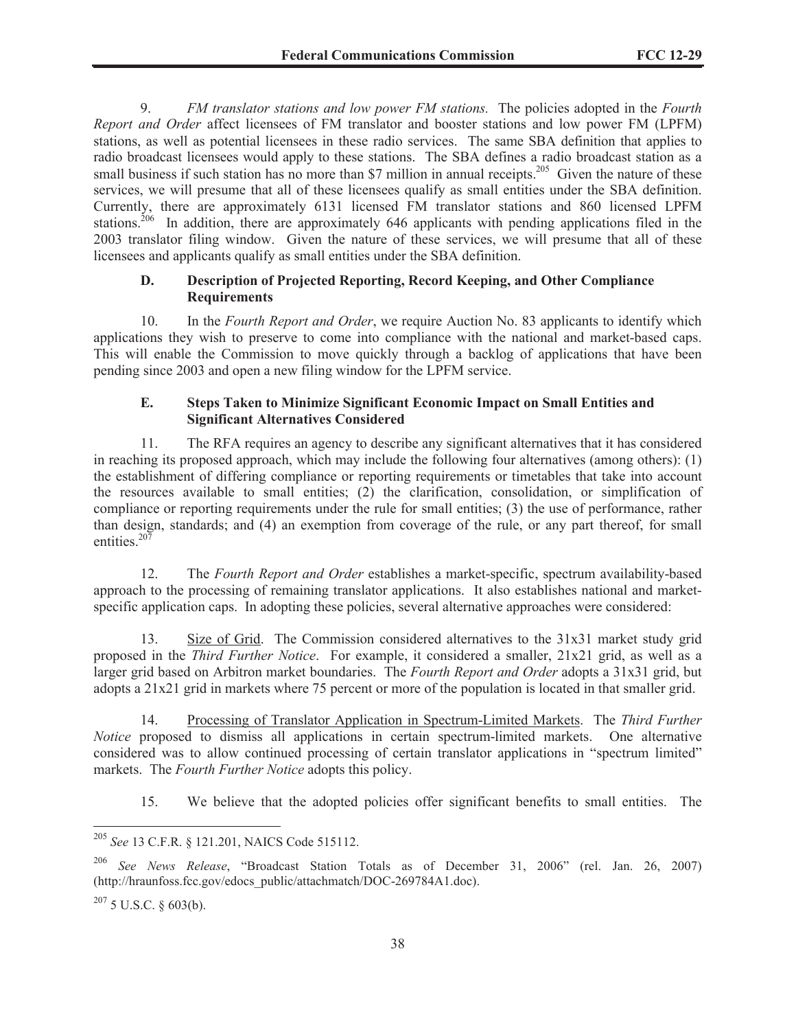9. *FM translator stations and low power FM stations.* The policies adopted in the *Fourth Report and Order* affect licensees of FM translator and booster stations and low power FM (LPFM) stations, as well as potential licensees in these radio services. The same SBA definition that applies to radio broadcast licensees would apply to these stations. The SBA defines a radio broadcast station as a small business if such station has no more than \$7 million in annual receipts.<sup>205</sup> Given the nature of these services, we will presume that all of these licensees qualify as small entities under the SBA definition. Currently, there are approximately 6131 licensed FM translator stations and 860 licensed LPFM stations.<sup>206</sup> In addition, there are approximately 646 applicants with pending applications filed in the 2003 translator filing window. Given the nature of these services, we will presume that all of these licensees and applicants qualify as small entities under the SBA definition.

# **D. Description of Projected Reporting, Record Keeping, and Other Compliance Requirements**

10. In the *Fourth Report and Order*, we require Auction No. 83 applicants to identify which applications they wish to preserve to come into compliance with the national and market-based caps. This will enable the Commission to move quickly through a backlog of applications that have been pending since 2003 and open a new filing window for the LPFM service.

# **E. Steps Taken to Minimize Significant Economic Impact on Small Entities and Significant Alternatives Considered**

11. The RFA requires an agency to describe any significant alternatives that it has considered in reaching its proposed approach, which may include the following four alternatives (among others): (1) the establishment of differing compliance or reporting requirements or timetables that take into account the resources available to small entities; (2) the clarification, consolidation, or simplification of compliance or reporting requirements under the rule for small entities; (3) the use of performance, rather than design, standards; and (4) an exemption from coverage of the rule, or any part thereof, for small entities. $207$ 

12. The *Fourth Report and Order* establishes a market-specific, spectrum availability-based approach to the processing of remaining translator applications. It also establishes national and marketspecific application caps. In adopting these policies, several alternative approaches were considered:

13. Size of Grid. The Commission considered alternatives to the 31x31 market study grid proposed in the *Third Further Notice*. For example, it considered a smaller, 21x21 grid, as well as a larger grid based on Arbitron market boundaries. The *Fourth Report and Order* adopts a 31x31 grid, but adopts a 21x21 grid in markets where 75 percent or more of the population is located in that smaller grid.

14. Processing of Translator Application in Spectrum-Limited Markets. The *Third Further Notice* proposed to dismiss all applications in certain spectrum-limited markets. One alternative considered was to allow continued processing of certain translator applications in "spectrum limited" markets. The *Fourth Further Notice* adopts this policy.

15. We believe that the adopted policies offer significant benefits to small entities. The

<sup>205</sup> *See* 13 C.F.R. § 121.201, NAICS Code 515112.

<sup>206</sup> *See News Release*, "Broadcast Station Totals as of December 31, 2006" (rel. Jan. 26, 2007) (http://hraunfoss.fcc.gov/edocs\_public/attachmatch/DOC-269784A1.doc).

 $^{207}$  5 U.S.C. § 603(b).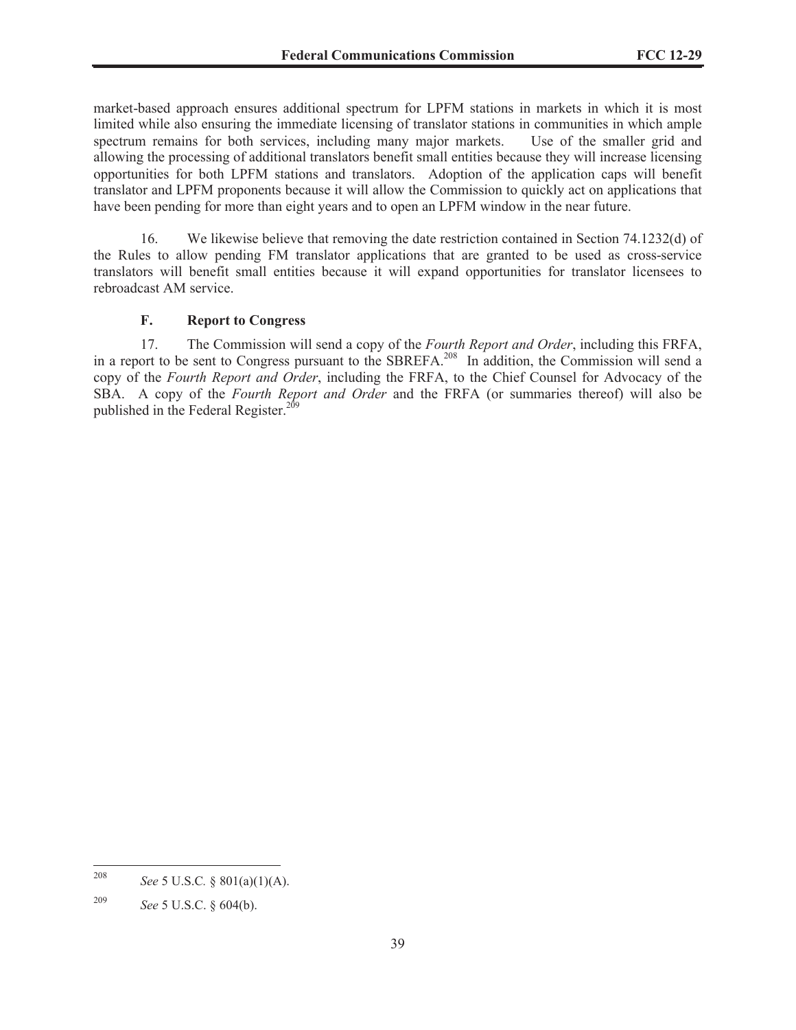market-based approach ensures additional spectrum for LPFM stations in markets in which it is most limited while also ensuring the immediate licensing of translator stations in communities in which ample spectrum remains for both services, including many major markets. Use of the smaller grid and allowing the processing of additional translators benefit small entities because they will increase licensing opportunities for both LPFM stations and translators. Adoption of the application caps will benefit translator and LPFM proponents because it will allow the Commission to quickly act on applications that have been pending for more than eight years and to open an LPFM window in the near future.

16. We likewise believe that removing the date restriction contained in Section 74.1232(d) of the Rules to allow pending FM translator applications that are granted to be used as cross-service translators will benefit small entities because it will expand opportunities for translator licensees to rebroadcast AM service.

#### **F. Report to Congress**

17. The Commission will send a copy of the *Fourth Report and Order*, including this FRFA, in a report to be sent to Congress pursuant to the SBREFA.<sup>208</sup> In addition, the Commission will send a copy of the *Fourth Report and Order*, including the FRFA, to the Chief Counsel for Advocacy of the SBA. A copy of the *Fourth Report and Order* and the FRFA (or summaries thereof) will also be published in the Federal Register.<sup>209</sup>

<sup>208</sup> *See* 5 U.S.C*.* § 801(a)(1)(A).

<sup>209</sup> *See* 5 U.S.C. § 604(b).